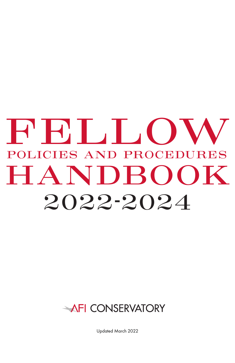# 2022-2024 HANDBOOK **FELLOW** POLICIES AND PROCEDURES

## AFI CONSERVATORY

Updated March 2022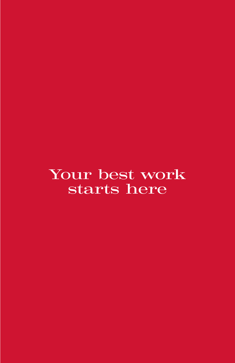Your best work starts here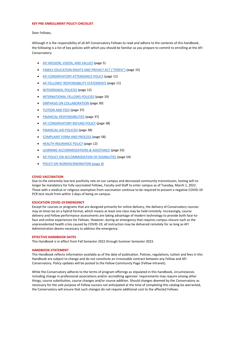#### <span id="page-2-0"></span>**KEY PRE-ENROLLMENT POLICY CHECKLIST**

Dear Fellows,

Although it is the responsibility of all AFI Conservatory Fellows to read and adhere to the contents of this handbook, the following is a list of key policies with which you should be familiar as you prepare to commit to enrolling at the AFI Conservatory:

- [AFI MISSION, VISION, AND VALUES](#page-6-0) (page 5)
- [FAMILY EDUCATION RIGHTS AND PRIVACY ACT \("FERPA"\)](#page-16-0) (page 15)
- [AFI CONSERVATORY ATTENDANCE POLICY](#page-12-0) (page 11)
- [AFI FELLOWS' RESPONSIBILITY STATEMENTS](#page-12-1) (page 11)
- [WITHDRAWAL POLICIES](#page-13-0) (page 12)
- [INTERNATIONAL FELLOWS POLICIES](#page-20-0) (page 19)
- **[EMPHASIS ON COLLABORATION](#page-31-0)** (page 30)
- [TUITION AND FEES](#page-38-0) (page 37)
- [FINANCIAL RESPONSIBILITIES](#page-38-1) (page 37)
- [AFI CONSERVATORY REFUND POLICY](#page-39-0) (page 38)
- [FINANCIAL AID POLICIES](#page-39-1) (page 38)
- [COMPLAINT FORM AND PROCESS](#page-59-0) (page 58)
- [HEALTH INSURANCE POLICY](#page-13-1) (page 12)
- [LEARNING ACCOMMODATIONS & ASSISTANCE](#page-54-0) (page 53)
- [AFI POLICY ON ACCOMMODATION OF DISABILITIES](#page-55-0) (page 54)
- [POLICY ON NONDISCRIMINATION \(page 8\)](#page-9-0)

#### <span id="page-2-1"></span>**COVID VACCINATION**

Due to the extremely low test positivity rate on our campus and decreased community transmission, testing will no longer be mandatory for fully vaccinated Fellows, Faculty and Staff to enter campus as of Tuesday, March 1, 2022. Those with a medical or religious exemption from vaccination continue to be required to present a negative COVID-19 PCR test result from within 3 days of being on campus.

#### <span id="page-2-2"></span>**EDUCATION COVID-19 EMERGENCY**

Except for courses or programs that are designed primarily for online delivery, the delivery of Conservatory courses may at times be on a hybrid format, which means at least one class may be held remotely. Increasingly, course delivery and Fellow performance assessments are taking advantage of modern technology to provide both face-toface and online experiences for Fellows. However, during an emergency that requires campus closure such as the unprecedented health crisis caused by COVID-19, all instruction may be delivered remotely for as long as AFI Administration deems necessary to address the emergency.

#### <span id="page-2-3"></span>**EFFECTIVE HANDBOOK DATES**

This Handbook is in effect from Fall Semester 2022 through Summer Semester 2023.

#### <span id="page-2-4"></span>**HANDBOOK STATEMENT**

This Handbook reflects information available as of the date of publication. Policies, regulations, tuition and fees in this Handbook are subject to change and do not constitute an irrevocable contract between any Fellow and AFI Conservatory. Policy updates will be posted to the Fellow Community Page (Fellow intranet).

While the Conservatory adheres to the terms of program offerings as stipulated in this handbook, circumstances including change in professional associations and/or accrediting agencies' requirements may require among other things, course substitution, course changes and/or course addition. Should changes deemed by the Conservatory as necessary for the sole purpose of Fellow success not anticipated at the time of completing this catalog be warranted, the Conservatory will ensure that such changes do not require additional cost to the affected Fellows.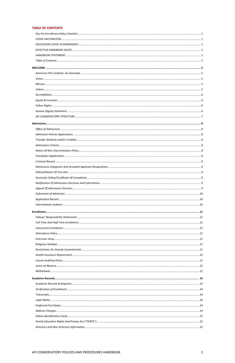#### <span id="page-3-0"></span>**TABLE OF CONTENTS**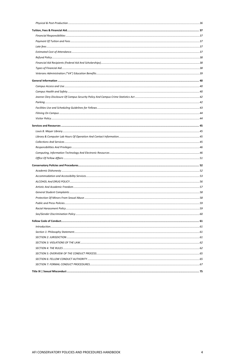|  | <b>Title IX   Sexual Misconduc</b> |  |
|--|------------------------------------|--|
|--|------------------------------------|--|

AFI CONSERVATORY POLICIES AND PROCEDURES HANDBOOK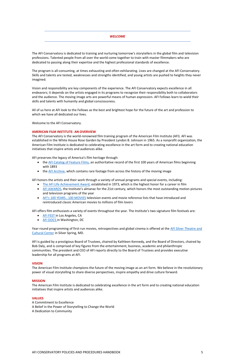#### *WELCOME*

<span id="page-6-1"></span>The AFI Conservatory is dedicated to training and nurturing tomorrow's storytellers in the global film and television professions. Talented people from all over the world come together to train with master filmmakers who are dedicated to passing along their expertise and the highest professional standards of excellence.

The program is all-consuming, at times exhausting and often exhilarating. Lives are changed at the AFI Conservatory. Skills and talents are tested, weaknesses and strengths identified, and young artists are pushed to heights they never imagined.

Vision and responsibility are key components of the experience. The AFI Conservatory expects excellence in all endeavors; it depends on the artists engaged in its programs to recognize their responsibility both to collaborators and the audience. The moving image arts are powerful means of human expression. AFI Fellows learn to wield their skills and talents with humanity and global consciousness.

- the [AFI Catalog of Feature Films,](https://aficatalog.afi.com/) an authoritative record of the first 100 years of American films beginning with 1893
- the [AFI Archive,](https://www.afi.com/afi-archive/) which contains rare footage from across the history of the moving image

All of us here at AFI look to the Fellows as the best and brightest hope for the future of the art and profession to which we have all dedicated our lives.

Welcome to the AFI Conservatory.

- [The AFI Life Achievement Award,](https://www.afi.com/afi-life-achievement-award/) established in 1973, which is the highest honor for a career in film
- [AFI AWARDS](https://www.afi.com/award/afi-awards-2020/), the Institute's almanac for the 21st century, which honors the most outstanding motion pictures and television programs of the year
- [AFI's 100 YEARS…100 MOVIES](https://www.afi.com/afi-lists/) television events and movie reference lists that have introduced and reintroduced classic American movies to millions of film lovers

#### <span id="page-6-2"></span>**AMERICAN FILM INSTITUTE- AN OVERVIEW**

The AFI Conservatory is the world-renowned film training program of the American Film Institute (AFI). AFI was established in the White House Rose Garden by President Lyndon B. Johnson in 1965. As a nonprofit organization, the American Film Institute is dedicated to celebrating excellence in the art form and to creating national education initiatives that inspire artists and audiences alike.

AFI preserves the legacy of America's film heritage through:

AFI honors the artists and their work through a variety of annual programs and special events, including:

AFI offers film enthusiasts a variety of events throughout the year. The Institute's two signature film festivals are:

- [AFI FEST i](https://fest.afi.com/)n Los Angeles, CA
- **AFI DOCS** in Washington, DC

Year-round programming of first-run movies, retrospectives and global cinema is offered at the AFI Silver [Theatre and](https://afisilver.afi.com/)  [Cultural Center](https://afisilver.afi.com/) in Silver Spring, MD.

AFI is guided by a prestigious Board of Trustees, chaired by Kathleen Kennedy, and the Board of Directors, chaired by Bob Daly, and is comprised of key figures from the entertainment, business, academic and philanthropic communities. The president and CEO of AFI reports directly to the Board of Trustees and provides executive leadership for all programs at AFI.

#### <span id="page-6-0"></span>**VISION**

The American Film Institute champions the future of the moving image as an art form. We believe in the revolutionary power of visual storytelling to share diverse perspectives, inspire empathy and drive culture forward.

#### <span id="page-6-3"></span>**MISSION**

The American Film Institute is dedicated to celebrating excellence in the art form and to creating national education initiatives that inspire artists and audiences alike.

#### <span id="page-6-4"></span>**VALUES**

A Commitment to Excellence A Belief in the Power of Storytelling to Change the World A Dedication to Community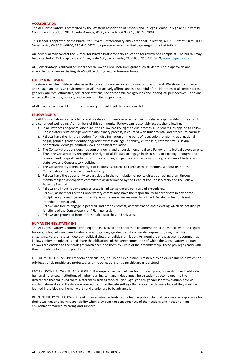#### <span id="page-7-0"></span>**ACCREDITATION**

The AFI Conservatory is accredited by the Western Association of Schools and Colleges Senior College and University Commission (WSCUC), 985 Atlantic Avenue, #100, Alameda, CA 94501, 510.748.9001.

An individual may contact the Bureau for Private Postsecondary Education for review of a complaint. The bureau may be contacted at 2535 Capitol Oaks Drive, Suite 400, Sacramento, CA 95833, 916.431.6959, [www.bppe.ca.gov.](http://www.bppe.ca.gov/)

This school is approved by the Bureau for Private Postsecondary and Vocational Education, 400 "R" Street, Suite 5000, Sacramento, CA 95814-620C, 916.445.3427, to operate as an accredited degree-granting institution.

AFI Conservatory is authorized under federal law to enroll non-immigrant alien students. These approvals are available for review in the Registrar's Office during regular business hours.

#### <span id="page-7-1"></span>**EQUITY & INCLUSION**

The American Film Institute believes in the power of diverse voices to drive culture forward. We strive to cultivate and sustain an inclusive environment at AFI that actively affirms and is respectful of the identities of all people across genders, abilities, ethnicities, sexual orientations, socioeconomic backgrounds and ideological perspectives – and one where self-reflection, honesty and accountability are practiced.

At AFI, we are responsible for the community we build and the stories we tell.

#### <span id="page-7-2"></span>**FELLOW RIGHTS**

The AFI Conservatory is an academic and creative community in which all persons share responsibility for its growth and continued well-being. As members of this community, Fellows can reasonably expect the following:

- A. In all instances of general discipline, the Fellow has the right to due process. Due process, as applied to Fellow-Conservatory relationships and the disciplinary process, is equated with fundamental and procedural fairness.
- B. Fellows have the right to freedom from discrimination on the basis of race, color, religion, creed, national origin, gender, gender identity or gender expression, age, disability, citizenship, veteran status, sexual orientation, ideology, political views, or political affiliation.
- C. The Conservatory considers freedom of inquiry and discussion essential to a Fellow's intellectual development. Thus, the Conservatory recognizes the right of all Fellows to engage in discussion, to exchange thought and opinion, and to speak, write, or print freely on any subject in accordance with the guarantees of federal and state laws and Conservatory policies.
- D. The Conservatory affirms the right of Fellows as citizens to exercise their freedoms without fear of the Conservatory interference for such activity.
- E. Fellows have the opportunity to participate in the formulation of policy directly affecting them through membership on appropriate committees as determined by the Dean of the Conservatory and the Fellow Advisory Council.
- F. Fellows shall have ready access to established Conservatory policies and procedures.
- G. Fellows, as members of the Conservatory community, have the responsibility to participate in any of the disciplinary proceedings and to testify as witnesses when reasonably notified. Self-incrimination is not intended or construed.
- H. Fellows are free to engage in peaceful and orderly protest, demonstration and picketing which do not disrupt functions of the Conservatory or AFI, in general.
- I. Fellows are protected from unreasonable searches and seizures.

#### <span id="page-7-3"></span>**HUMAN DIGNITY STATEMENT**

The AFI Conservatory is committed to equitable, civilized and concerned treatment for all individuals without regard for race, color, religion, creed, national origin, gender, gender identity or gender expression, age, disability, citizenship, veteran status, ideology, political views, or political affiliation. As members of the academic community, Fellows enjoy the privileges and share the obligations of the larger community of which the Conservatory is a part. Fellows are entitled to the privileges which accrue to them by virtue of their membership. These privileges carry with them the obligations of responsible citizenship.

FREEDOM OF EXPRESSION: Freedom of discussion, inquiry and expression is fostered by an environment in which the privileges of citizenship are protected, and the obligations of citizenship are understood.

EACH PERSON HAS WORTH AND DIGNITY: It is imperative that Fellows learn to recognize, understand and celebrate human differences. Institutions of higher learning can, and indeed must, help students become open to the differences that surround them. Differences such as race, religion, age, gender, gender identity, culture, physical ability, nationality and lifestyle are learned best in collegiate settings that are rich with diversity, and they must be learned if the ideals of human worth and dignity are to be advanced.

RESPONSIBILITY OF FELLOWS: The AFI Conservatory actively promotes the philosophy that Fellows are responsible for their own lives and learn responsibility when they bear the consequences of their actions and inactions in an environment marked by caring and support.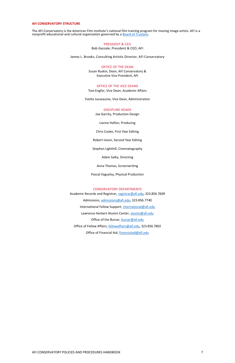The AFI Conservatory is the American Film Institute's national film training program for moving image artists. AFI is a nonprofit educational and cultural organization governed by a **Board of Trustees**.

#### <span id="page-8-0"></span>**AFI CONSERVATORY STRUCTURE**

#### PRESIDENT & CEO

Bob Gazzale, President & CEO, AFI

James L. Brooks, Consulting Artistic Director, AFI Conservatory

#### OFFICE OF THE DEAN

Susan Ruskin, Dean, AFI Conservatory & Executive Vice President, AFI

#### OFFICE OF THE VICE DEANS

Tom Engfer, Vice Dean, Academic Affairs

Yvette Jusseaume, Vice Dean, Administration

#### DISCIPLINE HEADS

Joe Garrity, Production Design

Lianne Halfon, Producing

Chris Cooke, First Year Editing

Robert Ivison, Second Year Editing

Stephen Lighthill, Cinematography

Adam Salky, Directing

Anna Thomas, Screenwriting

Pascal Vaguelsy, Physical Production

#### CONSERVATORY DEPARTMENTS

Academic Records and Registrar, [registrar@afi.edu,](mailto:registrar@afi.edu) 323.856.7609 Admissions, [admissions@afi.edu,](mailto:admissions@afi.edu) 323.856.7740 International Fellow Support, [international@afi.edu](mailto:international@afi.edu) Lawrence Herbert Alumni Center, [alumni@afi.edu](mailto:alumni@afi.edu) Office of the Bursar, [bursar@afi.edu](mailto:bursar@afi.edu) Office of Fellow Affairs, [fellowaffairs@afi.edu,](mailto:fellowaffairs@afi.edu) 323.856.7802 Office of Financial Aid[, financialaid@afi.edu](mailto:financialaid@afi.edu)

#### AFI CONSERVATORY POLICIES AND PROCEDURES HANDBOOK **THE CONSERVATORY POLICIES** AND PROCEDURES HANDBOOK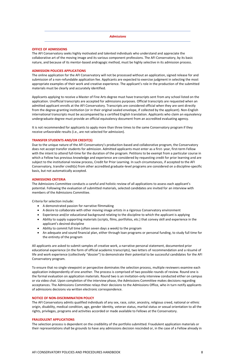#### <span id="page-9-1"></span>*Admissions*

#### <span id="page-9-2"></span>**OFFICE OF ADMISSIONS**

The AFI Conservatory seeks highly motivated and talented individuals who understand and appreciate the collaborative art of the moving image and its various component professions. The AFI Conservatory, by its basic nature, and because of its mentor-based andragogic method, must be highly selective in its admission process.

#### <span id="page-9-3"></span>**ADMISSION POLICIES APPLICATIONS**

The online application for the AFI Conservatory will not be processed without an application, signed release for and submission of a non-refundable application fee. Applicants are expected to exercise judgment in selecting the most appropriate examples of their work and creative experience. The applicant's role in the production of the submitted materials must be clearly and accurately identified.

Applicants applying to receive a Master of Fine Arts degree must have transcripts sent from any school listed on the application. Unofficial transcripts are accepted for admissions purposes. Official transcripts are requested when an admitted applicant enrolls at the AFI Conservatory. Transcripts are considered official when they are sent directly from the degree-granting institution (or in their original sealed envelope, if collected by the applicant). Non-English international transcripts must be accompanied by a certified English translation. Applicants who claim an equivalency undergraduate degree must provide an official equivalency document from an accredited evaluating agency.

It is not recommended for applicants to apply more than three times to the same Conservatory program if they receive unfavorable results (i.e., are not selected for admission).

#### <span id="page-9-4"></span>**TRANSFER STUDENTS AND/OR CREDIT(S)**

Due to the unique nature of the AFI Conservatory's production-based and collaborative program, the Conservatory does not accept transfer students for admission. Admitted applicants must enter as a first- year, first-term Fellow with the intent to attend full-time for the duration of the program. Petitions to be exempt from a particular course in which a Fellow has previous knowledge and experience are considered by requesting credit for prior learning and are subject to the institutional review process, Credit for Prior Learning. In such circumstances, if accepted to the AFI Conservatory, transfer credit(s) from other accredited graduate-level programs are considered on a discipline-specific basis, but not automatically accepted.

#### <span id="page-9-5"></span>**ADMISSIONS CRITERIA**

The Admissions Committee conducts a careful and holistic review of all applications to assess each applicant's potential. Following the evaluation of submitted materials, selected candidates are invited for an interview with members of the Admissions Committee.

Criteria for selection include:

- A demonstrated passion for narrative filmmaking
- A desire to collaborate with other moving image artists in a rigorous Conservatory environment
- Experience and/or educational background relating to the discipline to which the applicant is applying
- Ability to supply supporting materials (scripts, films, portfolios, etc.) that convey skill and experience in the applicant's desired discipline
- Ability to commit full time (often seven days a week) to the program
- An adequate and sound financial plan, either through loan programs or personal funding, to study full time for the entirety of the program

All applicants are asked to submit samples of creative work, a narrative personal statement, documented prior educational experience (in the form of official academic transcripts), two letters of recommendation and a résumé of life and work experience (collectively "dossier") to demonstrate their potential to be successful candidates for the AFI Conservatory program.

To ensure that no single viewpoint or perspective dominates the selection process, multiple reviewers examine each application independently of one another. The process is comprised of two possible rounds of review. Round one is the formal evaluation on application materials. Round two is an invitation-only interview conducted either on campus or via video chat. Upon completion of the interview phase, the Admissions Committee makes decisions regarding acceptances. The Admissions Committee relays their decisions to the Admissions Office, who in turn notify applicants of admissions decisions via written electronic correspondence.

#### <span id="page-9-6"></span><span id="page-9-0"></span>**NOTICE OF NON-DISCRIMINATION POLICY**

The AFI Conservatory admits qualified individuals of any sex, race, color, ancestry, religious creed, national or ethnic origin, disability, medical condition, age, gender identity, veteran status, marital status or sexual orientation to all the rights, privileges, programs and activities accorded or made available to Fellows at the Conservatory.

#### <span id="page-9-7"></span>**FRAUDULENT APPLICATIONS**

The selection process is dependent on the credibility of the portfolio submitted. Fraudulent application materials or their representations shall be grounds to have any admissions decision rescinded or, in the case of a Fellow already in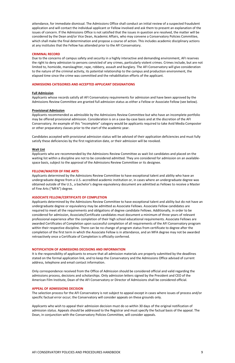attendance, for immediate dismissal. The Admissions Office shall conduct an initial review of a suspected fraudulent application and will contact the individual applicant or Fellow involved and ask them to present an explanation of the issues of concern. If the Admissions Office is not satisfied that the issues in question are resolved, the matter will be considered by the Dean and/or Vice Dean, Academic Affairs, who may convene a Conservatory Policies Committee, which shall make the final determination and propose a course of action. This includes academic disciplinary actions at any institutes that the Fellow has attended prior to the AFI Conservatory.

#### <span id="page-10-0"></span>**CRIMINAL RECORD**

Due to the concerns of campus safety and security in a highly interactive and demanding environment, AFI reserves the right to deny admission to persons convicted of any crimes, particularly violent crimes. Crimes include, but are not limited to, homicide, manslaughter, rape, robbery, assault and burglary. The AFI Conservatory will give consideration to the nature of the criminal activity, its potential relationship to the campus and production environment, the elapsed time since the crime was committed and the rehabilitation efforts of the applicant.

#### <span id="page-10-1"></span>**ADMISSIONS CATEGORIES AND ACCEPTED APPLICANT DESIGNATIONS**

#### **Full Admission**

Applicants whose records satisfy all AFI Conservatory requirements for admission and have been approved by the Admissions Review Committee are granted full admission status as either a Fellow or Associate Fellow (see below).

#### **Provisional Admission**

Applicants recommended as admissible by the Admissions Review Committee but who have an incomplete portfolio may be offered provisional admission. Consideration is on a case-by-case basis and at the discretion of the AFI Conservatory. An example of this "incomplete" category would be applicants required to take Avid Media Composter or other preparatory classes prior to the start of the academic year.

Candidates accepted with provisional admission status will be advised of their application deficiencies and must fully satisfy these deficiencies by the first registration date, or their admission will be revoked.

#### **Wait List**

Applicants who are recommended by the Admissions Review Committee as wait list candidates and placed on the waiting list within a discipline are not to be considered admitted. They are considered for admission on an availablespace basis, subject to the approval of the Admissions Review Committee or its designee.

#### <span id="page-10-2"></span>**FELLOW/MASTER OF FINE ARTS**

Applicants determined by the Admissions Review Committee to have exceptional talent and ability who have an undergraduate degree from a U.S.-accredited academic institution or, in cases where an undergraduate degree was obtained outside of the U.S., a bachelor's degree equivalency document are admitted as Fellows to receive a Master of Fine Arts ("MFA") degree.

#### <span id="page-10-3"></span>**ASSOCIATE FELLOW/CERTIFICATE OF COMPLETION**

Applicants determined by the Admissions Review Committee to have exceptional talent and ability but do not have an undergraduate degree or equivalency may be admitted as Associate Fellows. Associate Fellow candidates are required to meet all the requirements and obligations of degree candidate Fellows. Additionally, in order to be considered for admission, Associate/Certificate candidates must document a minimum of three years of relevant professional experience after the completion of their high school educational requirements. Associate Fellows are awarded Certificates of Completion upon successful completion of all requirements of the AFI Conservatory program within their respective discipline. There can be no change of program status from certificate to degree after the completion of the first term in which the Associate Fellow is in attendance, and an MFA degree may not be awarded retroactively once a Certificate of Completion is officially conferred.

#### <span id="page-10-4"></span>**NOTIFICATION OF ADMISSIONS DECISIONS AND INFORMATION**

It is the responsibility of applicants to ensure that all admission materials are properly submitted by the deadlines stated on the formal application link, and to keep the Conservatory and the Admissions Office advised of current address, telephone and email contact information.

Only correspondence received from the Office of Admission should be considered official and valid regarding the admissions process, decisions and scholarships. Only admission letters signed by the President and CEO of the American Film Institute, Dean of the AFI Conservatory or Director of Admissions shall be considered official.

#### <span id="page-10-5"></span>**APPEAL OF ADMISSIONS DECISION**

The selection process for the AFI Conservatory is not subject to appeal except in cases where issues of process and/or specific factual error occur; the Conservatory will consider appeals on these grounds only.

Applicants who wish to appeal their admission decision must do so within 30 days of the original notification of admission status. Appeals should be addressed to the Registrar and must specify the factual basis of the appeal. The Dean, in conjunction with the Conservatory Policies Committee, will consider appeals.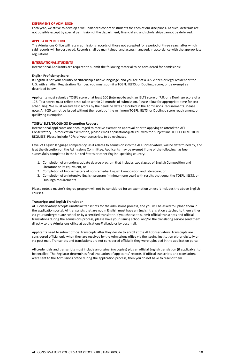#### AFI CONSERVATORY POLICIES AND PROCEDURES HANDBOOK 10

#### <span id="page-11-0"></span>**DEFERMENT OF ADMISSION**

Each year, we strive to develop a well-balanced cohort of students for each of our disciplines. As such, deferrals are not possible except by special permission of the department; financial aid and scholarships cannot be deferred.

#### <span id="page-11-1"></span>**APPLICATION RECORD**

The Admissions Office will retain admissions records of those not accepted for a period of three years, after which said records will be destroyed. Records shall be maintained, and access managed, in accordance with the appropriate regulations.

#### <span id="page-11-2"></span>**INTERNATIONAL STUDENTS**

International Applicants are required to submit the following material to be considered for admissions:

#### **English Proficiency Score**

If English is not your country of citizenship's native language, and you are not a U.S. citizen or legal resident of the U.S. with an Alien Registration Number, you must submit a TOEFL, IELTS, or Duolingo score, or be exempt as described below.

Applicants must submit a TOEFL score of at least 100 (internet-based), an IELTS score of 7.0, or a Duolingo score of a 125. Test scores must reflect tests taken within 24 months of submission. Please allow for appropriate time for test scheduling. We must receive test scores by the deadline dates described in the Admissions Requirements. Please note: An I-20 cannot be issued without the receipt of the minimum TOEFL, IELTS, or Duolingo score requirement, or qualifying exemption.

#### **TOEFL/IELTS/DUOLINGO Exemption Request**

International applicants are encouraged to receive exemption approval prior to applying to attend the AFI Conservatory. To request an exemption, please email applications@afi.edu with the subject line TOEFL EXEMPTION REQUEST. Please include PDFs of your transcripts to be evaluated.

Level of English language competency, as it relates to admission into the AFI Conservatory, will be determined by, and is at the discretion of, the Admissions Committee. Applicants may be exempt if one of the following has been successfully completed in the United States or other English-speaking country:

- 1. Completion of an undergraduate degree program that includes two classes of English Composition and Literature or its equivalent, or
- 2. Completion of two semesters of non-remedial English Composition and Literature, or
- 3. Completion of an intensive English program (minimum one year) with results that equal the TOEFL, IELTS, or Duolingo requirements

Please note, a master's degree program will not be considered for an exemption unless it includes the above English courses.

#### **Transcripts and English Translation**

AFI Conservatory accepts unofficial transcripts for the admissions process, and you will be asked to upload them in the application portal. All transcripts that are not in English must have an English translation attached to them either via your undergraduate school or by a certified translator. If you choose to submit official transcripts and official translations during the admissions process, please have your issuing school and/or the translating service send them directly to the Admissions office at applications@afi.edu or by post mail.

Applicants need to submit official transcripts after they decide to enroll at the AFI Conservatory. Transcripts are considered official only when they are received by the Admissions office via the issuing institution either digitally or via post mail. Transcripts and translations are not considered official if they were uploaded in the application portal.

All credentials and transcripts must include an original (no copies) plus an official English translation (if applicable) to be enrolled. The Registrar determines final evaluation of applicants' records. If official transcripts and translations were sent to the Admissions office during the application process, then you do not have to resend them.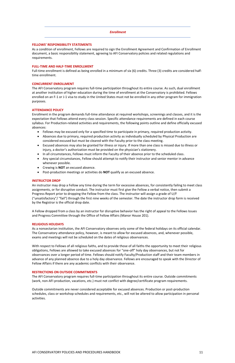#### <span id="page-12-2"></span>*Enrollment*

#### <span id="page-12-1"></span>**FELLOWS' RESPONSIBILITY STATEMENTS**

As a condition of enrollment, Fellows are required to sign the Enrollment Agreement and Confirmation of Enrollment document, a basic responsibility statement, agreeing to AFI Conservatory policies and related regulations and requirements.

#### <span id="page-12-3"></span>**FULL-TIME AND HALF-TIME ENROLLMENT**

Full-time enrollment is defined as being enrolled in a minimum of six (6) credits. Three (3) credits are considered halftime enrollment.

#### <span id="page-12-4"></span>**CONCURRENT ENROLLMENT**

The AFI Conservatory program requires full-time participation throughout its entire course. As such, dual enrollment at another institution of higher education during the time of enrollment at the Conservatory is prohibited. Fellows enrolled on an F-1 or J-1 visa to study in the United States must not be enrolled in any other program for immigration purposes.

#### <span id="page-12-0"></span>**ATTENDANCE POLICY**

Enrollment in the program demands full-time attendance at required workshops, screenings and classes, and it is the expectation that Fellows attend every class session. Specific attendance requirements are defined in each course syllabus. For Production-related activities and requirements, the following points outline and define officially excused absences:

- Fellows may be excused only for a specified time to participate in primary, required production activity.
- Absences due to primary, required production activity as individually scheduled by Physical Production are considered excused but must be cleared with the Faculty prior to the class meeting.
- Excused absences may also be granted for illness or injury. If more than one class is missed due to illness or injury, a doctor's authorization must be provided on the physician's stationery.
- In all circumstances, Fellows must inform the Faculty of their absence prior to the scheduled class.
- Any special circumstances, Fellow should attempt to notify their instructor and senior mentor in advance whenever possible.
- Crewing is **NOT** an excused absence.
- Post-production meetings or activities do **NOT** qualify as an excused absence.

#### <span id="page-12-5"></span>**INSTRUCTOR DROP**

An instructor may drop a Fellow any time during the term for excessive absences, for consistently failing to meet class assignments, or for disruptive conduct. The instructor must first give the Fellow a verbal notice, then submit a Progress Report prior to dropping the Fellow from the class. The instructor will assign a grade of U/F ("unsatisfactory"/ "fail") through the first nine weeks of the semester. The date the instructor drop form is received by the Registrar is the official drop date.

A Fellow dropped from a class by an instructor for disruptive behavior has the right of appeal to the Fellows Issues and Progress Committee through the Office of Fellow Affairs (Manor House 201).

#### <span id="page-12-6"></span>**RELIGIOUS HOLIDAYS**

As a nonsectarian institution, the AFI Conservatory observes only some of the federal holidays on its official calendar. The Conservatory attendance policy, however, is meant to allow for excused absences, and, whenever possible, exams and meetings will not be scheduled on the dates of religious observances.

With respect to Fellows of all religious faiths, and to provide those of all faiths the opportunity to meet their religious obligations, Fellows are allowed to take excused absences for "one-off" holy day observances, but not for observances over a longer period of time. Fellows should notify Faculty/Production staff and their team members in advance of any planned absence due to a holy day observance. Fellows are encouraged to speak with the Director of Fellow Affairs if there are any academic conflicts with their observance.

#### <span id="page-12-7"></span>**RESTRICTIONS ON OUTSIDE COMMITMENTS**

The AFI Conservatory program requires full-time participation throughout its entire course. Outside commitments (work, non-AFI production, vacations, etc.) must not conflict with degree/certificate program requirements.

Outside commitments are never considered acceptable for excused absences. Production or post-production schedules, class or workshop schedules and requirements, etc., will not be altered to allow participation in personal activities.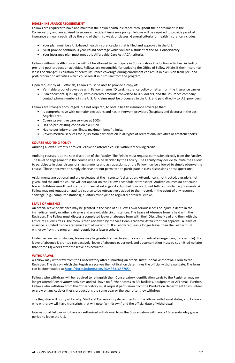#### <span id="page-13-1"></span>**HEALTH INSURANCE REQUIREMENT**

Fellows are required to have and maintain their own health insurance throughout their enrollment in the Conservatory and are advised to secure an accident insurance policy. Fellows will be required to provide proof of insurance annually each fall by the end of the third week of classes. General criteria for health insurance includes:

- Your plan must be a U.S.-based health insurance plan that is filed and approved in the U.S.
- Must provide continuous year-round coverage while you are a student at the AFI Conservatory.
- Your insurance plan must meet the Affordable Care Act (ACA) criteria.

Fellows without health insurance will not be allowed to participate in Conservatory Production activities, including pre- and post-production activities. Fellows are responsible for updating the Office of Fellow Affairs if their insurance lapses or changes. Expiration of health insurance coverage during enrollment can result in exclusion from pre- and post-production activities which could result in dismissal from the program.

Upon request by AFIC officials, Fellows must be able to provide a copy of:

- Verifiable proof of coverage with Fellow's name (ID card, insurance policy or letter from the insurance carrier).
- Plan document(s) in English, with currency amounts converted to U.S. dollars, and the insurance company contact phone numbers in the U.S. All claims must be processed in the U.S. and paid directly to U.S. providers.

Fellows are strongly encouraged, but not required, to obtain health insurance coverage that:

- Is comprehensive with no major exclusions and has in-network providers (hospitals and doctors) in the Los Angeles area.
- Covers preventive care services at 100%.
- Has no pre-existing condition exclusion.
- Has no per-injury or per-illness maximum benefit limits.
- Covers medical services for injury from participation in all types of recreational activities or amateur sports.

#### <span id="page-13-2"></span>**COURSE AUDITING POLICY**

Auditing allows currently enrolled Fellows to attend a course without receiving credit.

Auditing courses is at the sole discretion of the Faculty. The Fellow must request permission directly from the Faculty. The level of engagement in the course will also be decided by the Faculty. The Faculty may decide to invite the Fellow to participate in class discussions, assignments and ask questions; or the Fellow may be allowed to simply observe the course. Those approved to simply observe are not permitted to participate in class discussions or ask questions.

Assignments are optional and are evaluated at the instructor's discretion. Attendance is not tracked, a grade is not given, and the audited course will not appear on the Fellow's schedule or transcript. Audited courses do not count toward full-time enrollment status or financial aid eligibility. Audited courses do not fulfill curricular requirements. A Fellow may not request an audited course to be retroactively added to their record. In the event of any resource shortage (e.g., computer stations), auditors must yield to regularly enrolled Fellows.

#### <span id="page-13-3"></span>**LEAVE OF ABSENCE**

An official leave of absence may be granted in the case of a Fellow's own serious illness or injury, a death in the immediate family or other extreme and unavoidable circumstances. The Leave of Absence form is held with the Registrar. The Fellow must discuss a completed leave of absence form with their Discipline Head and then with the Office of Fellow Affairs. The form is then reviewed by the Vice Dean Academic Affairs for final approval. A leave of absence is limited to one academic term at maximum. If a Fellow requires a longer leave, then the Fellow must withdraw from the program and reapply for a future cohort.

Under certain circumstances, leaves may be granted retroactively (in cases of medical emergencies, for example). If a leave of absence is granted retroactively, leave of absence paperwork and documentation must be submitted no later than three (3) weeks after the leave has occurred.

#### <span id="page-13-0"></span>**WITHDRAWAL**

A Fellow may withdraw from the Conservatory after submitting an official Institutional Withdrawal Form to the Registrar. The day on which the Registrar receives the notification determines the official withdrawal date. The form

#### can be downloaded at<https://form.jotform.com/202436316587054>

Fellows who withdraw will be required to relinquish their Conservatory identification cards to the Registrar, may no longer attend Conservatory activities and will have no further access to AFI facilities, equipment or AFI email. Further, Fellows who withdraw from the Conservatory must request permission from the Production Department to volunteer or crew on any cycle or thesis productions the same year or the year after they withdrew.

The Registrar will notify all Faculty, Staff and Conservatory departments of the official withdrawal status, and Fellows who withdraw will have transcripts that will note "withdrawn" and the official date of withdrawal.

International Fellows who have an authorized withdrawal from the Conservatory will have a 15-calendar-day grace period to leave the U.S.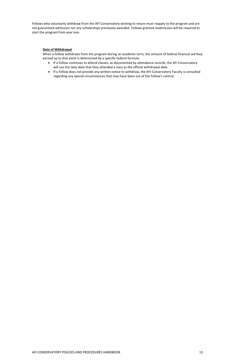Fellows who voluntarily withdraw from the AFI Conservatory wishing to return must reapply to the program and are not guaranteed admission nor any scholarships previously awarded. Fellows granted readmission will be required to start the program from year one.

#### **Date of Withdrawal**

When a Fellow withdraws from the program during an academic term, the amount of federal financial aid they earned up to that point is determined by a specific federal formula.

- If a Fellow continues to attend classes, as documented by attendance records, the AFI Conservatory will use the later date that they attended a class as the official withdrawal date.
- If a Fellow does not provide any written notice to withdraw, the AFI Conservatory Faculty is consulted regarding any special circumstances that may have been out of the Fellow's control.

#### AFI CONSERVATORY POLICIES AND PROCEDURES HANDBOOK 13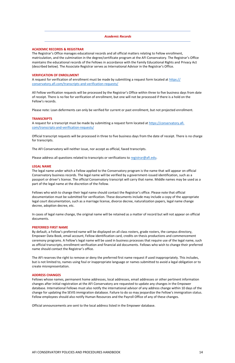#### <span id="page-15-0"></span>*Academic Records*

#### <span id="page-15-1"></span>**ACADEMIC RECORDS & REGISTRAR**

The Registrar's Office manages educational records and all official matters relating to Fellow enrollment, matriculation, and the culmination in the degree/certificate program at the AFI Conservatory. The Registrar's Office maintains the educational records of the Fellows in accordance with the Family Educational Rights and Privacy Act (described below). The Associate Registrar serves as International Advisor in the Registrar's Office.

A request for verification of enrollment must be made by submitting a request form located at [https://](https://conservatory.afi.com/transcripts-and-verification-requests/) [conservatory.afi.com/transcripts-and-verification-requests/](https://conservatory.afi.com/transcripts-and-verification-requests/)

#### <span id="page-15-2"></span>**VERIFICATION OF ENROLLMENT**

A request for a transcript must be made by submitting a request form located at [https://conservatory.afi.](https://conservatory.afi.com/transcripts-and-verification-requests/) [com/transcripts-and-verification-requests/](https://conservatory.afi.com/transcripts-and-verification-requests/)

All Fellow verification requests will be processed by the Registrar's Office within three to five business days from date of receipt. There is no fee for verification of enrollment, but one will not be processed if there is a hold on the Fellow's records.

Please note: Loan deferments can only be verified for current or past enrollment, but not projected enrollment.

#### <span id="page-15-3"></span>**TRANSCRIPTS**

Official transcript requests will be processed in three to five business days from the date of receipt. There is no charge for transcripts.

The AFI Conservatory will neither issue, nor accept as official, faxed transcripts.

Please address all questions related to transcripts or verifications to [registrar@afi.edu.](mailto:registrar@afi.edu)

#### <span id="page-15-4"></span>**LEGAL NAME**

The legal name under which a Fellow applied to the Conservatory program is the name that will appear on official Conservatory business records. The legal name will be verified by a government-issued identification, such as a passport or driver's license. The official Conservatory transcript will carry that name. Middle names may be used as a part of the legal name at the discretion of the Fellow.

Fellows who wish to change their legal name should contact the Registrar's office. Please note that official documentation must be submitted for verification. These documents include may include a copy of the appropriate legal court documentation, such as a marriage license, divorce decree, naturalization papers, legal name change decree, adoption decree, etc.

In cases of legal name change, the original name will be retained as a matter of record but will not appear on official documents.

#### <span id="page-15-5"></span>**PREFERRED FIRST NAME**

By default, a Fellow's preferred name will be displayed on all class rosters, grade rosters, the campus directory, Empower Data Book, email account, Fellow identification card, credits on thesis productions and commencement ceremony programs. A Fellow's legal name will be used in business processes that require use of the legal name, such as official transcripts, enrollment verification and financial aid documents. Fellows who wish to change their preferred name should contact the Registrar's office.

The AFI reserves the right to remove or deny the preferred first name request if used inappropriately. This includes, but is not limited to, names using foul or inappropriate language or names submitted to avoid a legal obligation or to create misrepresentation.

#### <span id="page-15-6"></span>**ADDRESS CHANGES**

Fellows whose names, permanent home addresses, local addresses, email addresses or other pertinent information changes after initial registration at the AFI Conservatory are requested to update any changes in the Empower database. International Fellows must also notify the international advisor of any address change within 10 days of the change for updating the SEVIS immigration database. Failure to do so may jeopardize the Fellow's immigration status. Fellow employees should also notify Human Resources and the Payroll Office of any of these changes.

Official announcements are sent to the local address listed in the Empower database.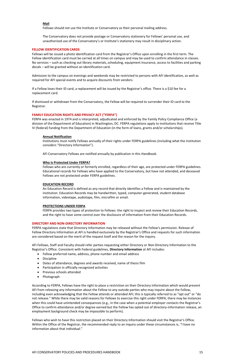#### **Mail**

Fellows should not use the Institute or Conservatory as their personal mailing address.

The Conservatory does not provide postage or Conservatory stationery for Fellows' personal use, and unauthorized use of the Conservatory's or Institute's stationery may result in disciplinary action.

#### <span id="page-16-1"></span>**FELLOW IDENTIFICATION CARDS**

Fellows will be issued a photo identification card from the Registrar's Office upon enrolling in the first term. The Fellow identification card must be carried at all times on campus and may be used to confirm attendance in classes. No services – such as checking out library materials, scheduling, equipment insurance, access to facilities and parking decals – will be granted without an identification card.

Admission to the campus on evenings and weekends may be restricted to persons with AFI identification, as well as required for AFI special events and to acquire discounts from vendors.

If a Fellow loses their ID card, a replacement will be issued by the Registrar's office. There is a \$10 fee for a replacement card.

If dismissed or withdrawn from the Conservatory, the Fellow will be required to surrender their ID card to the Registrar.

#### <span id="page-16-0"></span>**FAMILY EDUCATION RIGHTS AND PRIVACY ACT ("FERPA")**

FERPA was enacted in 1974 and is interpreted, adjudicated and enforced by the Family Policy Compliance Office (a division of the Department of Education) in Washington, DC. FERPA regulations apply to institutions that receive Title IV (federal) funding from the Department of Education (in the form of loans, grants and/or scholarships).

#### **Annual Notification**

Institutions must notify Fellows annually of their rights under FERPA guidelines (including what the institution considers "Directory Information").

AFI Conservatory Fellows are notified annually by publication in this Handbook.

#### **Who Is Protected Under FERPA?**

Fellows who are currently or formerly enrolled, regardless of their age, are protected under FERPA guidelines. Educational records for Fellows who have applied to the Conservatory, but have not attended, and deceased Fellows are not protected under FERPA guidelines.

#### **EDUCATION RECORD**

An Education Record is defined as any record that directly identifies a Fellow and is maintained by the institution. Education Records may be handwritten, typed, computer-generated, student database information, videotape, audiotape, film, microfilm or email.

#### **PROTECTIONS UNDER FERPA**

FERPA provides two types of protection to Fellows: the right to inspect and review their Education Records, and the right to have some control over the disclosure of information from their Education Records.

#### <span id="page-16-2"></span>**DIRECTORY AND NON-DIRECTORY INFORMATION**

FERPA regulations state that Directory Information may be released without the Fellow's permission. Release of Fellow Directory Information at AFI is handled exclusively by the Registrar's Office and requests for such information are considered based on the merit of the request itself and the reason for the inquiry.

AFI Fellows, Staff and Faculty should refer parties requesting either Directory or Non-Directory Information to the Registrar's Office. Consistent with Federal guidelines, **Directory Information** at AFI includes:

- Fellow preferred name, address, phone number and email address
- Discipline
- Dates of attendance, degrees and awards received, name of thesis film
- Participation in officially recognized activities
- Previous schools attended
- Photograph

According to FERPA, Fellows have the right to place a restriction on their Directory Information which would prevent AFI from releasing any information about the Fellow to any outside parties who may inquire about the Fellow, including even acknowledging that the Fellow attends or attended AFI; this is typically referred to as "opt out" or "do not release." While there may be valid reasons for Fellows to exercise this right under FERPA, there may be instances when this could have unintended consequences (e.g., in the case when a potential employer contacts the Registrar's Office to confirm attendance and/or degree earned but the Fellow has opted out of directory-information release, an employment background check may be impossible to perform).

Fellows who wish to have this restriction placed on their Directory Information should visit the Registrar's Office. Within the Office of the Registrar, the recommended reply to an inquiry under these circumstances is, "I have no information about that individual."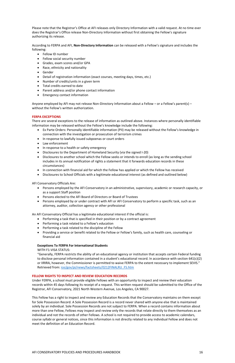Please note that the Registrar's Office at AFI releases only Directory Information with a valid request. At no time ever does the Registrar's Office release Non-Directory Information without first obtaining the Fellow's signature authorizing its release.

According to FERPA and AFI, **Non-Directory Information** can be released with a Fellow's signature and includes the following:

- Fellow ID number
- Fellow social security number
- Grades, exam scores and/or GPA
- Race, ethnicity and nationality
- Gender
- Detail of registration information (exact courses, meeting days, times, etc.)
- Number of credits/units in a given term
- Total credits earned to date
- Parent address and/or phone contact information
- Emergency contact information

Anyone employed by AFI may not release Non-Directory Information about a Fellow – or a Fellow's parent(s) – without the Fellow's written authorization.

#### <span id="page-17-0"></span>**FERPA EXCEPTIONS**

There are several exceptions to the release of information as outlined above. Instances where personally identifiable information may be released without the Fellow's knowledge include the following:

- Ex Parte Orders: Personally identifiable information (PII) may be released without the Fellow's knowledge in connection with the investigation or prosecution of terrorism crimes
- In response to lawfully issued subpoenas or court orders
- Law enforcement
- In response to a health or safety emergency
- Disclosures to the Department of Homeland Security (via the signed I-20)
- Disclosures to another school which the Fellow seeks or intends to enroll (as long as the sending school includes in its annual notification of rights a statement that it forwards education records in these circumstances)
- In connection with financial aid for which the Fellow has applied or which the Fellow has received
- Disclosures to School Officials with a legitimate educational interest (as defined and outlined below)

AFI Conservatory Officials Are:

- Persons employed by the AFI Conservatory in an administrative, supervisory, academic or research capacity, or as a support Staff position
- Persons elected to the AFI Board of Directors or Board of Trustees
- Persons employed by or under contract with AFI or AFI Conservatory to perform a specific task, such as an attorney, auditor, collection agency or other professional

An AFI Conservatory Official has a legitimate educational interest if the official is:

- Performing a task that is specified in their position or by a contract agreement
- Performing a task related to a Fellow's education
- Performing a task related to the discipline of the Fellow
- Providing a service or benefit related to the Fellow or Fellow's family, such as health care, counseling or financial aid

#### **Exceptions To FERPA For International Students**

#### WITH F1-VISA STATUS:

"Generally, FERPA restricts the ability of an educational agency or institution that accepts certain Federal funding to disclose personal information contained in a student's educational record. In accordance with section 641(c)(2) or IIRIRA, however, the Commissioner is permitted to waive FERPA to the extent necessary to implement SEVIS."

Retrieved from: [ice/gov/pi/news/factsheets/0212FINALRU\\_FS.htm](http://ice/gov/pi/news/factsheets/0212FINALRU_FS.htm)

#### <span id="page-17-1"></span>**FELLOW RIGHTS TO INSPECT AND REVIEW EDUCATION RECORDS**

Under FERPA, a school must provide eligible Fellows with an opportunity to inspect and review their education records within 45 days following its receipt of a request. This written request should be submitted to the Office of the Registrar, AFI Conservatory, 2021 North Western Avenue, Los Angeles, CA 90027.

This Fellow has a right to inspect and review any Education Records that the Conservatory maintains on them except for Sole Possession Record. A Sole Possession Record is a record never shared with anyone else that is maintained solely by an individual. Sole Possession Records are not subject to FERPA. When a record contains information about more than one Fellow, Fellows may inspect and review only the records that relate directly to them themselves as an individual and not the records of other Fellows. A school is not required to provide access to academic calendars, course syllabi or general notices, since this information is not directly related to any individual Fellow and does not meet the definition of an Education Record.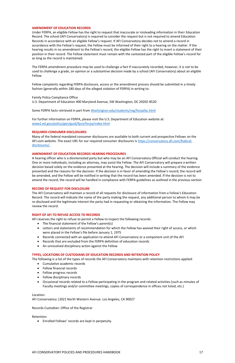#### <span id="page-18-0"></span>**AMENDMENT OF EDUCATION RECORDS**

Under FERPA, an eligible Fellow has the right to request that inaccurate or misleading information in their Education Record. The school (AFI Conservatory) is required to consider the request but is not required to amend Education Records in accordance with an eligible Fellow's request. If AFI Conservatory decides not to amend a record in accordance with the Fellow's request, the Fellow must be informed of their right to a hearing on the matter. If the hearing results in no amendment to the Fellow's record, the eligible Fellow has the right to insert a statement of their position in their record. The Fellow statement must remain with the contested part of the eligible Fellow's record for as long as the record is maintained.

The FERPA amendment procedure may be used to challenge a fact if inaccurately recorded, however, it is not to be used to challenge a grade, an opinion or a substantive decision made by a school (AFI Conservatory) about an eligible Fellow.

Fellow complaints regarding FERPA disclosure, access or the amendment process should be submitted in a timely fashion (generally within 180 days of the alleged violation of FERPA) in writing to:

Family Policy Compliance Office U.S. Department of Education 400 Maryland Avenue, SW Washington, DC 20202-8520

Some FERPA facts retrieved in part from [Washington.edu/students/reg/ferpafac.html](http://washington.edu/students/reg/ferpafac.html)

For further information on FERPA, please visit the U.S. Department of Education website at: [www2.ed.gov/policy/gen/guid/fpco/ferpa/index.html](https://www2.ed.gov/policy/gen/guid/fpco/ferpa/index.html)

#### <span id="page-18-1"></span>**REQUIRED CONSUMER DISCLOSURES**

Many of the federal mandated consumer disclosures are available to both current and prospective Fellows on the AFI.com website. The exact URL for our required consumer disclosures is [https://conservatory.afi.com/federal](https://conservatory.afi.com/federal-disclosures/)[disclosures/](https://conservatory.afi.com/federal-disclosures/)[.](http://afi.com/conservatory/federal_disclosures.aspx)

#### <span id="page-18-2"></span>**AMENDMENT OF EDUCATION RECORDS HEARING PROCEDURES**

A hearing officer who is a disinterested party but who may be an AFI Conservatory Official will conduct the hearing. One or more individuals, including an attorney, may assist the Fellow. The AFI Conservatory will prepare a written decision based solely on the evidence presented at the hearing. The decision will include a summary of the evidence presented and the reasons for the decision. If the decision is in favor of amending the Fellow's record, the record will be amended, and the Fellow will be notified in writing that the record has been amended. If the decision is not to amend the record, the record will be handled in compliance with FERPA guidelines as outlined in the previous section.

#### <span id="page-18-3"></span>**RECORD OF REQUEST FOR DISCLOSURE**

The AFI Conservatory will maintain a record of all requests for disclosure of information from a Fellow's Education Record. The record will indicate the name of the party making the request, any additional person to whom it may be re-disclosed and the legitimate interest the party had in requesting or obtaining the information. The Fellow may review the record.

#### <span id="page-18-4"></span>**RIGHT OF AFI TO REFUSE ACCESS TO RECORDS**

AFI reserves the right to refuse to permit a Fellow to inspect the following records:

- The financial statement of the Fellow's parent(s)
- Letters and statements of recommendation for which the Fellow has waived their right of access, or which were placed in the Fellow's file before January 1, 1975
- Records connected with an application to attend AFI Conservatory or a component unit of the AFI
- Records that are excluded from the FERPA definition of education records
- An unresolved disciplinary action against the Fellow

#### <span id="page-18-5"></span>**TYPES, LOCATIONS OF CUSTODIANS OF EDUCATION RECORDS AND RETENTION POLICY**

The following is a list of the types of records the AFI Conservatory maintains with retention restrictions applied:

- Cumulative academic records
- Fellow financial records
- Fellow progress records
- Fellow disciplinary records
- Occasional records related to a Fellow participating in the program and related activities (such as minutes of Faculty meetings and/or committee meetings, copies of correspondence in offices not listed, etc.)

Location:

AFI Conservatory |2021 North Western Avenue. Los Angeles, CA 90027

Records Custodian: Office of the Registrar

Retention:

• Enrolled Fellows' records are kept in perpetuity.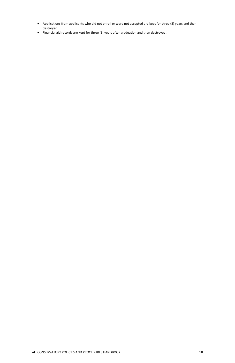- Applications from applicants who did not enroll or were not accepted are kept for three (3) years and then destroyed.
- Financial aid records are kept for three (3) years after graduation and then destroyed.

#### AFI CONSERVATORY POLICIES AND PROCEDURES HANDBOOK 18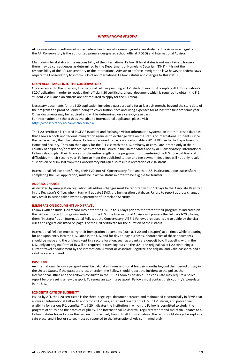#### <span id="page-20-1"></span>*INTERNATIONAL FELLOWS*

<span id="page-20-0"></span>AFI Conservatory is authorized under federal law to enroll non-immigrant alien students. The Associate Registrar of the AFI Conservatory is the authorized primary designated school official (PDSO) and International Advisor.

Maintaining legal status is the responsibility of the International Fellow. If legal status is not maintained, however, there may be consequences as determined by the Department of Homeland Security ("DHS"). It is not the responsibility of the AFI Conservatory or the International Advisor to enforce immigration law; however, federal laws require the Conservatory to inform DHS of an International Fellow's status and changes to this status.

#### <span id="page-20-2"></span>**UPON ACCEPTANCE INTO THE CONSERVATORY**

Once accepted to the program, International Fellows pursuing an F-1 student visa must complete AFI Conservatory's I-20 Application in order to receive their official I-20 certificate, a legal document which is required to obtain the F-1 student visa (Canadian citizens are not required to apply for the F-1 visa).

Necessary documents for the I-20 application include: a passport valid for at least six months beyond the start date of the program and proof of liquid funding to cover tuition, fees and living expenses for at least the first academic year. Other documents may be required and will be determined on a case-by-case basis. For information on scholarships available to International applicants, please visit [https://conservatory.afi.com/scholarships/.](https://conservatory.afi.com/scholarships/)

The I-20 certificate is created in SEVIS (Student and Exchange Visitor Information System), an internet-based database that allows schools and federal immigration agencies to exchange data on the status of international students. Once the I-20 is issued, the International Fellow is required to pay a non-refundable I-901 SEVIS fee to the Department of Homeland Security. They can then apply for the F-1 visa with the U.S. embassy or consulate located only in their country of origin and/or residence. Visas cannot be issued in the United States nor by AFI Conservatory. International Fellows should plan their finances for the entire length of the program prior to entering the U.S. to avoid financial difficulties in their second year. Failure to meet the published tuition and fee payment deadlines will not only result in suspension or dismissal from the Conservatory but can also result in revocation of visa status.

International Fellows transferring their I-20 into AFI Conservatory from another U.S. institution, upon successfully completing the I-20 Application, must be in active status in order to be eligible for transfer.

#### <span id="page-20-3"></span>**ADDRESS CHANGE**

As dictated by immigration regulation, all address changes must be reported within 10 days to the Associate Registrar in the Registrar's Office, who in turn will update SEVIS, the immigration database. Failure to report address changes may result in action taken by the Department of Homeland Security.

#### <span id="page-20-4"></span>**IMMIGRATION DOCUMENTS AND TRAVEL**

Fellows with an Initial I-20 record may enter the U.S. up to 30 days prior to the start of their program as indicated on the I-20 certificate. Upon gaining entry into the U.S., the International Advisor will process the Fellow's I-20, placing them "in-status" as an International Fellow at the Conservatory. All F-1 Fellows are responsible to abide by the visa rules and regulations listed on page 3 of the I-20 certificate for the duration of their status.

International Fellows must carry their immigration documents (such as I-20 and passport) at all times while preparing for and upon entry into the U.S. Once in the U.S. and for day-to-day purposes, photocopies of these documents should be made and the originals kept in a secure location, such as a bank safe deposit box. If traveling within the U.S., only an original form of ID will be required. If traveling outside the U.S., the original, valid I-20 containing a current travel endorsement by the International Advisor or Associate Registrar, the original and valid passport, and a valid visa are required.

#### <span id="page-20-5"></span>**PASSPORT**

An International Fellow's passport must be valid at all times and for at least six months beyond their period of stay in the United States. If the passport is lost or stolen, the Fellow should report the incident to the police, the International Office and the Fellow's consulate in the U.S. as soon as possible. The consulate may require a police report before issuing a new passport. To renew an expiring passport, Fellows must contact their country's consulate in the U.S.

#### <span id="page-20-6"></span>**I-20 CERTIFICATE OF ELIGIBILITY**

Issued by AFI, the I-20 certificate is the three-page legal document created and maintained electronically in SEVIS that allows an International Fellow to apply for an F-1 visa, enter and re-enter the U.S. in F-1 status, and prove their eligibility for various F-1 benefits. The I-20 indicates the institution in which the Fellow is permitted to study, the program of study and the dates of eligibility. The International Advisor will regularly report and maintain updates to a Fellow's status for as long as the I-20 record is actively bound to AFI Conservatory. The I-20 should always be kept in a safe place, and if lost or stolen, must be reported to the International Advisor immediately.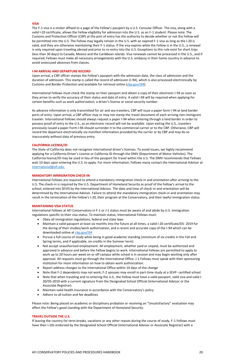#### <span id="page-21-0"></span>**VISA**

The F-1 visa is a sticker affixed to a page of the Fellow's passport by a U.S. Consular Officer. The visa, along with a valid I-20 certificate, allows the Fellow eligibility for admission into the U.S. as an F-1 student. Please note: The Customs and Protection Officer (CBP) at the port of entry has the authority to decide whether or not the Fellow will be permitted into the U.S. The Fellow may legally remain in the U.S. with an expired F-1 visa as long as the I-20 is valid, and they are otherwise maintaining their F-1 status. If the visa expires while the Fellow is in the U.S., a renewal is only required upon traveling abroad and prior to re-entry into the U.S. Exceptions to this rule exist for short trips (less than 30 days) to Canada, Mexico and the Caribbean Islands. Visa renewals cannot be processed in the U.S., and if required, Fellows must make all necessary arrangements with the U.S. embassy in their home country in advance to avoid unexcused absences from classes.

#### <span id="page-21-1"></span>**I-94 ARRIVAL AND DEPARTURE RECORD**

Upon arrival, a CBP officer stamps the Fellow's passport with the admission date, the class of admission and the duration of admission. This stamp is called the record of admission (I-94), which is also processed electronically by Customs and Border Protection and available for retrieval online [\(cbp.gov/i94\)](http://cbp.gov/i94).

International Fellows must check the stamp on their passport and obtain a copy of their electronic I-94 as soon as they arrive to verify the accuracy of their status and date of entry. A valid I-94 will be required when applying for certain benefits such as work authorization, a driver's license or social security number.

As advance information is only transmitted for air and sea travelers, CBP will issue a paper form I-94 at land border ports of entry. Upon arrival, a CBP officer may or may not stamp the travel document of each arriving non-immigrant traveler. International Fellows should always request a paper I-94 when entering through a land border in order to possess proof of entry to the U.S., as an electronic record will not be available. Upon exiting the U.S., travelers previously issued a paper Form I-94 should surrender it to the commercial carrier or to the CBP. Otherwise, CBP will record the departure electronically via manifest information provided by the carrier or by CBP and may do so inaccurately without data of previous entry.

#### <span id="page-21-2"></span>**CALIFORNIA LICENSE/ID**

The State of California does not recognize international driver's licenses. To avoid issues, we highly recommend applying for a California Driver's License or California ID through the DMV (Department of Motor Vehicles). The California license/ID may be used in lieu of the passport for travel within the U.S. The DMV recommends that Fellows wait 10 days upon entering the U.S. to apply. For more information, Fellows many contact the International Advisor at [international@afi.edu.](mailto:international@afi.edu)

#### <span id="page-21-3"></span>**MANDATORY IMMIGRATION CHECK-IN**

International Fellows are required to attend a mandatory immigration check-in and orientation after arriving to the U.S. The check-in is required by the U.S. Department of Homeland Security as proof of the Fellow's arrival to the school, entered into SEVIS by the International Advisor. The date and time of check-in and orientation will be determined by the International Advisor. Failure to attend the mandatory immigration check-in and orientation may result in the termination of the Fellow's I-20, their program at the Conservatory, and their lawful immigration status.

#### <span id="page-21-4"></span>**MAINTAINING VISA STATUS**

International Fellows at AFI Conservatory in F-1 or J-1 status must be aware of and abide by U.S. immigration regulations specific to their visa status. To maintain status, International Fellows must:

- Obey all immigration regulations, federal and state laws
- Maintain a valid passport at least six months into the future at all times, a valid I-20 certificate/DS- 2019 for the during of their studies/work authorization, and a recent and accurate copy of the I-94 which can be downloaded online at [cbp.gov/i94](http://cbp.gov/i94)
- Pursue a full course of study while being in good academic standing (minimum of six credits in the Fall and Spring terms, and if applicable, six credits in the Summer term)
- Not accept unauthorized employment. All employment, whether paid or unpaid, must be authorized and approved in advance and before the Fellow begins to work. International Fellows are permitted to apply to work up to 20 hours per week on or off campus while school is in session and may begin working only after approval. All requests must go through the International Office. J-1 Fellows must speak with their sponsoring institution for more information on how to obtain work authorization.
- Report address changes to the International Office within 10 days of the change
- Note that F-2 dependents may not work; F-2 spouses may enroll in part-time study at a SEVP- certified school
- Note that when traveling and re-entering the U.S., the Fellow must have a valid passport, valid visa and valid I-20/DS-2019 with a current signature from the Designated School Official (International Advisor or the Associate Registrar).
- Maintain valid health insurance in accordance with the Conservatory's policy
- Adhere to all tuition and fee deadlines

Please note: Being placed on academic or disciplinary probation or receiving an "Unsatisfactory" evaluation may affect the Fellow's good standing with the Department of Homeland Security.

#### <span id="page-21-5"></span>**TRAVEL OUTSIDE THE U.S.**

If leaving the country for term breaks, vacations or any other reason during the course of study, F-1 Fellows must have their I-20s endorsed by the Designated School Official (International Advisor or Associate Registrar) with a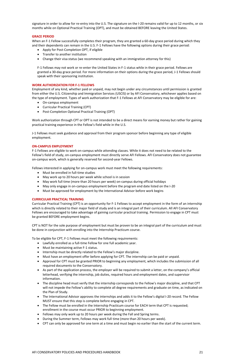signature in order to allow for re-entry into the U.S. The signature on the I-20 remains valid for up to 12 months, or six months while on Optional Practical Training (OPT), and must be obtained BEFORE leaving the United States.

#### <span id="page-22-0"></span>**GRACE PERIOD**

When an F-1 Fellow successfully completes their program, they are granted a 60-day grace period during which they and their dependents can remain in the U.S. F-1 Fellows have the following options during their grace period:

- Apply for Post-Completion OPT, if eligible
- Transfer to another institution
- Change their visa status (we recommend speaking with an immigration attorney for this)

F-1 Fellows may not work or re-enter the United States in F-1 status while in their grace period. Fellows are granted a 30-day grace period. For more information on their options during the grace period, J-1 Fellows should speak with their sponsoring institution.

#### <span id="page-22-1"></span>**WORK AUTHORIZATION FOR F-1 FELLOWS**

Employment of any kind, whether paid or unpaid, may not begin under any circumstances until permission is granted from either the U.S. Citizenship and Immigration Services (USCIS) or by AFI Conservatory, whichever applies based on the type of employment. Types of work authorization that F-1 Fellows at AFI Conservatory may be eligible for are:

- On-campus employment
- Curricular Practical Training (CPT)
- Post-Completion Optional Practical Training (OPT)

Work authorization through CPT or OPT is not intended to be a direct means for earning money but rather for gaining practical training experience in the Fellow's field while in the U.S.

J-1 Fellows must seek guidance and approval from their program sponsor before beginning any type of eligible employment.

#### <span id="page-22-2"></span>**ON-CAMPUS EMPLOYMENT**

F-1 Fellows are eligible to work on-campus while attending classes. While it does not need to be related to the Fellow's field of study, on-campus employment must directly serve AFI Fellows. AFI Conservatory does not guarantee on-campus work, which is generally reserved for second-year Fellows.

Fellows interested in applying for on-campus work must meet the following requirements:

- Must be enrolled in full-time studies
- May work up to 20 hours per week while school is in session
- May work full time (more than 20 hours per week) on-campus during official holidays
- May only engage in on-campus employment before the program end date listed on the I-20
- Must be approved for employment by the International Advisor before work begins

#### <span id="page-22-3"></span>**CURRICULAR PRACTICAL TRAINING**

Curricular Practical Training (CPT) is an opportunity for F-1 Fellows to accept employment in the form of an internship which is directly related to their major field of study and is an integral part of their curriculum. All AFI Conservatory Fellows are encouraged to take advantage of gaining curricular practical training. Permission to engage in CPT must be granted BEFORE employment begins.

CPT is NOT for the sole purpose of employment but must be proven to be an integral part of the curriculum and must be done in conjunction with enrolling into the Internship Practicum course.

To be eligible for CPT, F-1 Fellows must meet the following requirements:

- Lawfully enrolled as a full-time Fellow for one full academic year.
- Must be maintaining active F-1 status.
- Internship must be directly related to the Fellow's major discipline.
- Must have an employment offer before applying for CPT. The internship can be paid or unpaid.
- Approval for CPT must be granted PRIOR to beginning any employment, which includes the submission of all required documents to the Conservatory.
- As part of the application process, the employer will be required to submit a letter, on the company's official letterhead, verifying the internship, job duties, required hours and employment dates, and supervisor information.
- The discipline head must verify that the internship corresponds to the Fellow's major discipline, and that CPT will not impede the Fellow's ability to complete all degree requirements and graduate on time, as indicated on the Plan of Study.
- The International Advisor approves the internships and adds it to the Fellow's digital I-20 record. The Fellow MUST ensure that this step is complete before engaging in CPT.
- The Fellow must be enrolled in the Internship Practicum course for EACH term that CPT is requested; enrollment in the course must occur PRIOR to beginning employment.
- Fellows may only work up to 20 hours per week during the Fall and Spring terms.
- During the Summer term, Fellows may work full time (more than 20 hours per week).
- CPT can only be approved for one term at a time and must begin no earlier than the start of the current term.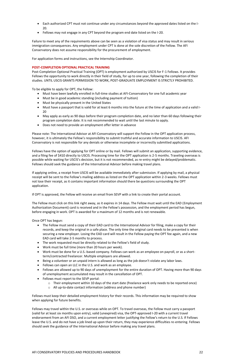- Each authorized CPT must not continue under any circumstances beyond the approved dates listed on the I-20.
- Fellows may not engage in any CPT beyond the program end date listed on the I-20.

Failure to meet any of the requirements above can be seen as a violation of visa status and may result in serious immigration consequences. Any employment under CPT is done at the sole discretion of the Fellow. The AFI Conservatory does not assume responsibility for the procurement of employment.

For application forms and instructions, see the Internship Coordinator.

#### <span id="page-23-0"></span>**POST-COMPLETION OPTIONAL PRACTICAL TRAINING**

Post-Completion Optional Practical Training (OPT) is employment authorized by USCIS for F-1 Fellows. It provides Fellows the opportunity to work directly in their field of study, for up to one year, following the completion of their studies. UNTIL USCIS GRANTS PERMISSION TO WORK, POST-GRADUATE EMPLOYMENT IS STRICTLY PROHIBITED.

To be eligible to apply for OPT, the Fellow:

- Must have been lawfully enrolled in full-time studies at AFI-Conservatory for one full academic year
- Must be in good academic standing (including payment of tuition)
- Must be physically present in the United States
- Must have a passport that is valid for at least 6 months into the future at the time of application and a valid I-20
- May apply as early as 90 days before their program completion date, and no later than 60 days following their program completion date. It is not recommended to wait until the last minute to apply.
- Does not need to provide an employment offer letter in advance

Please note: The International Advisor at AFI Conservatory will support the Fellow in the OPT application process, however, it is ultimately the Fellow's responsibility to submit truthful and accurate information to USCIS. AFI Conservatory is not responsible for any denials or otherwise incomplete or incorrectly submitted applications.

Fellows have the option of applying for OPT online or by mail. Fellows will submit an application, supporting evidence, and a filing fee of \$410 directly to USCIS. Processing time for the OPT application is 2-5 months. Traveling overseas is possible while waiting for USCIS's decision, but it is not recommended, as re-entry might be delayed/problematic. Fellows should seek the guidance of the International Advisor before making travel plans.

If applying online, a receipt from USCIS will be available immediately after submission. If applying by mail, a physical receipt will be sent to the Fellow's mailing address as listed on the OPT application within 2-3 weeks. Fellows must not lose their receipt, as it contains important information should there be questions surrounding the OPT application.

If OPT is approved, the Fellow will receive an email from SEVP with a link to create their portal account.

The Fellow must click on this link right away, as it expires in 14 days. The Fellow must wait until the EAD (Employment Authorization Document) card is received and in the Fellow's possession, and the employment period has begun, before engaging in work. OPT is awarded for a maximum of 12 months and is not renewable.

Once OPT has begun:

- The Fellow must send a copy of their EAD card to the International Advisor for filing, make a copy for their records, and keep the original in a safe place. The only time the original card needs to be presented is when securing a new employer. Losing the EAD card will result in the Fellow paying the OPT fee again, and a new EAD card will take 2-5 months to process.
- The work requested must be directly related to the Fellow's field of study.
- Work must be full time (more than 20 hours per week).
- Work must be done for a U.S.-based company. Fellows can work as an employee on payroll, or as a shortterm/contracted freelancer. Multiple employers are allowed.
- Being a volunteer or an unpaid intern is allowed as long as the job doesn't violate any labor laws.
- Fellows can open an LLC in the U.S. and work as an employee.
- 
- Fellows are allowed up to 90 days of unemployment for the entire duration of OPT. Having more than 90 days of unemployment accumulated may result in the cancellation of OPT.
- Fellows must report to the SEVP portal:
	- o Their employment within 10 days of the start date (freelance work only needs to be reported once)
	- o All up-to-date contact information (address and phone number)

Fellows must keep their detailed employment history for their records. This information may be required to show when applying for future benefits.

Fellows may travel within the U.S. or overseas while on OPT. To travel overseas, the Fellow must carry a passport (valid for at least six months upon entry), valid (unexpired) visa, the OPT-approved I-20 with a current travel endorsement from an AFI DSO, and a current employment letter justifying the Fellow's return to the U.S. If Fellows leave the U.S. and do not have a job lined up upon their return, they may experience difficulties re-entering. Fellows should seek the guidance of the International Advisor before making any travel plans.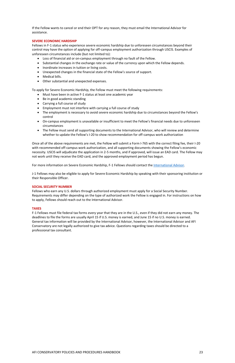#### AFI CONSERVATORY POLICIES AND PROCEDURES HANDBOOK 23

If the Fellow wants to cancel or end their OPT for any reason, they must email the International Advisor for assistance.

#### <span id="page-24-0"></span>**SEVERE ECONOMIC HARDSHIP**

Fellows in F-1 status who experience severe economic hardship due to unforeseen circumstances beyond their control may have the option of applying for off-campus employment authorization through USCIS. Examples of unforeseen circumstances include (but not limited to):

- Loss of financial aid or on-campus employment through no fault of the Fellow.
- Substantial changes in the exchange rate or value of the currency upon which the Fellow depends.
- Inordinate increases in tuition or living costs.
- Unexpected changes in the financial state of the Fellow's source of support.
- Medical bills.
- Other substantial and unexpected expenses.

To apply for Severe Economic Hardship, the Fellow must meet the following requirements:

- Must have been in active F-1 status at least one academic year
- Be in good academic standing
- Carrying a full course of study
- Employment must not interfere with carrying a full course of study
- The employment is necessary to avoid severe economic hardship due to circumstances beyond the Fellow's control
- On-campus employment is unavailable or insufficient to meet the Fellow's financial needs due to unforeseen circumstances
- The Fellow must send all supporting documents to the International Advisor, who will review and determine whether to update the Fellow's I-20 to show recommendation for off-campus work authorization

Once all of the above requirements are met, the Fellow will submit a Form I-765 with the correct filing fee, their I-20 with recommended off-campus work authorization, and all supporting documents showing the Fellow's economic necessity. USCIS will adjudicate the application in 2-5 months, and if approved, will issue an EAD card. The Fellow may not work until they receive the EAD card, and the approved employment period has begun.

For more information on Severe Economic Hardship, F-1 Fellows should contact the [International Advisor.](mailto:international@afi.edu)

J-1 Fellows may also be eligible to apply for Severe Economic Hardship by speaking with their sponsoring institution or their Responsible Officer.

#### <span id="page-24-1"></span>**SOCIAL SECURITY NUMBER**

Fellows who earn any U.S. dollars through authorized employment must apply for a Social Security Number. Requirements may differ depending on the type of authorized work the Fellow is engaged in. For instructions on how to apply, Fellows should reach out to the International Advisor.

#### <span id="page-24-2"></span>**TAXES**

F-1 Fellows must file federal tax forms every year that they are in the U.S., even if they did not earn any money. The deadlines to file the forms are usually April 15 if U.S. money is earned, and June 15 if no U.S. money is earned. General tax information will be provided by the International Advisor, however, the International Advisor and AFI Conservatory are not legally authorized to give tax advice. Questions regarding taxes should be directed to a professional tax consultant.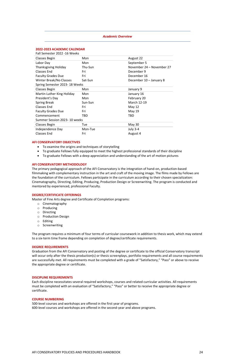#### *Academic Overview*

<span id="page-25-1"></span><span id="page-25-0"></span>

| 2022-2023 ACADEMIC CALENDAR    |         |                           |
|--------------------------------|---------|---------------------------|
| Fall Semester 2022 -16 Weeks   |         |                           |
| Classes Begin                  | Mon     | August 22                 |
| Labor Day                      | Mon     | September 5               |
| <b>Thanksgiving Holiday</b>    | Thu-Sun | November 24 - November 27 |
| <b>Classes End</b>             | Fri     | December 9                |
| <b>Faculty Grades Due</b>      | Fri     | December 16               |
| Winter Break/No Classes        | Sat-Sun | December 10 - January 8   |
| Spring Semester 2023- 18 Weeks |         |                           |
| <b>Classes Begin</b>           | Mon     | January 9                 |
| Martin Luther King Holiday     | Mon     | January 16                |
| President's Day                | Mon     | February 20               |
| <b>Spring Break</b>            | Sun-Sun | March 12-19               |
| <b>Classes End</b>             | Fri     | May 12                    |
| <b>Faculty Grades Due</b>      | Fri     | May 19                    |
| Commencement                   | TBD     | TBD                       |
| Summer Session 2023-10 weeks   |         |                           |
| Classes Begin                  | Tue     | <b>May 30</b>             |
| Independence Day               | Mon-Tue | <b>July 3-4</b>           |
| <b>Classes End</b>             | Fri     | August 4                  |

#### <span id="page-25-2"></span>**AFI CONSERVATORY OBJECTIVES**

- To examine the origins and techniques of storytelling
- To graduate Fellows fully equipped to meet the highest professional standards of their discipline
- To graduate Fellows with a deep appreciation and understanding of the art of motion pictures

#### <span id="page-25-3"></span>**AFI CONSERVATORY METHODOLOGY**

The primary pedagogical approach of the AFI Conservatory is the integration of hand-on, production-based filmmaking with complementary instruction in the art and craft of the moving image. The films made by Fellows are the foundation of the curriculum. Fellows participate in the curriculum according to their chosen specialization: Cinematography, Directing, Editing, Producing, Production Design or Screenwriting. The program is conducted and mentored by experienced, professional Faculty.

#### <span id="page-25-4"></span>**DEGREE/CERTIFICATE OFFERINGS**

Master of Fine Arts degree and Certificate of Completion programs:

- o Cinematography
- o Producing
- o Directing
- o Production Design
- o Editing
- o Screenwriting

The program requires a minimum of four terms of curricular coursework in addition to thesis work, which may extend to a six-term time frame depending on completion of degree/certificate requirements.

#### <span id="page-25-5"></span>**DEGREE REQUIREMENTS**

Graduation from the AFI Conservatory and posting of the degree or certificate to the official Conservatory transcript will occur only after the thesis production(s) or thesis screenplays, portfolio requirements and all course requirements are successfully met. All requirements must be completed with a grade of "Satisfactory," "Pass" or above to receive the appropriate degree or certificate.

#### <span id="page-25-6"></span>**DISCIPLINE REQUIREMENTS**

Each discipline necessitates several required workshops, courses and related curricular activities. All requirements must be completed with an evaluation of "Satisfactory," "Pass" or better to receive the appropriate degree or certificate.

#### <span id="page-25-7"></span>**COURSE NUMBERING**

500-level courses and workshops are offered in the first year of programs. 600-level courses and workshops are offered in the second-year and above programs.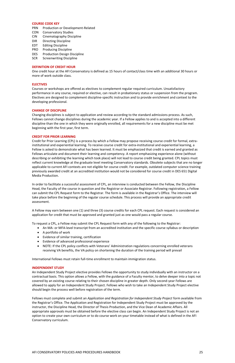#### <span id="page-26-0"></span>**COURSE CODE KEY**

- PRN Production or Development-Related
- CON Conservatory Studies
- CIN Cinematography Discipline
- DIR Directing Discipline
- EDT Editing Discipline
- PRO Producing Discipline
- DES Production Design Discipline
- SCR Screenwriting Discipline

#### <span id="page-26-1"></span>**DEFINITION OF CREDIT HOUR**

One credit hour at the AFI Conservatory is defined as 15 hours of contact/class time with an additional 30 hours or more of work outside class.

#### <span id="page-26-2"></span>**ELECTIVES**

Courses or workshops are offered as electives to complement regular required curriculum. Unsatisfactory performance in any course, required or elective, can result in probationary status or suspension from the program. Electives are designed to complement discipline-specific instruction and to provide enrichment and context to the developing professional.

#### <span id="page-26-3"></span>**CHANGE OF DISCIPLINE**

Changing disciplines is subject to application and review according to the standard admissions process. As such, Fellows cannot change disciplines during the academic year. If a Fellow applies to and is accepted into a different discipline than the one in which they were originally enrolled, all requirements for a new discipline must be met beginning with the first year, first term.

#### <span id="page-26-4"></span>**CREDIT FOR PRIOR LEARNING**

Credit for Prior Learning (CPL) is a process by which a Fellow may propose receiving course credit for formal, extrainstitutional and experiential learning. To receive course credit for extra-institutional and experiential learning, a Fellow is asked to demonstrate what has been learned. It must be emphasized that credit is earned and granted as Fellows articulate and document their learning and competency. A report emphasizing experience alone (without describing or exhibiting the learning which took place) will not lead to course credit being granted. CPL topics must reflect current knowledge at the graduate level meeting Conservatory standards. Obsolete subjects that are no longer applicable to current AFI contexts are not eligible for course credit. For example, outdated computer science training previously awarded credit at an accredited institution would not be considered for course credit in DES 651 Digital Media Production.

In order to facilitate a successful assessment of CPL, an interview is conducted between the Fellow, the Discipline Head, the Faculty of the course in question and the Registrar or Associate Registrar. Following registration, a Fellow can submit the CPL Request form to the Registrar. The form is available in the Registrar's Office. The interview will take place before the beginning of the regular course schedule. This process will provide an appropriate credit assessment.

A Fellow may earn between one (1) and three (3) course credits for each CPL request. Each request is considered an application for credit that must be approved and granted just as one would pass a regular course.

To request a CPL, a Fellow may submit the CPL Request form with any of the following to the Registrar:

- An MA- or MFA-level transcript from an accredited institution and the specific course syllabus or description
- A portfolio of work
- Evidence of similar training, certification
- Evidence of advanced professional experience
- NOTE: If the CPL policy conflicts with Veterans' Administration regulations concerning enrolled veterans receiving VA benefits, the VA policy on shortening the duration of the training period will prevail

International Fellows must retain full-time enrollment to maintain immigration status.

#### <span id="page-26-5"></span>**INDEPENDENT STUDY**

An Independent Study Project elective provides Fellows the opportunity to study individually with an instructor on a contractual basis. This option allows a Fellow, with the guidance of a Faculty mentor, to delve deeper into a topic not covered by an existing course relating to their chosen discipline in greater depth. Only second-year Fellows are allowed to apply for an Independent Study Project. Fellows who wish to take an Independent Study Project elective should begin the process well before registration of the term.

Fellows must complete and submit an *Application and Registration for Independent Study Project* form available from the Registrar's Office. The Application and Registration for Independent Study Project must be approved by the instructor, the Discipline Head, the Director of Thesis Production, and the Vice Dean of Academic Affairs. All appropriate approvals must be obtained before the elective class can begin. An Independent Study Project is not an option to create your own curriculum or to do course work on your timetable instead of what is defined in the AFI Conservatory curriculum.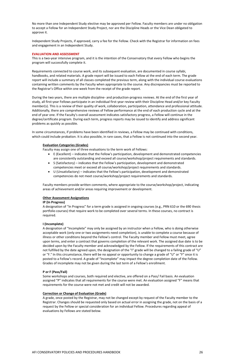No more than one Independent Study elective may be approved per Fellow. Faculty members are under no obligation to accept a Fellow for an Independent Study Project, nor are the Discipline Heads or the Vice Dean obligated to approve it.

Independent Study Projects, if approved, carry a fee for the Fellow. Check with the Registrar for information on fees and engagement in an Independent Study.

#### <span id="page-27-0"></span>**EVALUATION AND ASSESSMENT**

This is a two-year intensive program, and it is the intention of the Conservatory that every Fellow who begins the program will successfully complete it.

Requirements connected to course work, and its subsequent evaluation, are documented in course syllabi, handbooks, and related materials. A grade report will be issued to each Fellow at the end of each term. The grade report will include a summary of all classes completed the previous term, along with the individual course evaluations containing written comments by the Faculty when appropriate to the course. Any discrepancies must be reported to the Registrar's Office within one week from the receipt of the grade report.

During the two years, there are multiple discipline- and production-progress reviews. At the end of the first year of study, all first-year Fellows participate in an individual first-year review with their Discipline Head and/or key Faculty member(s). This is a review of their quality of work, collaboration, participation, attendance and professional attitude. Additionally, there are comprehensive reviews of Fellow performance at the end of each production cycle and at the end of year one. If the Faculty's overall assessment indicates satisfactory progress, a Fellow will continue in the degree/certificate program. During each term, progress reports may be issued to identify and address significant problems as quickly as possible.

In some circumstances, if problems have been identified in reviews, a Fellow may be continued with conditions, which could include probation. It is also possible, in rare cases, that a Fellow is not continued into the second year.

#### **Evaluation Categories (Grades)**

Faculty may assign one of three evaluations to the term work of Fellows:

- E (Excellent) indicates that the Fellow's participation, development and demonstrated competencies are consistently outstanding and exceed all course/workshop/project requirements and standards.
- S (Satisfactory) indicates that the Fellow's participation, development and demonstrated competencies meet or exceed all course/workshop/project requirements and standards.
- U (Unsatisfactory) indicates that the Fellow's participation, development and demonstrated competencies do not meet course/workshop/project requirements and standards.

Faculty members provide written comments, where appropriate to the course/workshop/project, indicating areas of achievement and/or areas requiring improvement or development.

#### **Other Assessment Assignations**

#### **IP (In Progress)**

A designation of "In Progress" for a term grade is assigned in ongoing courses (e.g., PRN 610 or the 690 thesis portfolio courses) that require work to be completed over several terms. In these courses, no contract is required.

#### **I (Incomplete)**

A designation of "Incomplete" may only be assigned by an instructor when a Fellow, who is doing otherwise acceptable work (only one or two assignments need completion), is unable to complete a course because of illness or other conditions beyond the Fellow's control. The Faculty member and Fellow must meet, agree upon terms, and enter a contract that governs completion of the relevant work. The assigned due date is to be decided upon by the Faculty member and acknowledged by the Fellow. If the requirements of this contract are not fulfilled by the date agreed upon, the designation of the "I" grade will be changed to a failing grade of "U" or "F." In this circumstance, there will be no appeal or opportunity to change a grade of "U" or "F" once it is posted to a Fellow's record. A grade of "Incomplete" may impact the degree completion date of the Fellow. Grades of incomplete may not be given during the last term of a Fellow's enrollment.

#### **P or F (Pass/Fail)**

Some workshops and courses, both required and elective, are offered on a Pass/ Fail basis. An evaluation assigned "P" indicates that all requirements for the course were met. An evaluation assigned "F" means that requirements for the course were not met and credit will not be awarded.

#### **Correction or Change of Evaluation (Grade)**

A grade, once posted by the Registrar, may not be changed except by request of the Faculty member to the Registrar. Changes should be requested only based on actual error in assigning the grade, not on the basis of a request by the Fellow or special consideration for an individual Fellow. Procedures regarding appeal of evaluations by Fellows are stated below.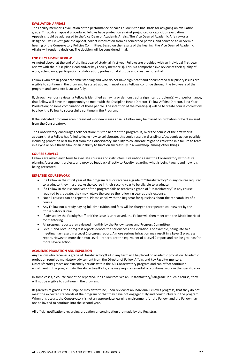#### <span id="page-28-0"></span>**EVALUATION APPEALS**

The Faculty member's evaluation of the performance of each Fellow is the final basis for assigning an evaluation grade. Through an appeal procedure, Fellows have protection against prejudiced or capricious evaluation. Appeals should be addressed to the Vice Dean of Academic Affairs. The Vice Dean of Academic Affairs—or a designee—will investigate the appeal, collect information from all concerned parties, and convene an academic hearing of the Conservatory Policies Committee. Based on the results of the hearing, the Vice Dean of Academic Affairs will render a decision. The decision will be considered final.

#### <span id="page-28-1"></span>**END OF YEAR-ONE REVIEW**

As noted above, at the end of the first year of study, all first-year Fellows are provided with an individual first-year review with their Discipline Head and/or key Faculty member(s). This is a comprehensive review of their quality of work, attendance, participation, collaboration, professional attitude and creative potential.

Fellows who are in good academic standing and who do not have significant and documented disciplinary issues are eligible to continue in the program. As stated above, in most cases Fellows continue through the two years of the program and complete it successfully.

If, through various reviews, a Fellow is identified as having or demonstrating significant problem(s) with performance, that Fellow will have the opportunity to meet with the Discipline Head; Director, Fellow Affairs; Director, First Year Production; or some combination of those people. The intention of the meeting(s) will be to create course corrections to allow the Fellow to successfully continue in the Program.

If the indicated problems aren't resolved – or new issues arise, a Fellow may be placed on probation or be dismissed from the Conservatory.

The Conservatory encourages collaboration; it is the heart of the program. If, over the course of the first year it appears that a Fellow has failed to learn how to collaborate, this could result in disciplinary/academic action possibly including probation or dismissal from the Conservatory. Inability to collaborate might be reflected in a failure to team in a cycle or on a thesis film, or an inability to function successfully in a workshop, among other things.

#### <span id="page-28-2"></span>**COURSE SURVEYS**

Fellows are asked each term to evaluate courses and instructors. Evaluations assist the Conservatory with future planning/assessment projects and provide feedback directly to Faculty regarding what is being taught and how it is being presented.

#### <span id="page-28-3"></span>**REPEATED COURSEWORK**

- If a Fellow in their first year of the program fails or receives a grade of "Unsatisfactory" in any course required to graduate, they must retake the course in their second year to be eligible to graduate.
- If a Fellow in their second year of the program fails or receives a grade of "Unsatisfactory" in any course required to graduate, they may retake the course the following year at their expense.
- Not all courses can be repeated. Please check with the Registrar for questions about the repeatability of a course.
- Any Fellow not already paying full-time tuition and fees will be charged for repeated coursework by the Conservatory Bursar.
- If advised by the Faculty/Staff or if the issue is unresolved, the Fellow will then meet with the Discipline Head for mentoring.
- All progress reports are reviewed monthly by the Fellow Issues and Progress Committee.
- Level 1 and Level 2 progress reports denote the seriousness of a violation. For example, being late to a meeting may result in a Level 1 progress report. A more serious infraction may result in a Level 2 progress report. However, more than two Level 1 reports are the equivalent of a Level 2 report and can be grounds for more severe action.

#### <span id="page-28-4"></span>**ACADEMIC PROBATION AND EXPULSION**

Any Fellow who receives a grade of Unsatisfactory/Fail in any term will be placed on academic probation. Academic probation requires mandatory advisement from the Director of Fellow Affairs and key Faculty/ mentors. Unsatisfactory grades are extremely serious within the AFI Conservatory program and can affect continued

enrollment in the program. An Unsatisfactory/Fail grade may require remedial or additional work in the specific area.

In some cases, a course cannot be repeated. If a Fellow receives an Unsatisfactory/Fail grade in such a course, they will not be eligible to continue in the program.

Regardless of grades, the Discipline may determine, upon review of an individual Fellow's progress, that they do not meet the expected standards of the program or that they have not engaged fully and constructively in the program. When this occurs, the Conservatory is not an appropriate learning environment for the Fellow, and the Fellow may not be invited to continue into the second year.

All official notifications regarding probation or continuation are made by the Registrar.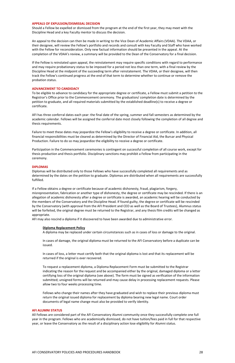#### <span id="page-29-0"></span>**APPEALS OF EXPULSION/DISMISSAL DECISION**

Should a Fellow be expelled or dismissed from the program at the end of the first year, they may meet with the Discipline Head and a key Faculty mentor to discuss the decision.

An appeal to the decision can then be made in writing to the Vice Dean of Academic Affairs (VDAA). The VDAA, or their designee, will review the Fellow's portfolio and records and consult with key Faculty and Staff who have worked with the Fellow for reconsideration. Only new factual information should be presented in the appeal. At the completion of the VDAA's review, a summary will be provided to the Dean of the Conservatory for a final decision.

If the Fellow is reinstated upon appeal, the reinstatement may require specific conditions with regard to performance and may require probationary status to be imposed for a period not less than one term, with a final review by the Discipline Head at the midpoint of the succeeding term after reinstatement. The VDAA, or their designee, will then track the Fellow's continued progress at the end of that term to determine whether to continue or remove the probation status.

#### <span id="page-29-1"></span>**ADVANCEMENT TO CANDIDACY**

To be eligible to advance to candidacy for the appropriate degree or certificate, a Fellow must submit a petition to the Registrar's Office prior to the Commencement ceremony. The graduation/ completion date is determined by the petition to graduate, and all required materials submitted by the established deadline(s) to receive a degree or certificate.

AFI has three conferral dates each year: the final date of the spring, summer and fall semesters as determined by the academic calendar. Fellows will be assigned the conferral date most closely following the completion of all degree and thesis requirements.

Failure to meet these dates may jeopardize the Fellow's eligibility to receive a degree or certificate. In addition, all financial responsibilities must be cleared as determined by the Director of Financial Aid, the Bursar and Physical Production. Failure to do so may jeopardize the eligibility to receive a degree or certificate.

Participation in the Commencement ceremonies is contingent on successful completion of all course work, except for thesis production and thesis portfolio. Disciplinary sanctions may prohibit a Fellow from participating in the ceremony.

#### <span id="page-29-2"></span>**DIPLOMAS**

Diplomas will be distributed only to those Fellows who have successfully completed all requirements and as determined by the dates on the petition to graduate. Diplomas are distributed when all requirements are successfully fulfilled.

If a Fellow obtains a degree or certificate because of academic dishonesty, fraud, plagiarism, forgery, misrepresentation, fabrication or another type of dishonesty, the degree or certificate may be rescinded. If there is an allegation of academic dishonesty after a degree or certificate is awarded, an academic hearing will be conducted by the members of the Conservatory and the Discipline Head. If found guilty, the degree or certificate will be rescinded by the Conservatory (with approval from the AFI President and CEO as well as the Board of Trustees), Alumnus status will be forfeited, the original degree must be returned to the Registrar, and any thesis film credits will be changed as appropriate.

AFI may also rescind a diploma if it discovered to have been awarded due to administrative error.

#### **Diploma Replacement Policy**

A diploma may be replaced under certain circumstances such as in cases of loss or damage to the original.

In cases of damage, the original diploma must be returned to the AFI Conservatory before a duplicate can be issued.

In cases of loss, a letter must certify both that the original diploma is lost and that its replacement will be returned if the original is ever recovered.

To request a replacement diploma, a Diploma Replacement Form must be submitted to the Registrar indicating the reason for the request and be accompanied either by the original, damaged diploma or a letter certifying loss of the original diploma (see above). The form must be signed as verification of the information submitted; unsigned forms will be returned and may cause delay in processing replacement requests. Please allow two to four weeks processing time.

Fellows who change their names after they have graduated and wish to replace their previous diploma must return the original issued diploma for replacement by diploma bearing new legal name. Court order documents of legal name change must also be provided to verify identity.

#### <span id="page-29-3"></span>**AFI ALUMNI STATUS**

All Fellows are considered part of the AFI Conservatory Alumni community once they successfully complete one full year in the program. Fellows who are academically dismissed, do not have tuition/fees paid in full for that respective year, or leave the Conservatory as the result of a disciplinary action lose eligibility for Alumni status.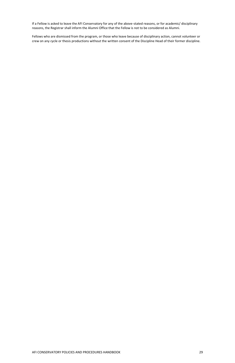If a Fellow is asked to leave the AFI Conservatory for any of the above-stated reasons, or for academic/ disciplinary reasons, the Registrar shall inform the Alumni Office that the Fellow is not to be considered as Alumni.

Fellows who are dismissed from the program, or those who leave because of disciplinary action, cannot volunteer or crew on any cycle or thesis productions without the written consent of the Discipline Head of their former discipline.

#### AFI CONSERVATORY POLICIES AND PROCEDURES HANDBOOK 29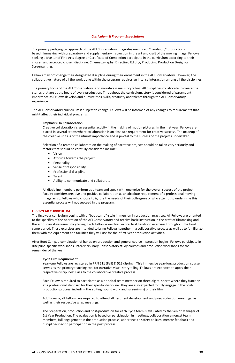#### <span id="page-31-1"></span>*Curriculum & Program Expectations*

The primary pedagogical approach of the AFI Conservatory integrates mentored, "hands-on," productionbased filmmaking with preparatory and supplementary instruction in the art and craft of the moving image. Fellows seeking a Master of Fine Arts degree or Certificate of Completion participate in the curriculum according to their chosen and accepted chosen discipline: Cinematography, Directing, Editing, Producing, Production Design or Screenwriting.

Fellows may not change their designated discipline during their enrollment in the AFI Conservatory. However, the collaborative nature of all the work done within the program requires an intense interaction among all the disciplines.

The primary focus of the AFI Conservatory is on narrative visual storytelling. All disciplines collaborate to create the stories that are at the heart of every production. Throughout the curriculum, story is considered of paramount importance as Fellows develop and nurture their skills, creativity and talents through the AFI Conservatory experience.

The AFI Conservatory curriculum is subject to change. Fellows will be informed of any changes to requirements that might affect their individual programs.

#### <span id="page-31-0"></span>**Emphasis On Collaboration**

Creative collaboration is an essential activity in the making of motion pictures. In the first year, Fellows are placed in several teams where collaboration is an absolute requirement for creative success. The makeup of the creative units is of the utmost importance and is pivotal to the success of the projects undertaken.

Selection of a team to collaborate on the making of narrative projects should be taken very seriously and factors that should be carefully considered include:

- Vision
- Attitude towards the project
- Personality
- Sense of responsibility
- Professional discipline
- Talent
- Ability to communicate and collaborate

All discipline members perform as a team and speak with one voice for the overall success of the project. Faculty considers creative and positive collaboration as an absolute requirement of a professional moving image artist. Fellows who choose to ignore the needs of their colleagues or who attempt to undermine this essential process will not succeed in the program.

#### <span id="page-31-2"></span>**FIRST-YEAR CURRICULUM**

The first-year curriculum begins with a "boot camp"-style immersion in production practices. All Fellows are oriented to the specifics of the operation of the AFI Conservatory and receive basic instruction in the craft of filmmaking and the art of narrative visual storytelling. Each Fellow is involved in practical hands-on exercises throughout the boot camp period. These exercises are intended to bring Fellows together in a collaborative process as well as to familiarize them with the equipment and facilities they will use for their first-year production activities.

After Boot Camp, a combination of hands-on production and general course instruction begins. Fellows participate in discipline-specific workshops, interdisciplinary Conservatory study courses and production workshops for the remainder of the year.

#### **Cycle Film Requirement**

Year-one Fellows are registered in PRN 511 (Fall) & 512 (Spring). This immersive year-long production course serves as the primary teaching tool for narrative visual storytelling. Fellows are expected to apply their respective disciplines' skills to the collaborative creative process.

Each Fellow is required to participate as a principal team member on three digital shorts where they function at a professional standard for their specific discipline. They are also expected to fully engage in the postproduction process, including the editing, sound work and screening(s) of their film.

Additionally, all Fellows are required to attend all pertinent development and pre-production meetings, as well as their respective wrap meetings.

The preparation, production and post-production for each Cycle team is evaluated by the Senior Manager of 1st Year Production. The evaluation is based on participation in meetings, collaboration amongst team members, full engagement in the production process, adherence to safety policies, mentor feedback and discipline-specific participation in the post process.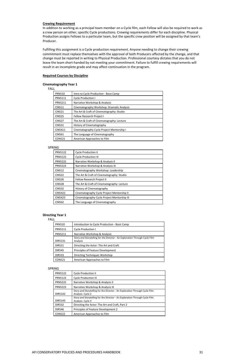#### **Crewing Requirement**

In addition to working as a principal team member on a Cycle film, each Fellow will also be required to work as a crew person on other, specific Cycle productions. Crewing requirements differ for each discipline. Physical Production assigns Fellows to a particular team, but the specific crew position will be assigned by that team's Producer.

Fulfilling this assignment is a Cycle production requirement. Anyone needing to change their crewing commitment must replace themselves with the approval of both Producers affected by the change, and that change must be reported in writing to Physical Production. Professional courtesy dictates that you do not leave the team short-handed by not meeting your commitment. Failure to fulfill crewing requirements will result in an incomplete grade and may affect continuation in the program.

#### **Required Courses by Discipline**

#### **Cinematography Year 1**

#### FALL

| <b>PRN510</b>  | Intro to Cycle Production - Boot Camp      |
|----------------|--------------------------------------------|
| <b>PRN5111</b> | Cycle Production I                         |
| <b>PRN5211</b> | Narrative Workshop & Analysis              |
| <b>CIN511</b>  | Cinematography Workshop: Dramatic Analysis |
| <b>CIN521</b>  | The Art & Craft of Cinematography: Studio  |
| <b>CIN525</b>  | <b>Fellow Research Project I</b>           |
| <b>CIN527</b>  | The Art & Craft of Cinematography: Lecture |
| <b>CIN531</b>  | History of Cinematography                  |
| CIN5411        | Cinematography Cycle Project Mentorship I  |
| <b>CIN561</b>  | The Language of Cinematography             |
| <b>CON521</b>  | American Approaches to Film                |

#### SPRING

| <b>PRN5122</b> | <b>Cycle Production II</b>                  |
|----------------|---------------------------------------------|
| <b>PRN5123</b> | <b>Cycle Production III</b>                 |
| <b>PRN5222</b> | Narrative Workshop & Analysis II            |
| <b>PRN5223</b> | Narrative Workshop & Analysis III           |
| <b>CIN512</b>  | Cinematography Workshop: Leadership         |
| <b>CIN522</b>  | The Art & Craft of Cinematography: Studio   |
| <b>CIN526</b>  | <b>Fellow Research Project II</b>           |
| <b>CIN528</b>  | The Art & Craft of Cinematography: Lecture  |
| <b>CIN532</b>  | History of Cinematography                   |
| <b>CIN5422</b> | Cinematography Cycle Project Mentorship II  |
| <b>CIN5423</b> | Cinematography Cycle Project Mentorship III |
| <b>CIN562</b>  | The Language of Cinematography              |

#### **Directing Year 1**

#### FALL

| <b>PRN510</b>  | Introduction to Cycle Production - Boot Camp                                            |
|----------------|-----------------------------------------------------------------------------------------|
| <b>PRN5111</b> | <b>Cycle Production I</b>                                                               |
| <b>PRN5211</b> | Narrative Workshop & Analysis                                                           |
| <b>DIR5131</b> | Story and Storytelling for the Director - An Exploration Through Cycle Film<br>Analysis |
| <b>DIR521</b>  | Directing the Actor: The Art and Craft                                                  |
| <b>DIR545</b>  | Principles of Feature Development                                                       |
| <b>DIR533</b>  | Directing Techniques Workshop                                                           |
| <b>CON521</b>  | American Approaches to Film                                                             |

#### SPRING

| <b>PRN5122</b> | <b>Cycle Production II</b>                                                                       |
|----------------|--------------------------------------------------------------------------------------------------|
| <b>PRN5123</b> | <b>Cycle Production III</b>                                                                      |
| <b>PRN5222</b> | Narrative Workshop & Analysis II                                                                 |
| <b>PRN5223</b> | Narrative Workshop & Analysis III                                                                |
| DIR5142        | Story and Storytelling for the Director - An Exploration Through Cycle Film<br>Analysis- Cycle 2 |
| DIR5143        | Story and Storytelling for the Director - An Exploration Through Cycle Film<br>Analysis- Cycle 3 |
| <b>DIR532</b>  | Directing the Actor: The Art and Craft, Part 2                                                   |
| <b>DIR546</b>  | Principles of Feature Development 2                                                              |
| <b>CON522</b>  | American Approaches to Film                                                                      |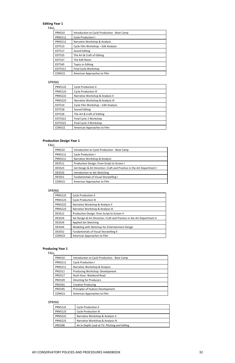#### **Editing Year 1**

#### FALL

| <b>PRN510</b>  | Introduction to Cycle Production - Boot Camp |
|----------------|----------------------------------------------|
| <b>PRN5111</b> | <b>Cycle Production I</b>                    |
| <b>PRN5211</b> | Narrative Workshop & Analysis                |
| <b>EDT513</b>  | Cycle Film Workshop - Edit Analysis          |
| <b>EDT517</b>  | Sound Editing                                |
| <b>EDT525</b>  | The Art & Craft of Editing                   |
| <b>EDT527</b>  | The Edit Room                                |
| <b>EDT545</b>  | <b>Topics in Editing</b>                     |
| EDT5511        | Final Cycle Workshop                         |
| <b>CON521</b>  | American Approaches to Film                  |

#### SPRING

| <b>PRN5122</b> | <b>Cycle Production II</b>          |
|----------------|-------------------------------------|
| <b>PRN5123</b> | <b>Cycle Production III</b>         |
| <b>PRN5222</b> | Narrative Workshop & Analysis II    |
| <b>PRN5223</b> | Narrative Workshop & Analysis III   |
| EDT514         | Cycle Film Workshop - Edit Analysis |
| <b>EDT518</b>  | Sound Editing                       |
| <b>EDT526</b>  | The Art & Craft of Editing          |
| EDT5522        | Final Cycle 2 Workshop              |
| EDT5523        | Final Cycle 3 Workshop              |
| <b>CON522</b>  | American Approaches to Film         |

#### **Production Design Year 1**

FALL

| <b>PRN510</b>  | Introduction to Cycle Production - Boot Camp                           |
|----------------|------------------------------------------------------------------------|
| <b>PRN5111</b> | Cycle Production I                                                     |
| <b>PRN5211</b> | Narrative Workshop & Analysis                                          |
| <b>DES511</b>  | Production Design: From Script to Screen I                             |
| <b>DES523</b>  | Set Design & Art Direction: Craft and Practice in the Art Department I |
| <b>DES533</b>  | Introduction to Set Sketching                                          |
| <b>DES551</b>  | <b>Fundamentals of Visual Storytelling I</b>                           |
| <b>CON521</b>  | American Approaches to Film                                            |

#### SPRING

| <b>PRN5122</b> | <b>Cycle Production II</b>                                              |
|----------------|-------------------------------------------------------------------------|
| <b>PRN5123</b> | <b>Cycle Production III</b>                                             |
| <b>PRN5222</b> | Narrative Workshop & Analysis II                                        |
| <b>PRN5223</b> | Narrative Workshop & Analysis III                                       |
| <b>DES512</b>  | Production Design: from Script to Screen II                             |
| <b>DES524</b>  | Set Design & Art Direction: Craft and Practice in the Art Department II |
| <b>DES534</b>  | Applied Set Sketching                                                   |
| <b>DES544</b>  | Modeling with Sketchup for Entertainment Design                         |
| <b>DES552</b>  | <b>Fundamentals of Visual Storytelling II</b>                           |
| <b>CON522</b>  | American Approaches to Film                                             |

### **Producing Year 1**

FALL

| <b>PRN510</b>  |                                              |
|----------------|----------------------------------------------|
|                | Introduction to Cycle Production - Boot Camp |
| <b>PRN5111</b> | <b>Cycle Production I</b>                    |
| <b>PRN5211</b> | Narrative Workshop & Analysis                |
| <b>PRO511</b>  | Producing Workshop: Development              |
| <b>PRO517</b>  | Rush Hour: Weekend Read                      |
| <b>PRO529</b>  | <b>Directing for Producers</b>               |
| <b>PRO541</b>  | <b>Creative Producing</b>                    |
| <b>PRO545</b>  | Principles of Feature Development            |
| <b>CON521</b>  | American Approaches to Film                  |

#### SPRING

| <b>PRN5122</b> | <b>Cycle Production II</b>                   |
|----------------|----------------------------------------------|
| <b>PRN5123</b> | <b>Cycle Production III</b>                  |
| <b>PRN5222</b> | Narrative Workshop & Analysis II             |
| <b>PRN5223</b> | Narrative Workshop & Analysis III            |
| <b>PRO506</b>  | An In Depth Look at TV: Pitching and Selling |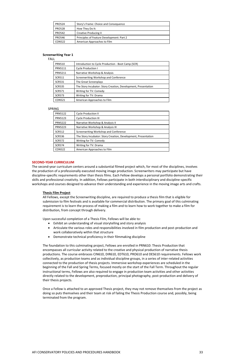| <b>PRO524</b> | Story's Frame: Choice and Consequence     |
|---------------|-------------------------------------------|
| <b>PRO528</b> | How They Do It:                           |
| <b>PRO542</b> | <b>Creative Producing II</b>              |
| PRO546        | Principles of Feature Development: Part 2 |
| CON522        | American Approaches to Film               |

#### **Screenwriting Year 1**

#### FALL

| <b>PRN510</b>  | Introduction to Cycle Production - Boot Camp (SCR)             |
|----------------|----------------------------------------------------------------|
| <b>PRN5111</b> | <b>Cycle Production I</b>                                      |
| <b>PRN5211</b> | Narrative Workshop & Analysis                                  |
| <b>SCR511</b>  | Screenwriting Workshop and Conference                          |
| <b>SCR531</b>  | The Great Screenplays                                          |
| <b>SCR535</b>  | The Story Incubator: Story Creation, Development, Presentation |
| <b>SCR571</b>  | Writing for TV: Comedy                                         |
| <b>SCR573</b>  | Writing for TV: Drama                                          |
| <b>CON521</b>  | American Approaches to Film                                    |

#### SPRING

| <b>PRN5122</b> | <b>Cycle Production II</b>                                     |
|----------------|----------------------------------------------------------------|
| <b>PRN5123</b> | <b>Cycle Production III</b>                                    |
| <b>PRN5222</b> | Narrative Workshop & Analysis II                               |
| <b>PRN5223</b> | Narrative Workshop & Analysis III                              |
| <b>SCR512</b>  | Screenwriting Workshop and Conference                          |
| <b>SCR536</b>  | The Story Incubator: Story Creation, Development, Presentation |
| <b>SCR572</b>  | Writing for TV: Comedy                                         |
| <b>SCR574</b>  | Writing for TV: Drama                                          |
| <b>CON522</b>  | American Approaches to Film                                    |

#### <span id="page-34-0"></span>**SECOND-YEAR CURRICULUM**

The second-year curriculum centers around a substantial filmed project which, for most of the disciplines, involves the production of a professionally executed moving image production. Screenwriters may participate but have discipline-specific requirements other than thesis films. Each Fellow develops a personal portfolio demonstrating their skills and professional creativity. In addition, Fellows participate in both interdisciplinary and discipline-specific workshops and courses designed to advance their understanding and experience in the moving image arts and crafts.

#### **Thesis Film Project**

All Fellows, except the Screenwriting discipline, are required to produce a thesis film that is eligible for submission to film festivals and is available for commercial distribution. The primary goal of this culminating requirement is to learn the process of making a film and to learn how to work together to make a film for distribution, from concept through delivery.

Upon successful completion of a Thesis Film, Fellows will be able to:

- Exhibit an understanding of visual storytelling and story analysis
- Articulate the various roles and responsibilities involved in film production and post-production and work collaboratively within that structure
- Demonstrate technical proficiency in their filmmaking discipline

The foundation to this culminating project, Fellows are enrolled in PRN610: Thesis Production that encompasses all curricular activity related to the creative and physical production of narrative thesis productions. The course embraces CIN610, DIR610, EDT610, PRO610 and DES610 requirements. Fellows work collectively, as production teams and as individual discipline groups, in a series of inter-related activities connected to the production of thesis projects. Immersive workshop experiences are scheduled in the beginning of the Fall and Spring Terms, focused mostly on the start of the Fall Term. Throughout the regular instructional terms, Fellows are also required to engage in production team activities and other activities directly related to the development, preproduction, principal photography, post-production and delivery of their thesis projects.

Once a Fellow is attached to an approved Thesis project, they may not remove themselves from the project as doing so puts themselves and their team at risk of failing the Thesis Production course and, possibly, being terminated from the program.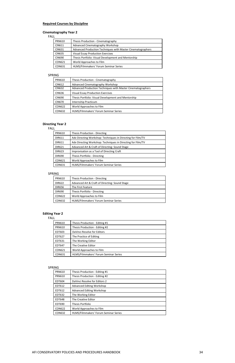#### **Required Courses by Discipline**

#### **Cinematography Year 2**

FALL

| <b>PRN610</b> | Thesis Production - Cinematography                          |
|---------------|-------------------------------------------------------------|
| <b>CIN611</b> | Advanced Cinematography Workshop                            |
| <b>CIN631</b> | Advanced Production Techniques with Master Cinematographers |
| <b>CIN635</b> | <b>Visual Essay Production Exercises</b>                    |
| <b>CIN690</b> | Thesis Portfolio: Visual Development and Mentorship         |
| <b>CON621</b> | World Approaches to Film                                    |
| <b>CON631</b> | HLMS/Filmmakers' Forum Seminar Series                       |

#### SPRING

| <b>PRN610</b> | Thesis Production - Cinematography                          |
|---------------|-------------------------------------------------------------|
| CIN612        | Advanced Cinematography Workshop                            |
| CIN632        | Advanced Production Techniques with Master Cinematographers |
| <b>CIN636</b> | <b>Visual Essay Production Exercises</b>                    |
| <b>CIN690</b> | Thesis Portfolio: Visual Development and Mentorship         |
| <b>CIN670</b> | Internship Practicum                                        |
| CON622        | World Approaches to Film                                    |
| <b>CON632</b> | HLMS/Filmmakers' Forum Seminar Series                       |

#### **Directing Year 2**

#### FALL

| <b>PRN610</b> | Thesis Production - Directing                               |
|---------------|-------------------------------------------------------------|
| <b>DIR611</b> | Adv Directing Workshop: Techniques in Directing for Film/TV |
| <b>DIR611</b> | Adv Directing Workshop: Techniques in Directing for Film/TV |
| <b>DIR621</b> | Advanced Art & Craft of Directing: Sound Stage              |
| <b>DIR623</b> | Improvisation as a Tool of Directing Craft                  |
| <b>DIR690</b> | Thesis Portfolio - Directing                                |
| <b>CON621</b> | World Approaches to Film                                    |
| CON631        | HLMS/Filmmakers' Forum Seminar Series                       |

#### SPRING

| <b>PRN610</b> | Thesis Production - Directing                  |
|---------------|------------------------------------------------|
| <b>DIR622</b> | Advanced Art & Craft of Directing: Sound Stage |
| <b>DIR656</b> | The First Feature                              |
| <b>DIR690</b> | Thesis Portfolio - Directing                   |
| <b>CON622</b> | World Approaches to Film                       |
| <b>CON632</b> | HLMS/Filmmakers' Forum Seminar Series          |

#### **Editing Year 2**

#### FALL

| <b>PRN610</b> | Thesis Production - Editing #1        |
|---------------|---------------------------------------|
| <b>PRN610</b> | Thesis Production - Editing #2        |
| EDT603        | DaVinci Resolve for Editors           |
| EDT627        | The Practice of Editing               |
| EDT631        | The Working Editor                    |
| <b>EDT647</b> | The Creative Editor                   |
| CON621        | World Approaches to Film              |
| CON631        | HLMS/Filmmakers' Forum Seminar Series |
|               |                                       |

#### SPRING

| <b>PRN610</b> | Thesis Production - Editing #1        |
|---------------|---------------------------------------|
| <b>PRN610</b> | Thesis Production - Editing #2        |
| EDT604        | DaVinci Resolve for Editors 2         |
| EDT612        | <b>Advanced Editing Workshop</b>      |
| EDT612        | <b>Advanced Editing Workshop</b>      |
| EDT632        | The Working Editor                    |
| <b>EDT648</b> | The Creative Editor                   |
| EDT690        | Thesis Portfolio                      |
| <b>CON622</b> | World Approaches to Film              |
| <b>CON632</b> | HLMS/Filmmakers' Forum Seminar Series |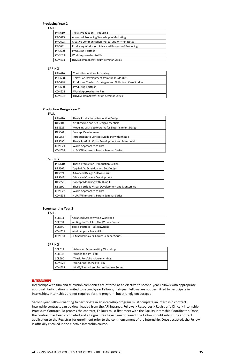### **Producing Year 2**

FALL

| <b>PRN610</b> | Thesis Production - Producing                      |
|---------------|----------------------------------------------------|
| <b>PRO615</b> | Advanced Producing Workshop in Marketing           |
| <b>PRO623</b> | Creative Communication: Verbal and Written Notes   |
| PRO631        | Producing Workshop: Advanced Business of Producing |
| <b>PRO690</b> | <b>Producing Portfolio</b>                         |
| <b>CON621</b> | World Approaches to Film                           |
| <b>CON631</b> | HLMS/Filmmakers' Forum Seminar Series              |

#### SPRING

| <b>PRN610</b> | Thesis Production - Producing                              |
|---------------|------------------------------------------------------------|
| <b>PRO608</b> | Television Development from the Inside Out                 |
| <b>PRO648</b> | Producers Toolbox: Strategies and Skills from Case Studies |
| <b>PRO690</b> | <b>Producing Portfolio</b>                                 |
| CON622        | World Approaches to Film                                   |
| <b>CON632</b> | HLMS/Filmmakers' Forum Seminar Series                      |

#### **Production Design Year 2**

FALL

| <b>PRN610</b> | Thesis Production - Production Design              |
|---------------|----------------------------------------------------|
| <b>DES601</b> | Art Direction and Set Design Essentials            |
| <b>DES623</b> | Modeling with Vectorworks for Entertainment Design |
| <b>DES641</b> | Concept Development                                |
| <b>DES655</b> | Introduction to Concept Modeling with Rhino I      |
| <b>DES690</b> | Thesis Portfolio Visual Development and Mentorship |
| <b>CON621</b> | World Approaches to Film                           |
| <b>CON631</b> | HLMS/Filmmakers' Forum Seminar Series              |

#### SPRING

| <b>PRN610</b> | Thesis Production - Production Design              |
|---------------|----------------------------------------------------|
| <b>DES602</b> | Applied Art Direction and Set Design               |
| <b>DES624</b> | <b>Advanced Design Software Skills</b>             |
| <b>DES642</b> | <b>Advanced Concept Development</b>                |
| <b>DES656</b> | Concept Modeling with Rhino II                     |
| <b>DES690</b> | Thesis Portfolio Visual Development and Mentorship |
| <b>CON622</b> | World Approaches to Film                           |
| <b>CON632</b> | HLMS/Filmmakers' Forum Seminar Series              |

### **Screenwriting Year 2**

FALL

| SCR611        | Advanced Screenwriting Workshop        |
|---------------|----------------------------------------|
| <b>SCR631</b> | Writing the TV Pilot: The Writers Room |
| SCR690        | Thesis Portfolio - Screenwriting       |
| CON621        | World Approaches to Film               |
| <b>CON631</b> | HLMS/Filmmakers' Forum Seminar Series  |

#### SPRING

| SCR612 | Advanced Screenwriting Workshop  |
|--------|----------------------------------|
| SCR632 | Writing the TV Pilot:            |
| SCR690 | Thesis Portfolio - Screenwriting |
| CON622 | World Approaches to Film         |
| $\sim$ | $\mathbf{u}$                     |

#### **INTERNSHIPS**

Internships with film and television companies are offered as an elective to second-year Fellows with appropriate approval. Participation is limited to second-year Fellows; first-year Fellows are not permitted to participate in internships. Internships are not required for the program, but strongly encouraged.

Second-year Fellows wanting to participate in an internship program must complete an internship contract. Internship contracts can be downloaded from the AFI Intranet: Fellows > Resources > Registrar's Office > Internship Practicum Contract. To process the contract, Fellows must first meet with the Faculty Internship Coordinator. Once the contract has been completed and all signatures have been obtained, the Fellow should submit the contract application to the Registrar for enrollment prior to the commencement of the internship. Once accepted, the Fellow is officially enrolled in the elective internship course.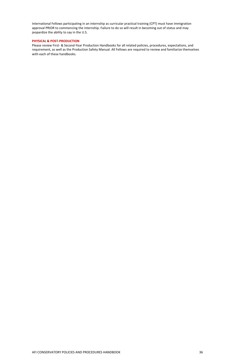International Fellows participating in an internship as curricular practical training (CPT) must have immigration approval PRIOR to commencing the internship. Failure to do so will result in becoming out of status and may jeopardize the ability to say in the U.S.

### **PHYSICAL & POST-PRODUCTION**

Please review First- & Second-Year Production Handbooks for all related policies, procedures, expectations, and requirement, as well as the Production Safety Manual. All Fellows are required to review and familiarize themselves with each of these handbooks.

#### AFI CONSERVATORY POLICIES AND PROCEDURES HANDBOOK 36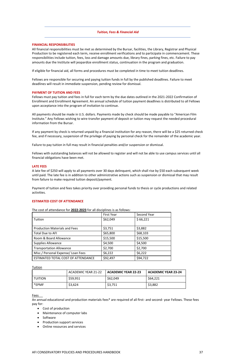### *Tuition, Fees & Financial Aid*

### **FINANCIAL RESPONSIBILITIES**

All financial responsibilities must be met as determined by the Bursar, facilities, the Library, Registrar and Physical Production to be registered each term, receive enrollment verifications and to participate in commencement. These responsibilities include tuition, fees, loss and damage amounts due, library fines, parking fines, etc. Failure to pay amounts due the Institute will jeopardize enrollment status, continuation in the program and graduation.

If eligible for financial aid, all forms and procedures must be completed in time to meet tuition deadlines.

Fellows are responsible for securing and paying tuition funds in full by the published deadlines. Failure to meet deadlines will result in immediate suspension, pending review for dismissal.

### **PAYMENT OF TUITION AND FEES**

Fellows must pay tuition and fees in full for each term by the due dates outlined in the 2021-2022 Confirmation of Enrollment and Enrollment Agreement. An annual schedule of tuition payment deadlines is distributed to all Fellows upon acceptance into the program of invitation to continue.

All payments should be made in U.S. dollars. Payments made by check should be made payable to "American Film Institute." Any Fellows wishing to wire-transfer payment of deposit or tuition may request the needed procedural information from the Bursar.

If any payment by check is returned unpaid by a financial institution for any reason, there will be a \$25 returned check fee, and if necessary, suspension of the privilege of paying by personal check for the remainder of the academic year.

Failure to pay tuition in full may result in financial penalties and/or suspension or dismissal.

Fellows with outstanding balances will not be allowed to register and will not be able to use campus services until all financial obligations have been met.

### **LATE FEES**

A late fee of \$250 will apply to all payments over 30 days delinquent, which shall rise by \$50 each subsequent week until paid. The late fee is in addition to other administrative actions such as suspension or dismissal that may result from failure to make required tuition deposit/payment.

Payment of tuition and fees takes priority over providing personal funds to thesis or cycle productions and related activities.

#### **ESTIMATED COST OF ATTENDANCE**

The cost of attendance for **2022-2023** for all disciplines is as follows:

#### <u>Tuition</u>

|                                      | <b>First Year</b> | Second Year |
|--------------------------------------|-------------------|-------------|
| Tuition                              | \$62,049          | \$66,221    |
| <b>Production Materials and Fees</b> | \$3,751           | \$3,882     |
| <b>Total Due to AFI</b>              | \$65,800          | \$68,103    |
| Room & Board Allowance               | \$15,500          | \$15,500    |
| <b>Supplies Allowance</b>            | \$4,500           | \$4,500     |
| <b>Transportation Allowance</b>      | \$2,700           | \$2,700     |
| Misc./ Personal Expense/ Loan Fees   | \$6,222           | \$6,222     |
| ESTIMATED TOTAL COST OF ATTENDANCE   | \$92,497          | \$94,722    |

|                | ACADEMIC YEAR 21-22 | ACADEMIC YEAR 22-23 | ACADEMIC YEAR 23-24 |
|----------------|---------------------|---------------------|---------------------|
| <b>TUITION</b> | \$59,951            | \$62,049            | \$64,221            |
| *EPMF          | \$3,624             | \$3,751             | \$3,882             |

#### Fees

An annual educational and production materials fees\* are required of all first- and second- year Fellows. These fees pay for:

- Cost of production
- Maintenance of computer labs
- Software
- Production support services
- Online resources and services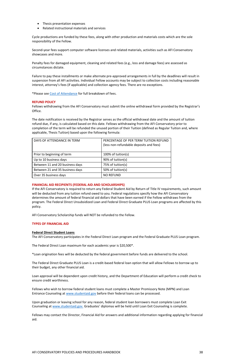- Thesis presentation expenses
- Related instructional materials and services

Cycle productions are funded by these fees, along with other production and materials costs which are the sole responsibility of the Fellow.

Second-year fees support computer software licenses and related materials, activities such as AFI Conservatory showcases and more.

Penalty fees for damaged equipment, cleaning and related fees (e.g., loss and damage fees) are assessed as circumstances dictate.

Failure to pay these installments or make alternate pre-approved arrangements in full by the deadlines will result in suspension from all AFI activities. Individual Fellow accounts may be subject to collection costs including reasonable interest, attorney's fees (if applicable) and collection agency fees. There are no exceptions.

\*Please see [Cost of Attendance](https://conservatory.afi.com/tuition-and-fees/) for full breakdown of fees.

### **REFUND POLICY**

Fellows withdrawing from the AFI Conservatory must submit the online withdrawal form provided by the Registrar's Office.

The date notification is received by the Registrar serves as the official withdrawal date and the amount of tuition refund due, if any, is calculated based on this date. Fellows withdrawing from the AFI Conservatory prior to completion of the term will be refunded the unused portion of their Tuition (defined as Regular Tuition and, where applicable, Thesis Tuition) based upon the following formula:

### **FINANCIAL AID RECIPIENTS (FEDERAL AID AND SCHOLARSHIPS)**

If the AFI Conservatory is required to return any Federal Student Aid by Return of Title IV requirements, such amount will be deducted from any tuition refund owed to you. Federal regulations specify how the AFI Conservatory determines the amount of federal financial aid dollars that have been earned if the Fellow withdraws from the program. The Federal Direct Unsubsidized Loan and Federal Direct Graduate PLUS Loan programs are affected by this policy.

AFI Conservatory Scholarship funds will NOT be refunded to the Fellow.

### **TYPES OF FINANCIAL AID**

### **Federal Direct Student Loans**

The AFI Conservatory participates in the Federal Direct Loan program and the Federal Graduate PLUS Loan program.

The Federal Direct Loan maximum for each academic year is \$20,500\*.

\*Loan origination fees will be deducted by the federal government before funds are delivered to the school.

The Federal Direct Graduate PLUS Loan is a credit-based federal loan option that will allow Fellows to borrow up to their budget, any other financial aid.

Loan approval will be dependent upon credit history, and the Department of Education will perform a credit check to ensure credit worthiness.

Fellows who wish to borrow federal student loans must complete a Master Promissory Note (MPN) and Loan Entrance Counseling at [www.studentaid.gov](http://www.studentaid.gov/) before their federal loans can be processed.

Upon graduation or leaving school for any reason, federal student loan borrowers must complete Loan Exit Counseling at [www.studentaid.gov.](http://www.studentaid.gov/) Graduates' diplomas will be held until Loan Exit Counseling is complete.

Fellows may contact the Director, Financial Aid for answers and additional information regarding applying for financial aid.

| DAYS OF ATTENDANCE IN TERM      | PERCENTAGE OF PER TERM TUITION REFUND<br>(less non-refundable deposits and fees) |
|---------------------------------|----------------------------------------------------------------------------------|
| Prior to beginning of term      | 100% of tuition(s)                                                               |
| Up to 10 business days          | 90% of tuition(s)                                                                |
| Between 11 and 20 business days | 75% of tuition(s)                                                                |
| Between 21 and 35 business days | 50% of tuition(s)                                                                |
| Over 35 business days           | <b>NO REFUND</b>                                                                 |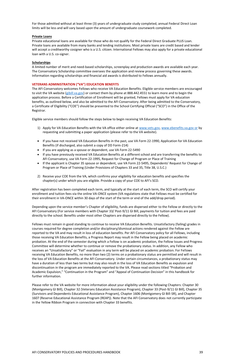For those admitted without at least three (3) years of undergraduate study completed, annual Federal Direct Loan limits will be less and will vary based upon the amount of undergraduate coursework completed.

### **Private Loans**

Private educational loans are available for those who do not qualify for the Federal Direct Graduate PLUS Loan. Private loans are available from many banks and lending institutions. Most private loans are credit based and lender will accept a creditworthy cosigner who is a U.S. citizen. International Fellows may also apply for a private educational loan with a U.S. co-signer.

### **Scholarships**

A limited number of merit and need-based scholarships, screenplay and production awards are available each year. The Conservatory Scholarship committee oversees the application and review process governing these awards. Information regarding scholarships and financial aid awards is distributed to Fellows annually.

### **VETERANS ADMINISTRATION ("VA") EDUCATION BENEFITS**

The AFI Conservatory welcomes Fellows who receive VA Education Benefits. Eligible service members are encouraged to visit the VA website [\(gibill.va.gov\)](http://gibill.va.gov/) or contact them by phone at 888.442.4551 to learn more and to begin the application process. Before a Certification of Enrollment will be granted, Fellows must apply for VA education benefits, as outlined below, and also be admitted to the AFI Conservatory. After being admitted to the Conservatory, a Certificate of Eligibility ("COE") should be presented to the School Certifying Official ("SCO") in the Office of the Registrar.

Eligible service members should follow the steps below to begin receiving VA Education Benefits:

- 1) Apply for VA Education Benefits with the VA office either online at [www.vets.gov,](http://www.vets.gov/) [www.ebenefits.va.gov or](http://www.ebenefits.va.gov/) by requesting and submitting a paper application (please refer to the VA website).
- If you have not received VA Education Benefits in the past, use VA Form 22-1990, Application for VA Education Benefits (if discharged, also submit a copy of DD Form-214)
- If you are applying as a spouse or dependent, use VA Form 22-5490
- If you have previously received VA Education Benefits at a different school and are transferring the benefits to AFI Conservatory, use VA Form 22-1995, Request for Change of Program or Place of Training
- If the applicant is Chapter 35 spouse or dependent, use VA Form 22-5495, Dependents' Request for Change of Program or Place of Training (Under Provisions of Chapters 33 and 35, Title 38, U.S.C.)
- 2) Receive your COE from the VA, which confirms your eligibility for education benefits and specifies the chapter(s) under which you are eligible. Provide a copy of your COE to AFI's SCO.

After registration has been completed each term, and typically at the start of each term, the SCO will certify your enrollment and tuition fees via the online VA-ONCE system (VA regulations state that Fellows must be certified for their enrollment in VA-ONCE within 30 days of the start of the term or end of the add/drop period).

Depending upon the service member's Chapter of eligibility, funds are dispersed either to the Fellow or directly to the AFI Conservatory (For service members with Chapter 33/ Post-9/11 GI Bill, payments for tuition and fees are paid directly to the school. Benefits under most other Chapters are dispersed directly to the Fellow).

Fellows must remain in good standing to continue to receive VA Education Benefits. Unsatisfactory (failing) grades in courses required for degree completion and/or disciplinary/dismissal actions rendered against the Fellow are reported to the VA and may result in loss of education benefits. Per AFI Conservatory policy for all Fellows, including those receiving VA Education Benefits, a Progress Report may result in the Fellow being placed on academic probation. At the end of the semester during which a Fellow is on academic probation, the Fellow Issues and Progress Committee will determine whether to continue or remove the probationary status. In addition, any Fellow who receives an "Unsatisfactory" or "Fail" evaluation in any term will be placed on academic probation. For Fellows receiving VA Education Benefits, no more than two (2) terms on a probationary status are permitted and will result in the loss of VA Education Benefits at the AFI Conservatory. Under certain circumstances, a probationary status may have a duration of less than two terms but may also result in the loss of VA Education Benefits as expulsion and discontinuation in the program are immediately reported to the VA. Please read sections titled "Probation and Academic Expulsion," "Continuation in the Program" and "Appeal of Continuation Decision" in this handbook for further information.

Please refer to the VA website for more information about your eligibility under the following Chapters: Chapter 30 (Montgomery GI Bill), Chapter 32 (Veterans Education Assistance Program), Chapter 33 (Post-9/11 GI Bill), Chapter 35 (Survivors and Dependents Educational Assistance Program), Chapter 1606 (Montgomery GI Bill-SR), and Chapter 1607 (Reserve Educational Assistance Program (REAP)). Note that the AFI Conservatory does not currently participate in the Yellow Ribbon Program in connection with Chapter 33 benefits.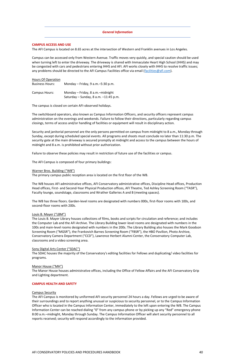### *General Information*

### **CAMPUS ACCESS AND USE**

Campus can be accessed only from Western Avenue. Traffic moves very quickly, and special caution should be used when turning left to enter the driveway. The driveway is shared with Immaculate Heart High School (IHHS) and may be congested with cars and pedestrians entering IHHS and AFI. AFI works closely with IHHS to resolve traffic issues; any problems should be directed to the AFI Campus Facilities office via email [\(facilities@afi.com\)](mailto:Facilities@AFI.com).

The AFI Campus is located on 8.65 acres at the intersection of Western and Franklin avenues in Los Angeles.

#### Hours Of Operation

| <b>Business Hours:</b> | Monday $-$ Friday, 9 a.m. $-5:30$ p.m.                                        |
|------------------------|-------------------------------------------------------------------------------|
| Campus Hours:          | Monday - Friday, 8 a.m. - midnight<br>Saturday – Sunday, 8 a.m. $-11:45$ p.m. |

The campus is closed on certain AFI-observed holidays.

The switchboard operators, also known as Campus Information Officers, and security officers represent campus administration on the evenings and weekends. Failure to follow their directions, particularly regarding campus closings, terms of access and/or handling of facilities or equipment will result in disciplinary action.

Security and janitorial personnel are the only persons permitted on campus from midnight to 8 a.m., Monday through Sunday, except during scheduled special events. All programs and shoots must conclude no later than 11:30 p.m. The security gate at the main driveway is secured promptly at midnight and access to the campus between the hours of midnight and 8 a.m. is prohibited without prior authorization.

Failure to observe these policies may result in restriction of future use of the facilities or campus.

The AFI Campus is composed of four primary buildings:

#### Warner Bros. Building ("WB")

The primary campus public reception area is located on the first floor of the WB.

The WB houses AFI administrative offices, AFI Conservatory administrative offices, Discipline Head offices, Production Head offices, First- and Second-Year Physical Production offices, AFI Theatre, Ted Ashley Screening Room ("TASR"), Faculty lounge, soundstage, classrooms and Wrather Galleries A and B (meeting spaces).

The WB has three floors. Garden-level rooms are designated with numbers 000s, first-floor rooms with 100s, and second-floor rooms with 200s.

#### Louis B. Mayer ("LBM")

The Louis B. Mayer Library houses collections of films, books and scripts for circulation and reference; and includes the Computer Lab and the AFI Archive. The Library Building lower-level rooms are designated with numbers in the 100s and main-level rooms designated with numbers in the 200s. The Library Building also houses the Mark Goodson Screening Room ("MGSR"), the Frankovich Barnes Screening Room ("FBSR"), the HBO Pavilion, Photo Archive, Conservatory Camera Department ("CCD"), Lawrence Herbert Alumni Center, the Conservatory Computer Lab, classrooms and a video screening area.

#### Sony Digital Arts Center ("SDAC")

The SDAC houses the majority of the Conservatory's editing facilities for Fellows and duplicating/ video facilities for programs.

#### Manor House ("MH")

The Manor House houses administrative offices, including the Office of Fellow Affairs and the AFI Conservatory Grip and Lighting department.

#### **CAMPUS HEALTH AND SAFETY**

#### Campus Security

The AFI Campus is monitored by uniformed AFI security personnel 24 hours a day. Fellows are urged to be aware of their surroundings and to report anything unusual or suspicious to security personnel, or to the Campus Information Officer who is located in the Campus Information Center, immediately to the left upon entering the WB. The Campus Information Center can be reached dialing "0" from any campus phone or by picking up any "Red" emergency phone 8:00 a.m.–midnight, Monday through Sunday. The Campus Information Officer will alert security personnel to all reports received; security will respond accordingly to the information provided.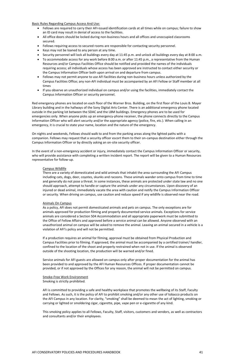Basic Rules Regarding Campus Access And Use:

- Fellows are required to carry their AFI-issued identification cards at all times while on campus; failure to show an ID card may result in denial of access to the facilities.
- All office doors should be locked during non-business hours and all offices and unoccupied classrooms secured.
- Fellows requiring access to secured rooms are responsible for contacting security personnel.
- Keys may not be loaned to any person at any time.
- Security personnel will lock all buildings every day at 11:45 p.m. and unlock all buildings every day at 8:00 a.m.
- To accommodate access for any work before 8:00 a.m. or after 11:45 p.m., a representative from the Human Resources and/or Campus Facilities Office should be notified and provided the names of the individuals requiring access; all individuals whose access has been approved are instructed to contact either security or the Campus Information Officer both upon arrival on and departure from campus.
- Fellows may not permit anyone to use AFI facilities during non-business hours unless authorized by the Campus Facilities Office; any non-AFI individual must be accompanied by an AFI Fellow or Staff member at all times
- If you observe an unauthorized individual on campus and/or using the facilities, immediately contact the Campus Information Officer or security personnel.

Red emergency phones are located on each floor of the Warner Bros. Building, on the first floor of the Louis B. Mayer Library building and in the hallways of the Sony Digital Arts Center. There is an additional emergency phone located outside in the parking lot between the SDAC and the LBM buildings. Emergency phones are to be used for emergencies only. When anyone picks up an emergency-phone receiver, the phone connects directly to the Campus Information Officer who will alert security and/or the appropriate agency (police, fire, etc.). When calling in an emergency, it is crucial to state your name, location and the nature of the emergency.

On nights and weekends, Fellows should walk to and from the parking areas along the lighted paths with a companion. Fellows may request that a security officer escort them to their on-campus destination either through the Campus Information Officer or by directly asking an on-site security officer.

In the event of a non-emergency accident or injury, immediately contact the Campus Information Officer or security, who will provide assistance with completing a written incident report. The report will be given to a Human Resources representative for follow-up.

### Campus Wildlife

There are a variety of domesticated and wild animals that inhabit the area surrounding the AFI Campus including cats, dogs, deer, coyotes, skunks and racoons. These animals wander onto campus from time to time and generally do not pose a threat. In some instances, these animals are protected under state law and no one should approach, attempt to handle or capture the animals under any circumstances. Upon discovery of an injured or dead animal, immediately vacate the area with caution and notify the Campus Information Officer or security. When driving on campus, use caution and reduce speed if any wildlife is observed near the road.

#### Animals On Campus

As a policy, AFI does not permit domesticated animals and pets on campus. The only exceptions are for animals approved for production filming and properly documented service animals. Exceptions for service animals are considered a Section 504 Accommodation and all appropriate paperwork must be submitted to the Office of Fellow Affairs and approved before a service animal can be allowed. Anyone observed with an unauthorized animal on campus will be asked to remove the animal. Leaving an animal secured in a vehicle is a violation of AFI's policy and will not be permitted.

If a production requires an animal for filming, approval must be obtained from Physical Production and Campus Facilities prior to filming. If approved, the animal must be accompanied by a certified trainer/ handler, confined to the location of the shoot and properly restrained when not in use. If the animal is observed outside of the shooting location, the production will be warned and/or fined.

Service animals for AFI guests are allowed on campus only after proper documentation for the animal has been provided to and approved by the AFI Human Resources Offices. If proper documentation cannot be

provided, or if not approved by the Offices for any reason, the animal will not be permitted on campus.

Smoke-Free Work Environment Smoking is strictly prohibited.

AFI is committed to providing a safe and healthy workplace that promotes the wellbeing of its Staff, Faculty and Fellows. As such, it is the policy of AFI to prohibit smoking and/or any other use of tobacco products on the AFI Campus in any location. For clarity, "smoking" shall be deemed to mean the act of lighting, smoking or carrying or lighted or smoldering cigar, cigarette, pipe, vape pen or e-cigarette of any kind.

This smoking policy applies to all Fellows, Faculty, Staff, visitors, customers and vendors, as well as contractors and consultants and/or their employees.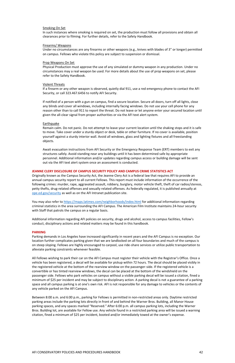#### Smoking On Set

In such instances where smoking is required on set, the production must follow all provisions and obtain all clearances prior to filming. For further details, refer to the Safety Handbook.

#### Firearms/ Weapons

Under no circumstances are any firearms or other weapons (e.g., knives with blades of 3" or longer) permitted on campus. Fellows who violate this policy are subject to suspension or dismissal.

#### Prop Weapons On Set

Physical Production must approve the use of any simulated or dummy weapon in any production. Under no circumstances may a real weapon be used. For more details about the use of prop weapons on set, please refer to the Safety Handbook.

### Violent Threats

If a firearm or any other weapon is observed, quietly dial 911, use a red emergency phone to contact the AFI Security, or call 323.467.6456 to notify AFI Security.

If notified of a person with a gun on campus, find a secure location. Secure all doors, turn off all lights, close any blinds and cover all windows, including internally facing windows. Do not use your cell phone for any reason other than to call 911 to report the threat. Do not leave or let anyone enter your secured location until given the all-clear signal from proper authorities or via the AFI text alert system.

### **Earthquake**

Remain calm. Do not panic. Do not attempt to leave your current location until the shaking stops and it is safe to move. Take cover under a sturdy object or desk, table or other furniture. If no cover is available, position yourself against a sturdy interior wall. Avoid all windows, glass and lighting fixtures and all freestanding objects.

Await evacuation instructions from AFI Security or the Emergency Response Team (ERT) members to exit any structures safely. Avoid standing near any buildings until it has been determined safe by appropriate personnel. Additional information and/or updates regarding campus access or building damage will be sent out via the AFI text alert system once an assessment is conducted.

### **JEANNE CLERY DISCLOSURE OF CAMPUS SECURITY POLICY AND CAMPUS CRIME STATISTICS ACT**

Originally known as the Campus Security Act, the Jeanne Clery Act is a federal law that requires AFI to provide an annual campus security report to all current Fellows. This report must include information of the occurrence of the following crimes: murder, rape, aggravated assault, robbery, burglary, motor vehicle theft, theft of car radios/stereos, petty thefts, drug-related offenses and sexually related offenses. As federally regulated, it is published annually at [ope.ed.gov/security](https://ope.ed.gov/security) as well as on the AFI Intranet publication site.

You may also refer to <https://maps.latimes.com/neighborhoods/index.html> for additional information regarding criminal statistics in the area surrounding the AFI Campus. The American Film Institute maintains 24-hour security with Staff that patrols the campus on a regular basis.

Additional information regarding AFI policies on security, drugs and alcohol, access to campus facilities, Fellow's conduct, disciplinary actions and related matters may be found in this handbook.

#### **PARKING**

Parking demands in Los Angeles have increased significantly in recent years and the AFI Campus is no exception. Our location further complicates parking given that we are landlocked on all four boundaries and much of the campus is on steep sloping. Fellows are highly encouraged to carpool, use ride-share services or utilize public transportation to alleviate parking constraints whenever feasible.

All Fellows wishing to park their car on the AFI Campus must register their vehicle with the Registrar's Office. Once a vehicle has been registered, a decal will be available for pickup within 72 hours. The decal should be placed visibly in the registered vehicle at the bottom of the rearview window on the passenger-side. If the registered vehicle is a convertible or has tinted rearview windows, the decal can be placed at the bottom of the windshield on the passenger side. Fellows who park vehicles on campus without a visible parking decal will be issued a citation, fined a minimum of \$25 per incident and may be subject to disciplinary action. A parking decal is not a guarantee of a parking space and all campus parking is at one's own risk. AFI is not responsible for any damage to vehicles or the contents of any vehicle parked on the AFI Campus.

Between 8:00 a.m. and 6:00 p.m., parking for Fellows is permitted in non-restricted areas only. Daytime restricted parking areas include the parking lots directly in front of and behind the Warner Bros. Building, all Manor House parking spaces, and any spaces marked "Reserved." After 6:00 p.m. all campus parking lots, including the Warner Bros. Building lot, are available for Fellow use. Any vehicle found in a restricted parking area will be issued a warning citation, fined a minimum of \$25 per incident, booted and/or immediately towed at the owner's expense.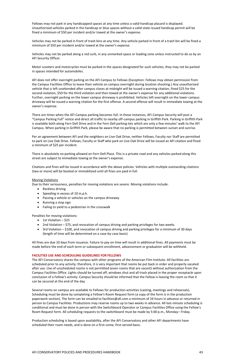Fellows may not park in any handicapped spaces at any time unless a valid handicap placard is displayed. Unauthorized vehicles parked in the handicap or blue spaces without a valid state-issued handicap permit will be fined a minimum of \$50 per incident and/or towed at the owner's expense.

Vehicles may not be parked in front of trash bins at any time. Any vehicle parked in front of a trash bin will be fined a minimum of \$50 per incident and/or towed at the owner's expense.

Vehicles may not be parked along a red curb, in any unmarked space or loading zone unless instructed to do so by an AFI Security Officer.

Motor scooters and motorcycles must be parked in the spaces designated for such vehicles; they may not be parked in spaces intended for automobiles.

AFI does not offer overnight parking on the AFI Campus to Fellows (Exception: Fellows may obtain permission from the Campus Facilities Office to leave their vehicle on campus overnight during location shooting.) Any unauthorized vehicle that is left unattended after campus closes at midnight will be issued a warning citation, fined \$25 for the second violation, \$50 for the third violation and then towed at the owner's expense for any additional violations. Further, overnight parking on the lower campus driveway is prohibited. Vehicles left overnight on the lower campus driveway will be issued a warning citation for the first offense. A second offense will result in immediate towing at the owner's expense.

- 1st Violation  $-$  \$25
- 2nd Violation \$75, and revocation of campus driving and parking privileges for two weeks
- 3rd Violation \$100, and revocation of campus driving and parking privileges for a minimum of 30 days (length of time will be determined on a case-by-case basis)

There are times when the AFI Campus parking becomes full. In these instances, AFI Campus Security will post a "Campus Parking Full" notice and direct all traffic to nearby off-campus parking in Griffith Park. Parking in Griffith Park is available both along Fern Dell Drive and in the Fern Dell parking lots which are only a few minutes' walk to the AFI Campus. When parking in Griffith Park, please be aware that no parking is permitted between sunset and sunrise.

Per an agreement between AFI and the neighbors on Live Oak Drive, neither Fellows, Faculty nor Staff are permitted to park on Live Oak Drive. Fellows, Faculty or Staff who park on Live Oak Drive will be issued an AFI citation and fined a minimum of \$25 per incident.

There is absolutely no parking allowed on Fern Dell Place. This is a private road and any vehicles parked along this street are subject to immediate towing at the owner's expense.

Citations and fines will be issued in accordance with the above policies. Vehicles with multiple outstanding citations (two or more) will be booted or immobilized until all fines are paid in full.

### Moving Violations

Due to their seriousness, penalties for moving violations are severe. Moving violations include:

- Reckless driving
- Speeding in excess of 10 m.p.h.
- Passing a vehicle or vehicles on the campus driveway
- Running a stop sign
- Failing to yield to a pedestrian in the crosswalk

Penalties for moving violations:

All fines are due 10 days from issuance. Failure to pay on time will result in additional fines. All payments must be made before the end of each term or subsequent enrollment, advancement or graduation will be withheld.

#### **FACILITIES USE AND SCHEDULING GUIDELINES FOR FELLOWS**

The AFI Conservatory shares the campus with other programs of the American Film Institute. All facilities are scheduled prior to any activity; therefore, it is very important that rooms be put back in order and properly vacated

after use. Use of unscheduled rooms is not permitted (even rooms that are vacant) without authorization from the Campus Facilities Office. Lights should be turned off, windows shut and all trash placed in the proper receptacle upon conclusion of a Fellow's activity. Campus Security should be informed that the Fellow is leaving the room so that it can be secured at the end of the day.

Several rooms on campus are available to Fellows for production activities (casting, meetings and rehearsals). Scheduling must be done by completing a Fellow's Room Request form (a copy of the form is in the production paperwork section). The form can be emailed to facilities@afi.com a minimum of 24 hours in advance or returned in person to Campus Facilities. Productions may reserve rooms up to two weeks in advance. All last-minute scheduling is conditional and must be done in person with the Switchboard Operator or Campus Facilities Office using the Fellow's Room Request form. All scheduling requests to the switchboard must be made by 5:00 p.m., Monday– Friday.

Production scheduling is based upon availability, after the AFI Conservatory and other AFI departments have scheduled their room needs, and is done on a first-come, first-served basis.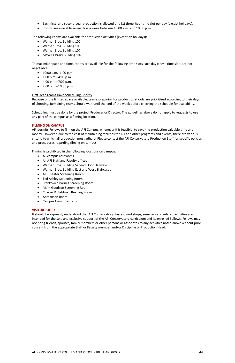#### AFI CONSERVATORY POLICIES AND PROCEDURES HANDBOOK 44

- Each first- and second-year production is allowed one (1) three-hour time slot per day (except holidays).
- Rooms are available seven days a week between 10:00 a.m. and 10:00 p.m.

The following rooms are available for production activities (except on holidays):

- Warner Bros. Building 102
- Warner Bros. Building 106
- Warner Bros. Building 107
- Mayer Library Building 107

To maximize space and time, rooms are available for the following time slots each day (these time slots are not negotiable):

- 10:00 a.m.–1:00 p.m.
- 1:00 p.m.–4:00 p.m.
- 4:00 p.m.–7:00 p.m.
- 7:00 p.m.–10:00 p.m.

### First-Year Teams Have Scheduling Priority

Because of the limited space available, teams preparing for production shoots are prioritized according to their days of shooting. Remaining teams should wait until the end of the week before checking the schedule for availability.

Scheduling must be done by the project Producer or Director. The guidelines above do not apply to requests to use any part of the campus as a filming location.

### **FILMING ON CAMPUS**

AFI permits Fellows to film on the AFI Campus, whenever it is feasible, to save the production valuable time and money. However, due to the cost of maintaining facilities for AFI and other programs and events, there are various criteria to which all production must adhere. Please contact the AFI Conservatory Production Staff for specific policies and procedures regarding filming on campus.

Filming is prohibited in the following locations on campus:

- All campus restrooms
- All AFI Staff and Faculty offices
- Warner Bros. Building Second Floor Hallways
- Warner Bros. Building East and West Staircases
- AFI Theater Screening Room
- Ted Ashley Screening Room
- Frankovich Barnes Screening Room
- Mark Goodson Screening Room
- Charles K. Feldman Reading Room
- Ahmanson Room
- Campus Computer Labs

### **VISITOR POLICY**

It should be expressly understood that AFI Conservatory classes, workshops, seminars and related activities are intended for the sole and exclusive support of the AFI Conservatory curriculum and its enrolled Fellows. Fellows may not bring friends, spouses, family members or other persons or associates to any activities noted above without prior consent from the appropriate Staff or Faculty member and/or Discipline or Production Head.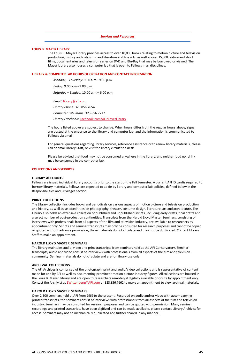#### *Services and Resources*

#### **LOUIS B. MAYER LIBRARY**

The Louis B. Mayer Library provides access to over 10,000 books relating to motion picture and television production, history and criticisms, and literature and fine arts, as well as over 15,000 feature and short films, documentaries and television series on DVD and Blu-Ray that may be borrowed or viewed. The Mayer Library also houses a computer lab that is open to Fellows in all disciplines.

#### **LIBRARY & COMPUTER LAB HOURS OF OPERATION AND CONTACT INFORMATION**

*Monday* – *Thursday:* 9:00 a.m.–9:00 p.m.

*Friday:* 9:00 a.m.–7:00 p.m.

*Saturday* – *Sunday:* 10:00 a.m.– 6:00 p.m.

*Email:* [library@afi.com](mailto:Library@afi.com) *Library Phone:* 323.856.7654 *Computer Lab Phone:* 323.856.7717 *Library Facebook:* [Facebook.com/AFIMayerLibrary](http://facebook.com/AFIMayerLibrary)

The hours listed above are subject to change. When hours differ from the regular hours above, signs are posted at the entrance to the library and computer lab, and the information is communicated to Fellows via email.

For general questions regarding library services, reference assistance or to renew library materials, please call or email library Staff, or visit the library circulation desk.

Please be advised that food may not be consumed anywhere in the library, and neither food nor drink may be consumed in the computer lab.

#### **COLLECTIONS AND SERVICES**

#### **LIBRARY ACCOUNTS**

The AFI Archives is comprised of the photograph, print and audio/video collections and is representative of content made for and by AFI as well as documenting prominent motion picture industry figures. All collections are housed in the Louis B. Mayer Library and are open to researchers remotely if digitally available or onsite by appointment only. Contact the Archivist at **EWittenberg@AFI.com** or 323.856.7662 to make an appointment to view archival materials.

Fellows are issued individual library accounts prior to the start of the Fall Semester. A current AFI ID cardis required to borrow library materials. Fellows are expected to abide by library and computer lab policies, defined below in the Responsibilities and Privileges section.

#### **PRINT COLLECTIONS**

The Library collection includes books and periodicals on various aspects of motion picture and television production and history, as well as selected titles on photography, theater, costume design, literature, art and architecture. The Library also holds an extensive collection of published and unpublished scripts, including early drafts, final drafts and a select number of post-production continuities. Transcripts from the Harold Lloyd Master Seminars, consisting of interviews with professionals from all aspects of the film and television industry, are available to researchers by appointment only. Scripts and seminar transcripts may only be consulted for research purposes and cannot be copied or quoted without advance permission; these materials do not circulate and may not be duplicated. Contact Library Staff to make an appointment.

#### **HAROLD LLOYD MASTER SEMINARS**

The library maintains audio, video and print transcripts from seminars held at the AFI Conservatory. Seminar transcripts, audio and video consist of interviews with professionals from all aspects of the film and television community. Seminar materials do not circulate and are for library use only.

#### **ARCHIVAL COLLECTIONS**

### **HAROLD LLOYD MASTER SEMINARS**

Over 2,300 seminars held at AFI from 1969 to the present. Recorded on audio and/or video with accompanying printed transcripts, the seminars consist of interviews with professionals from all aspects of the film and television industry. Seminars may be consulted for research purposes and can be quoted with permission. Many seminar recordings and printed transcripts have been digitized and can be made available, please contact Library Archivist for access. Seminars may not be mechanically duplicated and further shared in any manner.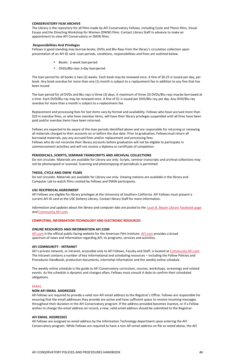### **CONSERVATORY FILM ARCHIVE**

The Library is the repository for all films made by AFI Conservatory Fellows, including Cycle and Thesis films, Visual Essays and the Directing Workshop for Women (DWW) films. Contact Library Staff in advance to make an appointment to view AFI Conservatory or DWW films.

### **Responsibilities And Privileges**

Fellows in good standing may borrow books, DVDs and Blu-Rays from the library's circulation collection upon presentation of an AFI ID card. Loan periods, conditions, responsibilities and fines are outlined below.

- *• Books:* 2-week loanperiod
- *• DVDs/Blu-rays* 3-day loanperiod

The loan period for all books is two (2) weeks. Each book may be renewed once. A fine of \$0.25 is issued per day, per book. Any book overdue for more than one (1) month is subject to a replacement fee in addition to any fine that has been issued.

The loan period for all DVDs and Blu-rays is three (3) days. A maximum of three (3) DVDs/Blu-rays maybe borrowed at a time. Each DVD/Blu-ray may be renewed once. A fine of \$1 is issued per DVD/Blu-ray,per day. Any DVD/Blu-ray overdue for more than a month is subject to a replacement fee.

Replacement and processing fees for lost items vary by format and availability. Fellows who have accrued more than \$20 in overdue fines, or who have overdue items, will have their library privileges suspended until all fines have been paid and/or overdue items have been returned.

Information and updates about the library and computer labs are posted to the [Louis B. Mayer Library](https://www.facebook.com/AFIMayerLibrary) [Facebook page](https://www.facebook.com/AFIMayerLibrary) *and* [Community.AFI.com](https://community.afi.com/)*.*

[AFI.com](https://afi.com/) is the official public-facing website for the American Film Institute. [AFI.com](https://afi.com/) provides a broad spectrum of news and information regarding AFI, its programs, services and activities.

Fellows are expected to be aware of the loan periods identified above and are responsible for returning or renewing all materials charged to their accounts on or before the due date. Prior to graduation, Fellowsmust return all borrowed materials, pay any accrued fines and/or replacement and processing fees. Fellows who do not reconcile their library accounts before graduation will not be eligible to participate in commencement activities and will not receive a diploma or certificate of completion.

AFI's private network, or intranet, accessible only to AFI Fellows, Faculty and Staff, is located at [Community.AFI.com.](http://community.afi.com/) The intranet contains a number of key informational and scheduling resources – including the Fellow Policies and Procedures Handbook, production documents, internship information and the weekly online schedule.

### **PERIODICALS, SCRIPTS, SEMINAR TRANSCRIPTS AND ARCHIVAL COLLECTIONS**

Do not circulate. Materials are available for Library use only. Scripts, seminar transcripts and archival collections may not be photocopied or scanned. Scanning and photocopying of periodicals is permitted.

### **THESIS, CYCLE AND DWW FILMS**

Do not circulate. Materials are available for Library use only. Viewing stations are available in the library and Computer Lab to watch films created by Fellows and DWW participants.

### **USC RECIPROCAL AGREEMENT**

AFI Fellows are eligible for library privileges at the University of Southern California. AFI Fellows must present a current AFI ID card at the USC Doheny Library. Contact library Staff for more information.

### **COMPUTING, INFORMATION TECHNOLOGY AND ELECTRONIC RESOURCES**

### **ONLINE RESOURCES AND INFORMATION [AFI.COM](https://afi.com/)**

### **AFI COMMUNITY - INTRANET**

The weekly online schedule is the guide to AFI Conservatory curriculum, courses, workshops, screenings and related events. As the schedule is dynamic and changes often, Fellows must consult it daily to confirm their scheduled obligations.

#### EMAIL

#### **NON-AFI EMAIL ADDRESSES**

All Fellows are required to provide a valid non-AFI email address to the Registrar's Office. Fellows are responsible for ensuring that the email addresses they provide are active and have sufficient space to receive incoming messages throughout their duration in the AFI Conservatory program. If the address provided becomes inactive, or if a Fellow wishes to change the email address on record, a new, valid email address should be submitted to the Registrar.

#### **AFI EMAIL ADDRESSES**

All Fellows are assigned an email address by the Information Technology department upon entering the AFI Conservatory program. While Fellows are required to have a non-AFI email address on file as noted above, the AFI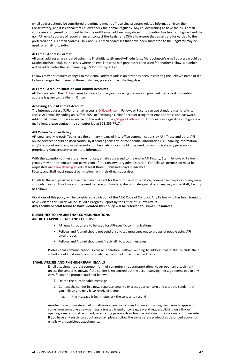email address should be considered the primary means of receiving program-related information from the Conservatory, and it is critical that Fellows check their email regularly. Any Fellow wishing to have their AFI email addresses configured to forward to their non-AFI email address, may do so. If forwarding has been configured and the non-AFI email address of record changes, contact the Registrar's Office to ensure that emails are forwarded to the preferred non-AFI email address. Only non- AFI email addresses that have been submitted to the Registrar may be used for email forwarding.

### **AFI Email Address Format**

AFI Fellows retain their [AFI.edu](https://afi.edu/) email address for one year following graduation, provided that a valid forwarding address is given to the Alumni Office.

All email addresses are created using the FirstInitialLastName@AFI.edu (e.g., Mary Johnson's email address would be [MJohnson@AFI.edu\). In](mailto:MJohnson@afi.edu) the cases where an email address had previously been used for another Fellow, a number will be added after the last name (e.g., [MJohnson3@AFI.edu\).](mailto:MJohnson3@afi.edu)

The Internet address (URL) for email access is [Office.AFI.com.](http://office.afi.com/) Fellows or Faculty can use standard mail clients to access AFI email by adding an "Office 365" or "Exchange Online" account using their email address and password. Additional instructions are available on the web at [https://support.office.com.](https://support.office.com/) For questions regarding configuring a mail client, please contact the computer lab at 323.856.7717.

Fellows may not request changes to their email address unless an error has been in entering the Fellow's name or if a Fellow changes their name. In these instances, please contact the Registrar.

### **AFI Email Account Duration and Alumni Accounts**

### **Accessing Your AFI Email Account**

### **AFI Online Services Policy**

AFI email and Microsoft Teams are the primary means of interoffice communications by AFI. These and other AFI online services should be used cautiously if sending sensitive or confidential information (i.e., banking information and/or account numbers, social security numbers, etc.), nor should it be used to communicate any personal or proprietary Conservatory or Institute information.

With the exception of thesis premiere notices, emails addressed to the entire AFI Faculty, Staff, Fellows or Fellow groups may not be sent without permission of the Conservatory administration. For Fellows, permission must be requested via [fellowaffairs@afi.edu](mailto:FellowAffairs@AFI.edu) at least three (3) business days in advance. Faculty and Staff must request permission from their direct supervisor.

Emails to the groups listed above may never be sent for the purpose of solicitation, commercial purposes or any noncurricular reason. Email may not be used to harass, intimidate, discriminate against or in any way abuse Staff, Faculty or Fellows.

Violations of this policy will be considered a violation of the AFIC Code of Conduct. Any Fellow who has been found to have violated this Policy will be issued a Progress Report by the Office of Fellow Affairs. **Any Faculty or Staff found to have violated this policy will be referred to Human Resources.** 

### **GUIDELINES TO ENSURE THAT COMMUNICATIONS ARE BOTH APPROPRIATE AND EFFECTIVE:**

# • AFI email groups are to be used for AFI-specific communications.

- Fellows and Alumni should not send unsolicited messages out to groups of people using AFI email groups.
- Fellows and Alumni should not "reply all" to group messages.

Professional communication is crucial. Therefore, Fellows wishing to address classmates outside their cohort should first reach out for guidance from the Office of Fellow Affairs.

### **EMAIL VIRUSES AND PHISHING/SPAM EMAILS**

Email attachments are a common form of computer virus transportation. Never open an attachment unless the sender is known. If the sender is recognized but the accompanying message seems odd in any way, follow the protocol outlined below:

- 1. Delete the questionable message
- 2. Contact the sender in a new, separate email to express your concern and alert the sender that you believe you may have received a virus
	- a. If the message is legitimate, ask the sender to resend

Another form of unsafe email is malicious spam, sometimes known as phishing. Such emails appear to come from someone else—perhaps a trusted friend or colleague—and request clicking on a link or opening a malicious attachment, or entering passwords or financial information into a malicious website. If you have any suspicion about an email, please follow the same safety protocol as described above for emails with suspicious attachments.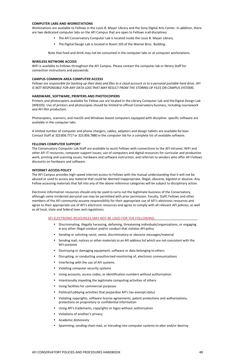### **COMPUTER LABS AND WORKSTATIONS**

Workstations are available to Fellows in the Louis B. Mayer Library and the Sony Digital Arts Center. In addition, there are two dedicated computer labs on the AFI Campus that are open to Fellows inall disciplines:

- The AFI Conservatory Computer Lab is located inside the Louis B. Mayer Library.
- The Digital Design Lab is located in Room 103 of the Warner Bros. Building.

Note that food and drink may not be consumed in the computer labs or at computer workstations.

#### **WIRELESS NETWORK ACCESS**

Printers and photocopiers available for Fellow use are located in the Library Computer Lab and the Digital Design Lab (WB103). Use of printers and photocopies should be limited to official Conservatory business, including coursework and AFI film production.

WiFi is available to Fellows throughout the AFI Campus. Please contact the computer lab or library Staff for connection instructions and passwords.

### **CAMPUS COMMON AREA COMPUTER ACCESS**

*Fellows are responsible for backing up their data and files to a cloud account or to a personal portable hard drive. AFI IS NOT RESPONSIBLE FOR ANY DATA LOSS THAT MAY RESULT FROM THE STORING OF FILES ON CAMPUS SYSTEMS.*

### **HARDWARE, SOFTWARE, PRINTERS AND PHOTOCOPIERS**

Photocopiers, scanners, and macOS and Windows-based computers equipped with discipline- specific software are available in the computer labs.

A limited number of computer and phone chargers, cables, adapters and design tablets are available for loan. Contact Staff at 323.856.7717 or 323.856.7880 in the computer lab for a complete list of available software.

### **FELLOWS COMPUTER SUPPORT**

The Conservatory Computer Lab Staff are available to assist Fellows with connections to the AFI Intranet, WiFi and other AFI IT resources; computer support issues; use of computers and digital resources for curricular and production work; printing and scanning issues; hardware and software instruction; and referrals to vendors who offer AFI Fellows discounts on hardware and software.

#### **INTERNET ACCESS POLICY**

The AFI Campus provides high-speed internet access to Fellows with the mutual understanding that it will not be abused or used to access any material that could be deemed inappropriate, illegal, obscene, bigoted or abusive. Any Fellow accessing materials that fall into any of the above-reference categories will be subject to disciplinary action.

Electronic information resources should only be used to carry out the legitimate business of the Conservatory, although some incidental personal use may be permitted with prior permission. Faculty, Staff, Fellows and other members of the AFI community assume responsibility for their appropriate use of AFI's electronic resources and agree to their appropriate use of AFI's electronic resources and agree to comply with all relevant AFI policies, as well as all local, state and federal laws and regulations.

### AFI ELECTRONIC RESOURCES MAY NOT BE USED FOR THE FOLLOWING:

- Discriminating, illegally harassing, defaming, threatening individuals/organizations, or engaging in any other illegal conduct and/or conduct that violates AFI policy
- Sending or soliciting racist, sexist, discriminatory or obscene messages/material
- Sending mail, notices or other materials to an AFI address list which are not consistent with the list's purpose
- Destroying or damaging equipment, software or data belonging to others
- Disrupting, or conducting unauthorized monitoring of, electronic communications
- Interfering with the use of AFI systems
- Violating computer security systems
- Using accounts, access codes, or identification numbers without authorization
- Intentionally impeding the legitimate computing activities of others
- Using facilities for commercial purposes
- Political/Lobbying activities that jeopardize AFI's tax-exempt status
- Violating copyrights, software license agreements, patent protections and authorizations, protections on proprietary or confidential information
- Using AFI's trademarks, copyrights or logos without authorization
- Violations of another's privacy
- Academic dishonesty
- Spamming, sending chain mail, or intruding into computer systems to alter and/or destroy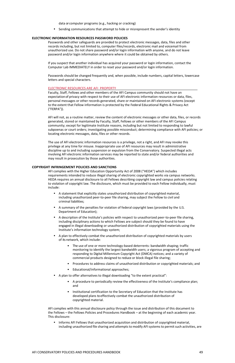data or computer programs (e.g., hacking or cracking)

• Sending communications that attempt to hide or misrepresent the sender's identity

#### **ELECTRONIC INFORMATION RESOURCES PASSWORD POLICIES**

Passwords and other safeguards are provided to protect electronic messages, data, files and other records including, but not limited to, computer files/records, electronic mail and voicemail from unauthorized use. Do not share password and/or login information with anyone, and do not leave password and/or login information anywhere where it could be obtained by others.

If you suspect that another individual has acquired your password or login information, contact the Computer Lab IMMEDIATELY in order to reset your password and/or login information.

Passwords should be changed frequently and, when possible, include numbers, capital letters, lowercase letters and special characters.

#### ELECTRONIC RESOURCES ARE AFI PROPERTY

Faculty, Staff, Fellows and other members of the AFI Campus community should not have an expectationof privacy with respect to their use of AFI electronic information resources or data, files, personal messages or other records generated, share or maintained on AFI electronic systems (except to the extent that Fellow information is protected by the Federal Educational Rights & Privacy Act ("FERPA")).

AFI will not, as a routine matter, review the content of electronic messages or other data, files, or records generated, stored or maintained by Faculty, Staff, Fellows or other members of the AFI Campus community; except for legitimate Institute reasons, including but not limited to responding to lawful subpoenas or court orders; investigating possible misconduct; determining compliance with AFI policies; or locating electronic messages, data, files or other records.

The use of AFI electronic information resources is a privilege, not a right, and AFI may revoke this privilege at any time for misuse. Inappropriate use of AFI resources may result in administrative discipline up to and including suspension or expulsion from the Conservatory. Suspected illegal acts involving AFI electronic information services may be reported to state and/or federal authorities and may result in prosecution by those authorities.

• Informs AFI Fellows that unauthorized acquisition and distribution of copyrighted material, including unauthorized file sharing and attempts to modify AFI systems to permit such activities, are

#### **COPYRIGHT INFRINGEMENT POLICIES AND SANCTIONS**

AFI complies with the Higher Education Opportunity Act of 2008 ("HEOA") which includes requirements intended to reduce illegal sharing of electronic copyrighted works via campus networks. HEOA requires an annual disclosure to all Fellows describing copyright law and campus policies relating to violation of copyright law. The disclosure, which must be provided to each Fellow individually, must include:

- A statement that explicitly states unauthorized distribution of copyrighted material, including unauthorized peer-to-peer file sharing, may subject the Fellow to civil and criminal liabilities;
- A summary of the penalties for violation of federal copyright laws (provided by the U.S. Department of Education);
- A description of the Institute's policies with respect to unauthorized peer-to-peer file sharing, including disciplinary actions to which Fellows are subject should they be found to have engaged in illegal downloading or unauthorized distribution of copyrighted materials using the Institute's information technology system;
- A plan to effectively combat the unauthorized distribution of copyrighted materials by users of its network, which include:
	- The use of one or more technology-based deterrents: bandwidth shaping; traffic monitoring to identify the largest bandwidth users; a vigorous program of accepting and responding to Digital Millennium Copyright Act (DMCA) notices; and a variety of commercial products designed to reduce or block illegal file sharing;
	- Procedures to address claims of unauthorized distribution or copyrighted materials; and
	- Educational/informational approaches;
- A plan to offer alternatives to illegal downloading "to the extent practical":
	- A procedure to periodically review the effectiveness of the Institute's compliance plan; and
	- Institutional certification to the Secretary of Education that the Institute has developed plans to effectively combat the unauthorized distribution of copyrighted material.

AFI complies with this annual disclosure policy through the issue and distribution of this document to the Fellows – the Fellows Policies and Procedures Handbook – at the beginning of each academic year. This disclosure: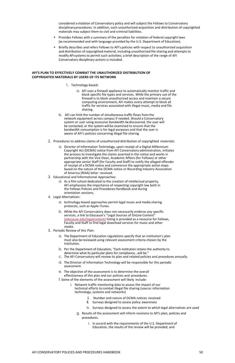considered a violation of Conservatory policy and will subject the Fellows to Conservatory disciplinaryprocedures. In addition, such unauthorized acquisition and distribution of copyrighted materials may subject them to civil and criminal liabilities.

- Provides Fellows with a summary of the penalties for violation of federal copyright laws (as recommended and with language provided by the U.S. Department of Education).
- Briefly describes and refers Fellows to AFI's policies with respect to unauthorized acquisition and distribution of copyrighted material, including unauthorized file sharing and attempts to modify AFI systems to permit such activities; a brief description of the range of AFI Conservatory disciplinary actions is included.

### **AFI'S PLAN TO EFFECTIVELY COMBAT THE UNAUTHORIZED DISTRIBUTION OF COPYRIGHTED MATERIALS BY USERS OF ITS NETWORK**

- 1. Technology-based:
	- a. AFI uses a firewall appliance to automatically monitor traffic and block specific file types and services. While the primary use of the firewall is to block unauthorized access and maintain a secure computing environment, AFI makes every attempt to block all traffic for services associated with illegal music, media and file sharing.
- b. AFI can limit the number of simultaneous traffic flows from the network equipment across campus if needed. Should a Conservatory system or user using excessive bandwidth be discovered, the user will be contacted, or the system will be examined to ensure that the bandwidth consumption is for legal purposes and that the user is aware of AFI's policies concerning illegal file sharing.
- 2. Procedures to address claims of unauthorized distribution of copyrighted materials:
	- a. Director of Information Technology, upon receipt of a Digital Millennium Copyright Act (DCMA) notice from AFI Conservatory administration, initiates the process to investigate the claims asserted in the notice and works in partnership with the Vice Dean, Academic Affairs (for Fellows) or other appropriate senior Staff (for Faculty and Staff) to notify the alleged offender of receipt of a DCMA notice and commence the appropriate action steps based on the nature of the DCMA notice or Recording Industry Association of America (RIAA) letter received.
- 3. Educational and Informational Approaches:
	- a. As a film school dedicated to the creation of intellectual property, AFI emphasizes the importance of respecting copyright law both in the Fellows Policies and Procedures Handbook and during orientation sessions.
- 4. Legal Alternatives:
	- a. technology-based approaches permit legal music and media sharing protocols, such as Apple iTunes.
	- b. While the AFI Conservatory does not necessarily endorse any specific services, a link to Educause's "Legal Sources of OnLine Content" [\(educause.edu/legalcontent\)](https://educause.edu/legalcontent) listing is provided as a resource for Fellows, Faculty and Staff to find legal download services for music and other media.
- 5. Periodic Review of this Plan:
	- a. The Department of Education regulations specify that an institution's plan must also be reviewed using relevant assessment criteria chosen by the Institution.
	- b. Per the Department of Education, "Each institution retains the authority to determine what its particular plans for compliance...will be."
	- c. The AFI Conservatory will review its plan and related policies and procedures annually.
	- d. The Director of Information Technology will be responsible for this periodic assessment.
		-
	- e. The objective of the assessment is to determine the overall effectiveness of this plan and our policies and procedures.
	- f. Some of the elements of the assessment will likely include:
		- i. Network traffic monitoring data to assess the impact of our technical efforts to combat illegal file sharing (source: information technology, systems and networks)
			- ii. Number and nature of DCMA notices received
			- $\ddot{\mathbf{u}}$ . Surveys designed to assess policy awareness
			- iv. Surveys designed to assess the extent to which legal alternatives are used
			- g. Results of the assessment will inform revisions to AFI's plan, policies and procedures.
				- i. In accord with the requirements of the U.S. Department of Education, the results of the review will be provided, and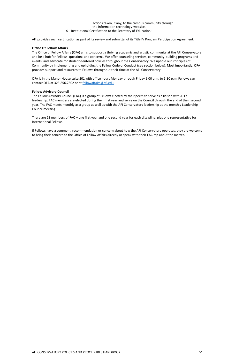actions taken, if any, to the campus community through the information technology website. 6. Institutional Certification to the Secretary of Education:

AFI provides such certification as part of its review and submittal of its Title IV Program Participation Agreement.

### **Office Of Fellow Affairs**

OFA is in the Manor House suite 201 with office hours Monday through Friday 9:00 a.m. to 5:30 p.m. Fellows can contact OFA at 323.856.7802 or at [fellowaffairs@afi.edu.](mailto:fellowaffairs@afi.edu)

The Office of Fellow Affairs (OFA) aims to support a thriving academic and artistic community at the AFI Conservatory and be a hub for Fellows' questions and concerns. We offer counseling services, community-building programs and events, and advocate for student-centered policies throughout the Conservatory. We uphold our Principles of Community by implementing and upholding the Fellow Code of Conduct (see section below). Most importantly, OFA provides support and resources to Fellows throughout their time at the AFI Conservatory.

### **Fellow Advisory Council**

The Fellow Advisory Council (FAC) is a group of Fellows elected by their peers to serve as a liaison with AFI's leadership. FAC members are elected during their first year and serve on the Council through the end of their second year. The FAC meets monthly as a group as well as with the AFI Conservatory leadership at the monthly Leadership Council meeting.

There are 13 members of FAC – one first year and one second year for each discipline, plus one representative for International Fellows.

If Fellows have a comment, recommendation or concern about how the AFI Conservatory operates, they are welcome to bring their concern to the Office of Fellow Affairs directly or speak with their FAC rep about the matter.

#### AFI CONSERVATORY POLICIES AND PROCEDURES HANDBOOK 61 APPROVED 1 2012 1 APPROVED 1 APPROVED 1 APPROVED 1 APPROVED 1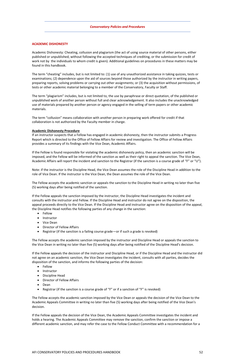### **ACADEMIC DISHONESTY**

Academic Dishonesty: Cheating, collusion and plagiarism (the act of using source material of other persons, either published or unpublished, without following the accepted techniques of crediting, or the submission for credit of work not by the individuals to whom credit is given). Additional guidelines on procedures in these matters may be found in this handbook.

The term "cheating" includes, but is not limited to: (1) use of any unauthorized assistance in taking quizzes, tests or examinations; (2) dependence upon the aid of sources beyond those authorized by the instructor in writing papers, preparing reports, solving problems or carrying out other assignments; or (3) the acquisition without permissions, of tests or other academic material belonging to a member of the Conservatory, Faculty or Staff.

The term "plagiarism" includes, but is not limited to, the use by paraphrase or direct quotation, of the published or unpublished work of another person without full and clear acknowledgement. It also includes the unacknowledged use of materials prepared by another person or agency engaged in the selling of term papers or other academic materials.

The term "collusion" means collaboration with another person in preparing work offered for credit if that collaboration is not authorized by the Faculty member in charge.

#### **Academic Dishonesty Procedure**

If an instructor suspects that a Fellow has engaged in academic dishonesty, then the instructor submits a Progress Report which is directed to the Office of Fellow Affairs for review and investigation. The Office of Fellow Affairs provides a summary of its findings with the Vice Dean, Academic Affairs.

- **Fellow** 
	- Instructor
	- Discipline Head
	- Director of Fellow Affairs
	- Dean
	- Registrar (if the sanction is a course grade of "F" or if a sanction of "F" is revoked)

If the Fellow is found responsible for violating the academic dishonesty policy, then an academic sanction will be imposed, and the Fellow will be informed of the sanction as well as their right to appeal the sanction. The Vice Dean, Academic Affairs will report the incident and sanction to the Registrar (if the sanction is a course grade of "F" or "U").

Note: if the instructor is the Discipline Head, the Vice Dean assumes the role of the Discipline Head in addition to the role of Vice Dean. If the instructor is the Vice Dean, the Dean assumes the role of the Vice Dean.

The Fellow accepts the academic sanction or appeals the sanction to the Discipline Head in writing no later than five (5) working days after being notified of the sanction.

If the Fellow appeals the sanction imposed by the instructor, the Discipline Head investigates the incident and consults with the instructor and Fellow. If the Discipline Head and instructor do not agree on the disposition, the appeal proceeds directly to the Vice Dean. If the Discipline Head and instructor agree on the disposition of the appeal, the Discipline Head notifies the following parties of any change in the sanction:

- Fellow
- Instructor
- Vice Dean
- Director of Fellow Affairs
- Registrar (if the sanction is a failing course grade—or if such a grade is revoked)

The Fellow accepts the academic sanction imposed by the instructor and Discipline Head or appeals the sanction to the Vice Dean in writing no later than five (5) working days after being notified of the Discipline Head's decision.

If the Fellow appeals the decision of the instructor and Discipline Head, or if the Discipline Head and the instructor did not agree on an academic sanction, the Vice Dean investigates the incident, consults with all parties, decides the disposition of the sanction, and informs the following parties of the decision:

The Fellow accepts the academic sanction imposed by the Vice Dean or appeals the decision of the Vice Dean to the Academic Appeals Committee in writing no later than five (5) working days after being notified of the Vice Dean's decision.

If the Fellow appeals the decision of the Vice Dean, the Academic Appeals Committee investigates the incident and holds a hearing. The Academic Appeals Committee may remove the sanction, confirm the sanction or impose a different academic sanction, and may refer the case to the Fellow Conduct Committee with a recommendation for a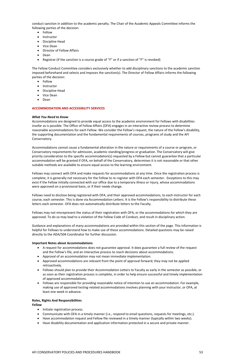conduct sanction in addition to the academic penalty. The Chair of the Academic Appeals Committee informs the following parties of the decision:

- Fellow
- Instructor
- Discipline Head
- Vice Dean
- Director of Fellow Affairs
- Dean
- Registrar (if the sanction is a course grade of "F" or if a sanction of "F" is revoked)

The Fellow Conduct Committee considers exclusively whether to add disciplinary sanctions to the academic sanction imposed beforehand and selects and imposes the sanction(s). The Director of Fellow Affairs informs the following parties of the decision:

- Fellow
- Instructor
- Discipline Head
- Vice Dean
- Dean

### **ACCOMMODATION AND ACCESSIBILITY SERVICES**

### *What You Need to Know*

Accommodations are designed to provide equal access to the academic environment for Fellows with disabilities insofar as is possible. The Office of Fellow Affairs (OFA) engages in an interactive review process to determine reasonable accommodations for each Fellow. We consider the Fellow's request, the nature of the Fellow's disability, the supporting documentation and the fundamental requirements of courses, programs of study and the AFI Conservatory.

Accommodations cannot cause a fundamental alteration in the nature or requirements of a course or program, or Conservatory requirements for admission, academic standing/progress or graduation. The Conservatory will give priority consideration to the specific accommodation(s) requested by a Fellow but cannot guarantee that a particular accommodation will be granted if OFA, on behalf of the Conservatory, determines it is not reasonable or that other suitable methods are available to ensure equal access to the learning environment.

Fellows may connect with OFA and make requests for accommodations at any time. Once the registration process is complete, it is generally not necessary for the Fellow to re-register with OFA each semester. Exceptions to this may exist if the Fellow initially connected with our office due to a temporary illness or injury, whose accommodations were approved on a provisional basis, or if their needs change.

Fellows need to disclose being registered with OFA, and their approved accommodations, to each instructor for each course, each semester. This is done via Accommodation Letters. It is the Fellow's responsibility to distribute these letters each semester. OFA does not automatically distribute letters to the Faculty.

Fellows may not misrepresent the status of their registration with OFA, or the accommodations for which they are approved. To do so may lead to a violation of the Fellow Code of Conduct, and result in disciplinary action.

Guidance and explanations of many accommodations are provided within this section of the page. This information is helpful for Fellows to understand how to make use of these accommodations. Detailed questions may be raised directly to the ADA/504 Coordinator for further discussion.

### **Important Notes about Accommodations**

- A request for accommodations does not guarantee approval. It does guarantee a full review of the request and the Fellow's file, and an interactive process to reach decisions about accommodations.
- Approval of an accommodation may not mean immediate implementation.
- Approved accommodations are relevant from the point of approval forward; they may not be applied retroactively.
- Fellows should plan to provide their Accommodation Letters to Faculty as early in the semester as possible, or as soon as their registration process is complete, in order to help ensure successful and timely implementation of approved accommodations.
- Fellows are responsible for providing reasonable notice of intention to use an accommodation. For example, making use of approved testing-related accommodations involves planning with your instructor, or OFA, at least one week in advance.

### **Roles, Rights And Responsibilities**

*Fellow*

- Initiate registration process.
- Communicate with OFA in a timely manner (i.e., respond to email questions, requests for meetings, etc.).
- Have accommodation request and Fellow file reviewed in a timely manner (typically within two weeks).
- Have disability documentation and application information protected in a secure and private manner.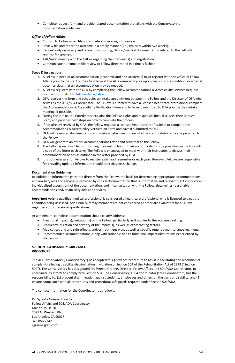• Complete request form and provide related documentation that aligns with the Conservatory's documentation guidelines.

### *Office of Fellow Affairs*

- Confirm to Fellow when file is complete and moving into review.
- Review file and report on outcome in a timely manner (i.e., typically within two weeks).
- Request only necessary and relevant supporting, clinical/medical documentation related to the Fellow's request for services.
- Talk/meet directly with the Fellow regarding their request(s) and registration.
- Communicate outcome of file review to Fellow directly and in a timely fashion.

### **Steps & Instructions**

- 1. A Fellow in need of an accommodation (academic and non-academic) must register with the Office of Fellow Affairs prior to the start of their first term at the AFI Conservatory, or upon diagnosis of a condition, or when it becomes clear that an accommodation may be needed.
- 2. A Fellow registers with the OFA by completing the Fellow Accommodations & Accessibility Services Request Form and submits it to [fellowaffairs@afi.edu.](mailto:fellowaffairs@afi.edu)
- 3. OFA receives the form and schedules an intake appointment between the Fellow and the Director of OFA who serves as the ADA/504 Coordinator. The Fellow is directed to have a licensed healthcare professional complete the Accommodations & Accessibility Verification Form and to have it submitted to OFA prior to their intake meeting, if possible.
- 4. During the intake, the Coordinator explains the Fellows rights and responsibilities, discusses their Request Form, and provides next steps on how to complete the process.
- 5. If not already received by OFA, the Fellow requests a licensed healthcare professional to complete the Accommodations & Accessibility Verification Form and have it submitted to OFA.
- 6. OFA will review all documentation and make a determination on which accommodations may be provided to the Fellow.
- 7. OFA will generate an official Accommodations Letter and send that to the Fellow.
- 8. The Fellow is responsible for informing their instructors of their accommodations by providing instructors with a copy of the letter each term. The Fellow is encouraged to meet with their instructors to discuss their accommodation needs as outlined in the letter provided by OFA.
- 9. It is not necessary for Fellows to register again each semester or each year. However, Fellows are responsible for providing updated information should their diagnosis change.

### **Documentation Guidelines**

In addition to information gathered directly from the Fellow, the basis for determining appropriate accommodations and auxiliary aids and services is provided by clinical documentation that is informative and relevant. OFA conducts an individualized assessment of the documentation, and in consultation with the Fellow, determines reasonable accommodations and/or auxiliary aids and services.

*Important note:* a qualified medical professional is considered a healthcare professional who is licensed to treat the condition being assessed. Additionally, family members are not considered appropriate evaluators for a Fellow, regardless of professional qualifications.

At a minimum, complete documentation should clearly address:

- Functional impact(s)/limitation(s) on the Fellow, particularly as it applies to the academic setting.
- Frequency, duration and severity of the impact(s), as well as exacerbating factors.
- Medication, and any side-effects, and/or treatment plan, as well as specific required maintenance regimens.
- Recommended accommodations, along with rationale tied to functional impacts/limitations experienced by the Fellow.

### **SECTION 504 DISABILITY GRIEVANCE**  *PROCEDURE*

The AFI Conservatory ("Conservatory") has adopted this grievance procedure to assist in facilitating the resolution of complaints alleging disability discrimination in violation of Section 504 of the Rehabilitation Act of 1973 ("Section

504"). The Conservatory has designated Dr. Syreeta Greene, Director, Fellow Affairs and 504/ADA Coordinator, to coordinate its efforts to comply with Section 504. The Conservatory's 504 Coordinator ("the Coordinator") has the responsibility to: (1) prevent discrimination against students, employees and others on the basis of disability; and (2) ensure compliance with all procedures and procedural safeguards required under Section 504/ADA.

The contact information for the Coordinator is as follows:

Dr. Syreeta Greene, Director Fellow Affairs and 504/ADA Coordinator Manor House 201 2021 N. Western Blvd. Los Angeles, CA 90027 323.856.7742 sgreene@afi.com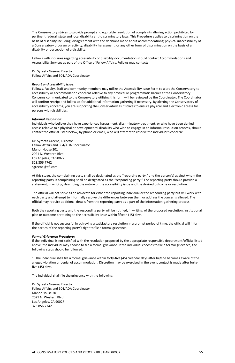The Conservatory strives to provide prompt and equitable resolution of complaints alleging action prohibited by pertinent federal, state and local disability anti-discriminatory laws. This Procedure applies to discrimination on the basis of disability including: disagreement with the decisions made about accommodations; physical inaccessibility of a Conservatory program or activity; disability harassment; or any other form of discrimination on the basis of a disability or perception of a disability.

Fellows with inquiries regarding accessibility or disability documentation should contact Accommodations and Accessibility Services as part of the Office of Fellow Affairs. Fellows may contact:

Dr. Syreeta Greene, Director Fellow Affairs and 504/ADA Coordinator

### *Report an Accessibility Issue:*

Fellows, Faculty, Staff and community members may utilize the Accessibility Issue Form to alert the Conservatory to accessibility or accommodation concerns relative to any physical or programmatic barrier at the Conservatory. Concerns communicated to the Conservatory utilizing this form will be reviewed by the Coordinator. The Coordinator will confirm receipt and follow up for additional information gathering if necessary. By alerting the Conservatory of accessibility concerns, you are supporting the Conservatory as it strives to ensure physical and electronic access for persons with disabilities.

### *Informal Resolution:*

Individuals who believe they have experienced harassment, discriminatory treatment, or who have been denied access relative to a physical or developmental disability who wish to engage in an informal resolution process, should contact the official listed below, by phone or email, who will attempt to resolve the individual's concern:

Dr. Syreeta Greene, Director Fellow Affairs and 504/ADA Coordinator Manor House 201 2021 N. Western Blvd. Los Angeles, CA 90027 323.856.7742 sgreene@afi.com

At this stage, the complaining party shall be designated as the "reporting party," and the person(s) against whom the reporting party is complaining shall be designated as the "responding party." The reporting party should provide a statement, in writing, describing the nature of the accessibility issue and the desired outcome or resolution.

The official will not serve as an advocate for either the reporting individual or the responding party but will work with each party and attempt to informally resolve the differences between them or address the concerns alleged. The official may require additional details from the reporting party as a part of the information-gathering process.

Both the reporting party and the responding party will be notified, in writing, of the proposed resolution, institutional plan or outcome pertaining to the accessibility issue within fifteen (15) days.

If the official is not successful in achieving a satisfactory resolution in a prompt period of time, the official will inform the parties of the reporting party's right to file a formal grievance.

### *Formal Grievance Procedure:*

If the individual is not satisfied with the resolution proposed by the appropriate responsible department/official listed above, the individual may choose to file a formal grievance. If the individual chooses to file a formal grievance, the following steps should be followed:

1. The individual shall file a formal grievance within forty-five (45) calendar days after he/she becomes aware of the alleged violation or denial of accommodation. Discretion may be exercised in the event contact is made after forty-

five (45) days.

The individual shall file the grievance with the following:

Dr. Syreeta Greene, Director Fellow Affairs and 504/ADA Coordinator Manor House 201 2021 N. Western Blvd. Los Angeles, CA 90027 323.856.7742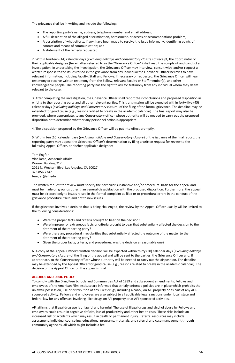The grievance shall be in writing and include the following:

- The reporting party's name, address, telephone number and email address;
- A full description of the alleged discrimination, harassment, or access or accommodations problem;
- A description of what efforts, if any, have been made to resolve the issue informally, identifying points of contact and means of communication; and
- A statement of the remedy requested.

2. Within fourteen (14) calendar days (*excluding holidays and Conservatory closure*) of receipt, the Coordinator or their applicable designee (hereinafter referred to as the "Grievance Officer") shall read the complaint and conduct an investigation. In undertaking the investigation, the Grievance Officer may interview, consult with, and/or request a written response to the issues raised in the grievance from any individual the Grievance Officer believes to have relevant information, including Faculty, Staff and Fellows. If necessary or requested, the Grievance Officer will hear testimony or receive written testimony from the Fellow, relevant Faculty or Staff member(s), and other knowledgeable people. The reporting party has the right to ask for testimony from any individual whom they deem relevant to the case.

3. After completing the investigation, the Grievance Officer shall report their conclusions and proposed disposition in writing to the reporting party and all other relevant parties. This transmission will be expected within forty-five (45) calendar days (*excluding holidays and Conservatory closure*) of the filing of the formal grievance. The deadline may be extended for good cause (e.g., reasons related to breaks in the academic calendar). The final report may also be provided, where appropriate, to any Conservatory officer whose authority will be needed to carry out the proposed disposition or to determine whether any personnel action is appropriate.

4. The disposition proposed by the Grievance Officer will be put into effect promptly.

5. Within ten (10) calendar days (*excluding holidays and Conservatory closure*) of the issuance of the final report, the reporting party may appeal the Grievance Officer's determination by filing a written request for review to the following Appeal Officer, or his/her applicable designee:

Tom Engfer Vice Dean, Academic Affairs Warner Building 212 2021 N. Western Blvd. Los Angeles, CA 90027 323.856.7747 tengfer@afi.edu

The written request for review must specify the particular substantive and/or procedural basis for the appeal and must be made on grounds other than general dissatisfaction with the proposed disposition. Furthermore, the appeal must be directed only to issues raised in the formal complaint as filed or to procedural errors in the conduct of the grievance procedure itself, and not to new issues.

If the grievance involves a decision that is being challenged, the review by the Appeal Officer usually will be limited to the following considerations:

- Were the proper facts and criteria brought to bear on the decision?
- Were improper or extraneous facts or criteria brought to bear that substantially affected the decision to the detriment of the reporting party?
- Were there any procedural irregularities that substantially affected the outcome of the matter to the detriment of the reporting party?
- Given the proper facts, criteria, and procedures, was the decision a reasonable one?

6. A copy of the Appeal Officer's written decision will be expected within thirty (30) calendar days (*excluding holidays and Conservatory closure*) of the filing of the appeal and will be sent to the parties, the Grievance Officer and, if appropriate, to the Conservatory officer whose authority will be needed to carry out the disposition. The deadline may be extended by the Appeal Officer for good cause (e.g., reasons related to breaks in the academic calendar). The

decision of the Appeal Officer on the appeal is final.

### **ALCOHOL AND DRUG POLICY**

To comply with the Drug Free Schools and Communities Act of 1989 and subsequent amendments, Fellows and employees of the American Film Institute are informed that strictly enforced policies are in place which prohibits the unlawful possession, use or distribution of any illicit drugs, including alcohol, on AFI property or as part of any AFIsponsored activity. Fellows and employees are also subject to all applicable legal sanctions under local, state and federal law for any offenses involving illicit drugs on AFI property or at AFI-sponsored activities.

AFI affirms that illegal drug use is unlawful and harmful. The use of illegal drugs and alcohol abuse by Fellows and employees could result in cognitive deficits, loss of productivity and other health risks. These risks include an increased risk of accidents which may result in death or permanent injury. Referral resources may include assessment, individual counseling, educational programs, materials, and referral and case management through community agencies, all which might include a fee.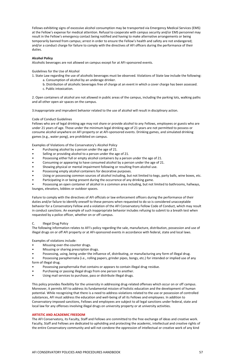Fellows exhibiting signs of excessive alcohol consumption may be transported via Emergency Medical Services (EMS) at the Fellow's expense for medical attention. Refusal to cooperate with campus security and/or EMS personnel may result in the Fellow's emergency contact being notified and having to make alternative arrangements or being temporarily banned from campus; arrest in order to ensure the Fellow's health and safety are not endangered; and/or a conduct charge for failure to comply with the directives of AFI officers during the performance of their duties.

### **Alcohol Policy**

Alcoholic beverages are not allowed on campus except for at AFI-sponsored events.

Guidelines for the Use of Alcohol

1. State Law regarding the use of alcoholic beverages must be observed. Violations of State law include the following:

- Purchasing alcohol by a person under the age of 21.
- Selling or providing alcohol to a person under the age of 21.
- Possessing either full or empty alcohol containers by a person under the age of 21.
- Consuming or appearing to have consumed alcohol by a person under the age of 21.
- Showing physical or mental impairment following or resulting from alcohol use.
- Possessing empty alcohol containers for decorative purposes.
- Using or possessing common sources of alcohol including, but not limited to kegs, party balls, wine boxes, etc.
- Participating in or being present during the occurrence of any drinking game.
- a. Consumption of alcohol by an underage drinker.
- b. Distribution of alcoholic beverages free of charge at an event in which a cover charge has been assessed.
- c. Public intoxication.

2. Open containers of alcohol are not allowed in public areas of the campus, including the parking lots, walking paths and all other open-air spaces on the campus.

3.Inappropriate and imprudent behavior related to the use of alcohol will result in disciplinary action.

### Code of Conduct Guidelines

Fellows who are of legal drinking age may not share or provide alcohol to any Fellows, employees or guests who are under 21 years of age. Those under the minimum legal drinking age of 21 years are not permitted to possess or consume alcohol anywhere on AFI property or at AFI-sponsored events. Drinking games, and simulated drinking games (e.g., water pong), are prohibited on campus.

Examples of Violations of the Conservatory's Alcohol Policy

• Possessing an open container of alcohol in a common area including, but not limited to bathrooms, hallways, lounges, elevators, lobbies or outdoor spaces.

Failure to comply with the directives of AFI officials or law enforcement officers during the performance of their duties and/or failure to identify oneself to these persons when requested to do so is considered unacceptable behavior for a Conservatory Fellow and a violation of the AFI Conservatory Fellow Code of Conduct, which may result in conduct sanctions. An example of such inappropriate behavior includes refusing to submit to a breath test when requested by a police officer, whether on or off campus.

### C. Illegal Drug Policy

The following information relates to AFI's policy regarding the sale, manufacture, distribution, possession and use of illegal drugs on or off AFI property or at AFI-sponsored events in accordance with federal, state and local laws.

Examples of violations include:

- Misusing over-the-counter drugs.
- Misusing or sharing prescription drugs.
- Possessing, using, being under the influence of, distributing, or manufacturing any form of illegal drug.
- Possessing paraphernalia (i.e., rolling papers, grinder pipes, bongs, etc.) for intended or implied use of any form of illegal drug.
- 
- Possessing paraphernalia that contains or appears to contain illegal drug residue.
- Purchasing or passing illegal drugs from one person to another.
- Using mail services to purchase, pass or distribute illegal drugs.

This policy provides flexibility for the university in addressing drug-related offenses which occur on or off campus. Moreover, it permits AFI to address its fundamental mission of holistic education and the development of human potential. While recognizing that there is a need to address violations related to the use or possession of controlled substances, AFI must address the education and well-being of all its Fellows and employees. In addition to Conservatory-imposed sanctions, Fellows and employees are subject to all legal sanctions under federal, state and local law for any offenses involving illegal drugs on university property or at university activities.

#### **ARTISTIC AND ACADEMIC FREEDOM**

The AFI Conservatory, its Faculty, Staff and Fellows are committed to the free exchange of ideas and creative work. Faculty, Staff and Fellows are dedicated to upholding and protecting the academic, intellectual and creative rights of the entire Conservatory community and will not condone the oppression of intellectual or creative work of any kind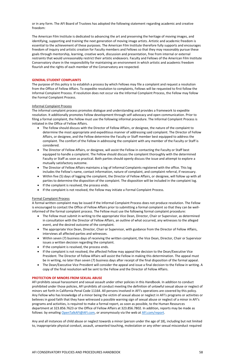or in any form. The AFI Board of Trustees has adopted the following statement regarding academic and creative freedom:

The American Film Institute is dedicated to advancing the art and preserving the heritage of moving images, and identifying, supporting and training the next generation of moving image artists. Artistic and academic freedom is essential to the achievement of these purposes. The American Film Institute therefore fully supports and encourages freedom of inquiry and artistic creation for Faculty members and Fellows so that they may reasonably pursue these goals through mentorship, learning, creative work, discussion and presentation, free from internal or external restraints that would unreasonably restrict their artistic endeavors. Faculty and Fellows of the American Film Institute Conservatory share in the responsibility for maintaining an environment in which artistic and academic freedom flourish and the rights of each member of the Conservatory are respected.

### **GENERAL STUDENT COMPLAINTS**

The purpose of this policy is to establish a process by which Fellows may file a complaint and request a resolution from the Office of Fellow Affairs. To expedite resolution to complaints, Fellows will be requested to first follow the Informal Complaint Process. If resolution does not occur via the Informal Complaint Process, the Fellow may follow the Formal Complaint Process.

### Informal Complaint Process

The informal complaint process promotes dialogue and understanding and provides a framework to expedite resolution. It additionally promotes Fellow development through self-advocacy and open communication. Prior to filing a formal complaint, the Fellow must use the following informal procedure. The Informal Complaint Process is initiated in the Office of Fellow Affairs.

AFI prohibits sexual harassment and sexual assault under other policies in this Handbook. In addition to conduct prohibited under those policies, AFI prohibits all conduct meeting the definition of unlawful sexual abuse or neglect of minors set forth in California Penal Code 11164. All persons involved in AFI's operations are covered by this policy. Any Fellow who has knowledge of a minor being the victim of sexual abuse or neglect in AFI's programs or activities or believes in good faith that they have witnessed a possible warning sign of sexual abuse or neglect of a minor in AFI's programs and activities, is required to make a formal report, as soon as possible, to the Human Resources department at 323.856.7623 or the Office of Fellow Affairs at 323.856.7802. In addition, reports may be made as follows: by emailing [OpenTalkAFI@AFI.com,](mailto:OpenTalkAFI@AFI.com) or anonymously via the web at [AFI.com/report.](http://afi.com/report)

- The Fellow should discuss with the Director of Fellow Affairs, or designee, the nature of the complaint to determine the most appropriate and expeditious manner of addressing said complaint. The Director of Fellow Affairs, or designee, and the Fellow determine the Faculty or Staff member best equipped to address the complaint. The comfort of the Fellow in addressing the complaint with any member of the Faculty or Staff is considered.
- The Director of Fellow Affairs, or designee, will assist the Fellow in contacting the Faculty or Staff best equipped to handle a complaint. The Fellow should discuss the complaint thoroughly with the determined Faculty or Staff as soon as practical. Both parties should openly discuss the issue and attempt to explore a mutually satisfactory outcome.
- The Director of Fellow Affairs maintains a log of Informal Complaints registered with the office. This log includes the Fellow's name, contact information, nature of complaint, and complaint referral, if necessary.
- Within five (5) days of logging the complaint, the Director of Fellow Affairs, or designee, will follow up with all parties to determine the disposition of the complaint. The disposition will be included in the complaint log.
- If the complaint is resolved, the process ends.
- If the complaint is not resolved, the Fellow may initiate a Formal Complaint Process.

### Formal Complaint Process

A formal written complaint may be issued if the Informal Complaint Process does not produce resolution. The Fellow is encouraged to contact the Office of Fellow Affairs prior to submitting a formal complaint so that they can be wellinformed of the formal complaint process. The Fellow must use the following formal complaint procedure:

- The Fellow must submit in writing to the appropriate Vice Dean, Director, Chair or Supervisor, as determined in consultation with the Director of Fellow Affairs, an outline of what occurred, any witnesses to the alleged event, and the desired outcome of the complaint.
- The appropriate Vice Dean, Director, Chair or Supervisor, with guidance from the Director of Fellow Affairs, interviews all affected parties and witnesses.
- Within seven (7) business days of receiving the written complaint, the Vice Dean, Director, Chair or Supervisor issues a written decision regarding the complaint.
- If the complaint is resolved, the process ends.
- If the complaint is not resolved, the affected Fellow may appeal the decision to the Dean/Executive Vice President. The Director of Fellow Affairs will assist the Fellow in making this determination. The appeal must be in writing, no later than seven (7) business days after receipt of the final disposition of the formal appeal.
- The Dean/Executive Vice President will consider the appeal and issue a final decision to the Fellow in writing. A

copy of the final resolution will be sent to the Fellow and the Director of Fellow Affairs.

#### **PROTECTION OF MINORS FROM SEXUAL ABUSE**

Any and all instances of child abuse or neglect towards a minor (person under the age of 18), including but not limited to, inappropriate physical conduct, assault, unwanted touching, molestation or any other sexual misconduct required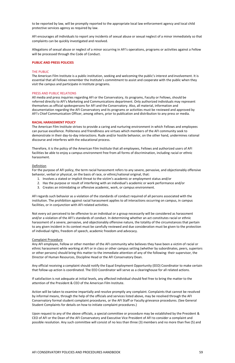to be reported by law, will be promptly reported to the appropriate local law enforcement agency and local child protective services agency as required by law.

AFI encourages all individuals to report any incidents of sexual abuse or sexual neglect of a minor immediately so that complaints can be quickly investigated and resolved.

Allegations of sexual abuse or neglect of a minor occurring in AFI's operations, programs or activities against a Fellow will be processed through the Code of Conduct.

#### **PUBLIC AND PRESS POLICIES**

#### THE PUBLIC

The American Film Institute is a public institution, seeking and welcoming the public's interest and involvement. It is essential that all Fellows remember the Institute's commitment to assist and cooperate with the public when they visit the campus and participate in Institute programs.

#### PRESS AND PUBLIC RELATIONS

All media and press inquiries regarding AFI or the Conservatory, its programs, Faculty or Fellows, should be referred directly to AFI's Marketing and Communications department. Only authorized individuals may represent themselves as official spokespersons for AFI and the Conservatory. Also, all material, information and documentation regarding the AFI Conservatory and its programs or activities must be reviewed and approved by AFI's Chief Communication Officer, among others, prior to publication and distribution to any press or media.

#### **RACIAL HARASSMENT POLICY**

The American Film Institute strives to provide a caring and nurturing environment in which Fellows and employees can pursue excellence. Politeness and friendliness are virtues which members of the AFI community seek to demonstrate in their day-to-day interactions. Rude and/or hostile behavior, on the other hand, undermines rational discourse and interferes with the educational process.

Therefore, it is the policy of the American Film Institute that all employees, Fellows and authorized users of AFI facilities be able to enjoy a campus environment free from all forms of discrimination, including racial or ethnic harassment.

#### **Definition**

For the purpose of AFI policy, the term racial harassment refers to any severe, pervasive, and objectionably offensive behavior, verbal or physical, on the basis of race, or ethnic/national original, that:

- 1. Involves a stated or implicit threat to the victim's academic or employment status and/or
- 2. Has the purpose or result of interfering with an individual's academic or work performance and/or
- 3. Creates an intimidating or offensive academic, work, or campus environment.

AFI regards such behavior as a violation of the standards of conduct required of all persons associated with the institution. The prohibition against racial harassment applies to all interactions occurring on campus, in campus facilities, or in conjunction with AFI-related activities.

Not every act perceived to be offensive to an individual or a group necessarily will be considered as harassment and/or a violation of the AFI's standards of conduct. In determining whether an act constitutes racial or ethnic harassment of a severe, pervasive, and objectionably offensive nature, the totality of the circumstances that pertain to any given incident in its context must be carefully reviewed and due consideration must be given to the protection of individual rights, freedom of speech, academic freedom and advocacy.

#### Complaint Procedure

Any AFI employee, Fellow or other member of the AFI community who believes they have been a victim of racial or ethnic harassment while working at AFI or in class or other campus setting (whether by subordinates, peers, superiors or other persons) should bring this matter to the immediate attention of any of the following: their supervisor, the Director of Human Resources, Discipline Head or the AFI Conservatory Dean.

Any official receiving a complaint should notify the Equal Employment Opportunity (EEO) Coordinator to make certain

that follow-up action is coordinated. The EEO Coordinator will serve as a clearinghouse for all related actions.

If satisfaction is not adequate at initial levels, any affected individual should feel free to bring the matter to the attention of the President & CEO of the American Film Institute.

Action will be taken to examine impartially and resolve promptly any complaint. Complaints that cannot be resolved by informal means, through the help of the officials and services listed above, may be resolved through the AFI Conservatory formal student complaint procedures, or the AFI Staff or Faculty grievance procedures. (See General Student Complaints for details on how to initiate complaint procedures.)

Upon request to any of the above officials, a special committee or procedure may be established by the President & CEO of AFI or the Dean of the AFI Conservatory and Executive Vice President of AFI to consider a complaint and possible resolution. Any such committee will consist of no less than three (3) members and no more than five (5) and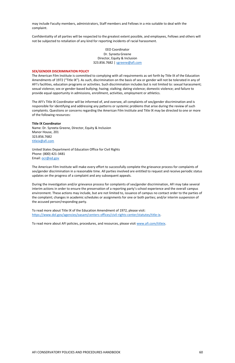may include Faculty members, administrators, Staff members and Fellows in a mix suitable to deal with the complaint.

> EEO Coordinator Dr. Syreeta Greene Director, Equity & Inclusion 323.856.7682 | [sgreene@afi.com](mailto:sgreene@afi.com)

Confidentiality of all parties will be respected to the greatest extent possible, and employees, Fellows and others will not be subjected to retaliation of any kind for reporting incidents of racial harassment.

#### **SEX/GENDER DISCRIMINATION POLICY**

The American Film Institute is committed to complying with all requirements as set forth by Title IX of the Education Amendments of 1972 ("Title IX"). As such, discrimination on the basis of sex or gender will not be tolerated in any of AFI's facilities, education programs or activities. Such discrimination includes but is not limited to: sexual harassment; sexual violence; sex or gender-based bullying; hazing; stalking; dating violence; domestic violence; and failure to provide equal opportunity in admissions, enrollment, activities, employment or athletics.

The AFI's Title IX Coordinator will be informed of, and oversee, all complaints of sex/gender discrimination and is responsible for identifying and addressing any patterns or systemic problems that arise during the review of such complaints. Questions or concerns regarding the American Film Institute and Title IX may be directed to one or more of the following resources:

#### **Title IX Coordinator**

Name: Dr. Syreeta Greene, Director, Equity & Inclusion Manor House, 201 323.856.7682 [titleix@afi.com](mailto:titleix@afi.com)

United States Department of Education Office for Civil Rights Phone: (800) 421-3481 Email: [ocr@ed.gov](mailto:ocr@ed.gov)

The American Film Institute will make every effort to successfully complete the grievance process for complaints of sex/gender discrimination in a reasonable time. All parties involved are entitled to request and receive periodic status updates on the progress of a complaint and any subsequent appeals.

During the investigation and/or grievance process for complaints of sex/gender discrimination, AFI may take several interim actions in order to ensure the preservation of a reporting party's school experience and the overall campus environment. These actions may include, but are not limited to, issuance of campus no contact order to the parties of the complaint; changes in academic schedules or assignments for one or both parties; and/or interim suspension of the accused person/responding party.

To read more about Title IX of the Education Amendment of 1972, please visit: [https://www.dol.gov/agencies/oasam/centers-offices/civil-rights-center/statutes/title-ix.](https://www.dol.gov/agencies/oasam/centers-offices/civil-rights-center/statutes/title-ix)

To read more about AFI policies, procedures, and resources, please visit [www.afi.com/titleix.](http://www.afi.com/titleix)

#### AFI CONSERVATORY POLICIES AND PROCEDURES HANDBOOK 60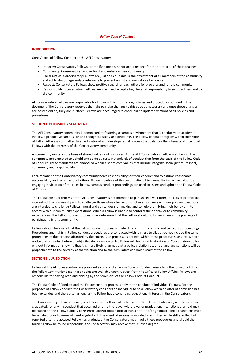#### *Fellow Code of Conduct*

### **INTRODUCTION**

Core Values of Fellow Conduct at the AFI Conservatory

- Integrity: Conservatory Fellows exemplify honesty, honor and a respect for the truth in all of their dealings.
- Community: Conservatory Fellows build and enhance their community.
- Social Justice: Conservatory Fellows are just and equitable in their treatment of all members of the community and act to discourage and/or intervene to prevent unjust and inequitable behaviors.
- Respect: Conservatory Fellows show positive regard for each other, for property and for the community.
- Responsibility: Conservatory Fellows are given and accept a high level of responsibility to self, to others and to the community.

AFI Conservatory Fellows are responsible for knowing the information, policies and procedures outlined in this document. The Conservatory reserves the right to make changes to this code as necessary and once those changes are posted online, they are in effect. Fellows are encouraged to check online updated versions of all policies and procedures.

#### **SECTION 1: PHILOSOPHY STATEMENT**

The AFI Conservatory community is committed to fostering a campus environment that is conducive to academic inquiry, a productive campus life and thoughtful study and discourse. The Fellow conduct program within the Office of Fellow Affairs is committed to an educational and developmental process that balances the interests of individual Fellows with the interests of the Conservatory community.

A community exists on the basis of shared values and principles. At the AFI Conservatory, Fellow members of the community are expected to uphold and abide by certain standards of conduct that form the basis of the Fellow Code of Conduct. These standards are embodied within a set of core values that include integrity, social justice, respect, community and responsibility.

Each member of the Conservatory community bears responsibility for their conduct and to assume reasonable responsibility for the behavior of others. When members of the community fail to exemplify these five values by engaging in violation of the rules below, campus conduct proceedings are used to assert and uphold the Fellow Code of Conduct.

The Fellow conduct process at the AFI Conservatory is not intended to punish Fellows; rather, it exists to protect the interests of the community and to challenge those whose behavior is not in accordance with our policies. Sanctions are intended to challenge Fellows' moral and ethical decision making and to help them bring their behavior into accord with our community expectations. When a Fellow is unable to conform their behavior to community expectations, the Fellow conduct process may determine that the Fellow should no longer share in the privilege of participating in this community.

Fellows should be aware that the Fellow conduct process is quite different from criminal and civil court proceedings. Procedures and rights in Fellow conduct procedures are conducted with fairness to all, but do not include the same protections of due process afforded by the courts. Due process, as defined within these procedures, assures written notice and a hearing before an objective decision-maker. No Fellow will be found in violation of Conservatory policy without information showing that it is more likely than not that a policy violation occurred, and any sanctions will be proportionate to the severity of the violation and to the cumulative conduct history of the Fellow.

#### **SECTION 2: JURISDICTION**

Fellows at the AFI Conservatory are provided a copy of the Fellow Code of Conduct annually in the form of a link on the Fellow Community page. Hard copies are available upon request from the Office of Fellow Affairs. Fellows are responsible for having read and abiding by the provisions of the Fellow Code of Conduct.

The Fellow Code of Conduct and the Fellow conduct process apply to the conduct of individual Fellows. For the purposes of Fellow conduct, the Conservatory considers an individual to be a Fellow when an offer of admission has been extended and thereafter as long as the Fellow has a continuing educational interest in the Conservatory.

The Conservatory retains conduct jurisdiction over Fellows who choose to take a leave of absence, withdraw or have graduated, for any misconduct that occurred prior to the leave, withdrawal or graduation. If sanctioned, a hold may be placed on the Fellow's ability to re-enroll and/or obtain official transcripts and/or graduate, and all sanctions must be satisfied prior to re-enrollment eligibility. In the event of serious misconduct committed while still enrolled but reported after the accused Fellow has graduated, the Conservatory may invoke these procedures and should the former Fellow be found responsible, the Conservatory may revoke that Fellow's degree.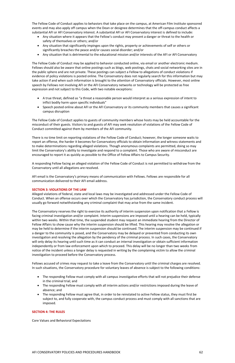The Fellow Code of Conduct applies to behaviors that take place on the campus, at American Film Institute sponsored events and may also apply off campus when the Dean or designee determines that the off-campus conduct affects a substantial AFI or AFI Conservatory interest. A substantial AFI or AFI Conservatory interest is defined to include:

- Any situation where it appears that the Fellow's conduct may present a danger or threat to the health or safety of themselves or others; and/or
- Any situation that significantly impinges upon the rights, property or achievements of self or others or significantly breaches the peace and/or causes social disorder; and/or
- Any situation that is detrimental to the educational mission and/or interests of the AFI or AFI Conservatory

The Fellow Code of Conduct may be applied to behavior conducted online, via email or another electronic medium. Fellows should also be aware that online postings such as blogs, web postings, chats and social networking sites are in the public sphere and are not private. These postings can subject a Fellow to allegations of conduct violations if evidence of policy violations is posted online. The Conservatory does not regularly search for this information but may take action if and when such information is brought to the attention of Conservatory officials. However, most online speech by Fellows not involving AFI or the AFI Conservatory networks or technology will be protected as free expression and not subject to this Code, with two notable exceptions:

- A true threat, defined as "a threat a reasonable person would interpret as a serious expression of intent to inflict bodily harm upon specific individuals"
- Speech posted online about AFI or the AFI Conservatory or its community members that causes a significant campus disruption

The Fellow Code of Conduct applies to guests of community members whose hosts may be held accountable for the misconduct of their guests. Visitors to and guests of AFI may seek resolution of violations of the Fellow Code of Conduct committed against them by members of the AFI community.

There is no time limit on reporting violations of the Fellow Code of Conduct; however, the longer someone waits to report an offense, the harder it becomes for Conservatory officials to obtain information and witness statements and to make determinations regarding alleged violations. Though anonymous complaints are permitted, doing so may limit the Conservatory's ability to investigate and respond to a complaint. Those who are aware of misconduct are encouraged to report it as quickly as possible to the Office of Fellow Affairs to Campus Security.

A responding Fellow facing an alleged violation of the Fellow Code of Conduct is not permitted to withdraw from the Conservatory until all allegations are resolved.

AFI email is the Conservatory's primary means of communication with Fellows. Fellows are responsible for all communication delivered to their AFI email address.

### **SECTION 3: VIOLATIONS OF THE LAW**

Alleged violations of federal, state and local laws may be investigated and addressed under the Fellow Code of Conduct. When an offense occurs over which the Conservatory has jurisdiction, the Conservatory conduct process will usually go forward notwithstanding any criminal complaint that may arise from the same incident.

The Conservatory reserves the right to exercise its authority of interim suspension upon notification that a Fellow is facing criminal investigation and/or complaint. Interim suspensions are imposed until a hearing can be held, typically within two weeks. Within that time, the suspended student may request an immediate hearing from the Director of Fellow Affairs to show cause why the interim suspension should be lifted. This hearing may resolve the allegation or may be held to determine if the interim suspension should be continued. The interim suspension may be continued if a danger to the community is posed, and the Conservatory may be delayed or prevented from conducting its own investigation and resolving the allegation by the pendency of the criminal process. In such cases, the Conservatory will only delay its hearing until such time as it can conduct an internal investigation or obtain sufficient information independently or from law enforcement upon which to proceed. This delay will be no longer than two weeks from notice of the incident unless a longer delay is requested in writing by the complaining victim to allow the criminal investigation to proceed before the Conservatory process.

Fellows accused of crimes may request to take a leave from the Conservatory until the criminal charges are resolved.

In such situations, the Conservatory procedure for voluntary leaves of absence is subject to the following conditions:

- The responding Fellow must comply with all campus investigative efforts that will not prejudice their defense in the criminal trial; and
- The responding Fellow must comply with all interim actions and/or restrictions imposed during the leave of absence; and
- The responding Fellow must agree that, in order to be reinstated to active Fellow status, they must first be subject to, and fully cooperate with, the campus conduct process and must comply with all sanctions that are imposed.

### **SECTION 4: THE RULES**

Core Values and Behavioral Expectations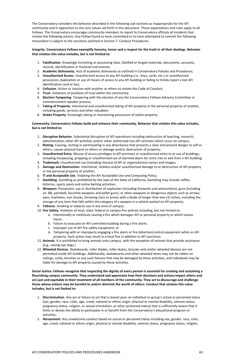The Conservatory considers the behavior described in the following sub-sections as inappropriate for the AFI community and in opposition to the core values set forth in this document. These expectations and rules apply to all Fellows. The Conservatory encourages community members to report to Conservatory officials all incidents that involve the following actions. Any Fellow found to have committed or to have attempted to commit the following misconduct is subject to the sanctions outlined in Section 7: Conduct Procedures.

### **Integrity**: **Conservatory Fellows exemplify honesty, honor and a respect for the truth in all their dealings. Behavior that violates this value includes, but is not limited to:**

- 1. **Falsification**. Knowingly furnishing or possessing false, falsified or forged materials, documents, accounts, records, identification or financial instruments;
- 2. **Academic Dishonesty**. Acts of academic dishonesty as outlined in Conservatory Policies and Procedures;
- 3. **Unauthorized Access**. Unauthorized access to any AFI building (i.e., keys, cards, etc.) or unauthorized possession, duplication or use of means of access to any AFI building or failing to timely report a lost AFI identification card or key;
- 4. **Collusion**. Action or inaction with another or others to violate the Code of Conduct;
- 5. **Trust**. Violations of positions of trust within the community;
- 6. **Election Tampering**. Tampering with the election of any the Conservatory Fellows Advisory Committee or commencement speaker process;
- 7. **Taking of Property**. Intentional and unauthorized taking of AFI property or the personal property of another, including goods, services and other valuables;
- 8. **Stolen Property**. Knowingly taking or maintaining possession of stolen property.

### **Community: Conservatory Fellows build and enhance their community. Behavior that violates this value includes, but is not limited to:**

- 1. **Disruptive Behavior.** Substantial disruption of AFI operations including obstruction of teaching, research, administration, other AFI activities and/or other authorized non-AFI activities which occur on campus;
- 2. **Rioting**. Causing, inciting or participating in any disturbance that presents a clear and present danger to self or others, causes physical harm to others or damage and/or destruction of property;
- 3. **Unauthorized Entry**. Misuse of access privileges to AFI premises or unauthorized entry to or use of buildings, including trespassing, propping or unauthorized use of alarmed doors for entry into or exit from a AFI building;
- 4. **Trademark**. Unauthorized use (including misuse) of AFI or organizational names and images;
- 5. **Damage and Destruction**. Intentional, reckless and/or unauthorized damage to or destruction of AFI property or the personal property of another;
- 6. **IT and Acceptable Use**. Violating the AFI Acceptable Use and Computing Policy;
- 7. **Gambling**. Gambling as prohibited by the laws of the State of California. Gambling may include raffles, lotteries, sports pools and online betting activities;
- 8. **Weapons**. Possession, use or distribution of explosives (including fireworks and ammunition), guns (including air, BB, paintball, facsimile weapons and pellet guns), or other weapons or dangerous objects such as arrows, axes, machetes, nun chucks, throwing stars or knives with a blade of longer than two (2) inches, including the storage of any item that falls within the category of a weapon in a vehicle parked on AFI property;
- 9. **Tobacco**. Smoking or tobacco use in any area of campus;
- 10. **Fire Safety**. Violation of local, state, federal or campus fire policies including, but not limited to:
	- a. Intentionally or recklessly causing a fire which damages AFI or personal property or which causes injury.
	- b. Failure to evacuate an AFI controlled building during a fire alarm;
	- c. Improper use of AFI fire safety equipment; or
	- d. Tampering with or improperly engaging a fire alarm or fire detection/control equipment while on AFI property. Such action may result in a local fine in addition to AFI sanctions;
- 11. **Animals**. It is prohibited to bring animals onto campus, with the exception of animals that provide assistance (e.g., seeing eye dogs.)
- 12. **Wheeled Devices**. Skateboards, roller blades, roller skates, bicycles and similar wheeled devices are not permitted inside AFI buildings. Additionally, skateboards and other wheeled items may not be ridden on railings, curbs, benches or any such fixtures that may be damaged by these activities, and individuals may be liable for damage to AFI property caused by these activities.

**Social Justice: Fellows recognize that respecting the dignity of every person is essential for creating and sustaining a flourishing campus community. They understand and appreciate how their decisions and actions impact others and are just and equitable in their treatment of all members of the community. They act to discourage and challenge those whose actions may be harmful to and/or diminish the worth of others. Conduct that violates this value includes, but is not limited to:**

- 1. **Discrimination**. Any act or failure to act that is based upon an individual or group's actual or perceived status (sex, gender, race, color, age, creed, national or ethnic origin, physical or mental disability, veteran status, pregnancy status, religion, or sexual orientation, or other protected status) that is sufficiently severe that it limits or denies the ability to participate in or benefit from the Conservatory's educational program or activities;
- 2. **Harassment**. Any unwelcome conduct based on actual or perceived status including sex, gender, race, color, age, creed, national or ethnic origin, physical or mental disability, veteran status, pregnancy status, religion,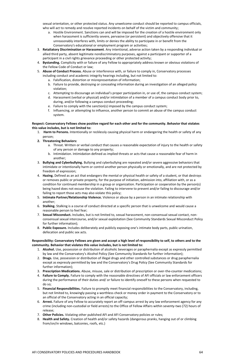sexual orientation, or other protected status. Any unwelcome conduct should be reported to campus officials, who will act to remedy and resolve reported incidents on behalf of the victim and community;

- a. Hostile Environment. Sanctions can and will be imposed for the creation of a hostile environment only when harassment is sufficiently severe, pervasive (or persistent) and objectively offensive that it unreasonably interferes with, limits or denies the ability to participate in or benefit from the Conservatory's educational or employment program or activities;
- 3. **Retaliatory Discrimination or Harassment**. Any intentional, adverse action taken by a responding individual or allied third party, absent legitimate nondiscriminatory purposes, against a participant or supporter of a participant in a civil rights grievance proceeding or other protected activity;
- 4. **Bystanding.** Complicity with or failure of any Fellow to appropriately address known or obvious violations of the Fellow Code of Conduct or law;
- 5. **Abuse of Conduct Process.** Abuse or interference with, or failure to comply in, Conservatory processes including conduct and academic integrity hearings including, but not limited to:
	- a. Falsification, distortion or misrepresentation of information;
	- b. Failure to provide, destroying or concealing information during an investigation of an alleged policy violation;
	- c. Attempting to discourage an individual's proper participation in, or use of, the campus conduct system;
	- d. Harassment (verbal or physical) and/or intimidation of a member of a campus conduct body prior to, during, and/or following a campus conduct proceeding;
	- e. Failure to comply with the sanction(s) imposed by the campus conduct system;
	- f. Influencing, or attempting to influence, another person to commit an abuse of the campus conduct system.

### **Respect: Conservatory Fellows show positive regard for each other and for the community. Behavior that violates this value includes, but is not limited to:**

- 1. **Harm to Persons.** Intentionally or recklessly causing physical harm or endangering the health or safety of any person;
- **2. Threatening Behaviors:**
	- a. Threat. Written or verbal conduct that causes a reasonable expectation of injury to the health or safety of any person or damage to any property;
	- b. Intimidation. Intimidation defined as implied threats or acts that cause a reasonable fear of harm in another;
- 3. **Bullying and Cyberbullying.** Bullying and cyberbullying are repeated and/or severe aggressive behaviors that intimidate or intentionally harm or control another person physically or emotionally, and are not protected by freedom of expression;
- 4. **Hazing.** Defined as an act that endangers the mental or physical health or safety of a student, or that destroys or removes public or private property, for the purpose of initiation, admission into, affiliation with, or as a condition for continued membership in a group or organization. Participation or cooperation by the person(s) being hazed does not excuse the violation. Failing to intervene to prevent and/or failing to discourage and/or failing to report those acts may also violate this policy;
- 5. **Intimate Partner/Relationship Violence.** Violence or abuse by a person in an intimate relationship with another;
- 6. **Stalking.** Stalking is a course of conduct directed at a specific person that is unwelcome and would cause a reasonable person to feel fear;
- 7. **Sexual Misconduct.** Includes, but is not limited to, sexual harassment, non-consensual sexual contact, nonconsensual sexual intercourse, and/or sexual exploitation (See Community Standards Sexual Misconduct Policy for further information);
- 8. **Public Exposure.** Includes deliberately and publicly exposing one's intimate body parts, public urination, defecation and public sex acts.

### **Responsibility: Conservatory Fellows are given and accept a high level of responsibility to self, to others and to the community. Behavior that violates this value includes, but is not limited to:**

- 1. **Alcohol.** Use, possession or distribution of alcoholic beverages or paraphernalia except as expressly permitted by law and the Conservatory's Alcohol Policy (See Community Standards for further information);
- 2. **Drugs.** Use, possession or distribution of illegal drugs and other controlled substances or drug paraphernalia except as expressly permitted by law and the Conservatory's Drug Policy (See Community Standards for
- further information);
- 3. **Prescription Medications.** Abuse, misuse, sale or distribution of prescription or over-the-counter medications;
- 4. **Failure to Comply.** Failure to comply with the reasonable directives of AFI officials or law enforcement officers during the performance of their duties and/ or failure to identify oneself to these persons when requested to do so;
- 5. **Financial Responsibilities.** Failure to promptly meet financial responsibilities to the Conservatory, including, but not limited to, knowingly passing a worthless check or money order in payment to the Conservatory or to an official of the Conservatory acting in an official capacity;
- 6. **Arrest.** Failure of any Fellow to accurately report an off-campus arrest by any law enforcement agency for any crime (including non-custodial or field arrests) to the Office of Fellow Affairs within seventy-two (72) hours of release;
- 7. **Other Policies.** Violating other published AFI and AFI Conservatory policies or rules;
- 8. **Health and Safety.** Creation of health and/or safety hazards (dangerous pranks, hanging out of or climbing from/on/in windows, balconies, roofs, etc.)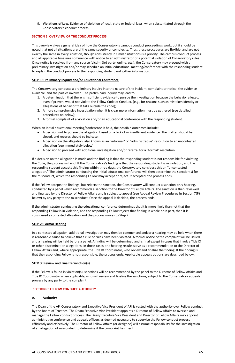9. **Violations of Law.** Evidence of violation of local, state or federal laws, when substantiated through the Conservatory's conduct process.

### **SECTION 5: OVERVIEW OF THE CONDUCT PROCESS**

This overview gives a general idea of how the Conservatory's campus conduct proceedings work, but it should be noted that not all situations are of the same severity or complexity. Thus, these procedures are flexible, and are not exactly the same in every situation, though consistency in similar situations is a priority. The campus conduct process and all applicable timelines commence with notice to an administrator of a potential violation of Conservatory rules. Once notice is received from any source (victim, 3rd party, online, etc.), the Conservatory may proceed with a preliminary investigation and/or may schedule an initial educational meeting/conference with the responding student to explain the conduct process to the responding student and gather information.

### **STEP 1: Preliminary Inquiry and/or Educational Conference**

The Conservatory conducts a preliminary inquiry into the nature of the incident, complaint or notice, the evidence available, and the parties involved. The preliminary inquiry may lead to:

- 1. A determination that there is insufficient evidence to pursue the investigation because the behavior alleged, even if proven, would not violate the Fellow Code of Conduct, (e.g., for reasons such as mistaken identity or allegations of behavior that falls outside the code);
- 2. A more comprehensive investigation when it is clear more information must be gathered (see detailed procedures on below);
- 3. A formal complaint of a violation and/or an educational conference with the responding student.

When an initial educational meeting/conference is held, the possible outcomes include:

- A decision not to pursue the allegation based on a lack of or insufficient evidence. The matter should be closed, and records should so indicate;
- A decision on the allegation, also known as an "informal" or "administrative" resolution to an uncontested allegation (see immediately below);
- A decision to proceed with additional investigation and/or referral for a "formal" resolution.

If a decision on the allegation is made and the finding is that the responding student is not responsible for violating the Code, the process will end. If the Conservatory's finding is that the responding student is in violation, and the responding student accepts this finding within three days, the Conservatory considers this an "uncontested allegation." The administrator conducting the initial educational conference will then determine the sanction(s) for the misconduct, which the responding Fellow may accept or reject. If accepted, the process ends.

If the Fellow accepts the findings, but rejects the sanction, the Conservatory will conduct a sanction-only hearing, conducted by a panel which recommends a sanction to the Director of Fellow Affairs. The sanction is then reviewed and finalized by the Director of Fellow Affairs and is subject to appeal (see Appeal Review Procedures in Section 7(P) below) by any party to the misconduct. Once the appeal is decided, the process ends.

If the administrator conducting the educational conference determines that it is more likely than not that the responding Fellow is in violation, and the responding Fellow rejects that finding in whole or in part, then it is considered a contested allegation and the process moves to Step 2.

### **STEP 2: Formal Hearing**

In a contested allegation, additional investigation may then be commenced and/or a hearing may be held when there is reasonable cause to believe that a rule or rules have been violated. A formal notice of the complaint will be issued, and a hearing will be held before a panel. A finding will be determined and is final except in cases that involve Title IX or other discrimination allegations. In those cases, the hearing results serve as a recommendation to the Director of Fellow Affairs and, where appropriate, the Title IX Coordinator, who review and finalize the finding. If the finding is that the responding Fellow is not responsible, the process ends. Applicable appeals options are described below.

### **STEP 3: Review and Finalize Sanction(s)**

If the Fellow is found in violation(s), sanctions will be recommended by the panel to the Director of Fellow Affairs and Title IX Coordinator when applicable, who will review and finalize the sanctions, subject to the Conservatory appeals process by any party to the complaint.

#### **SECTION 6: FELLOW CONDUCT AUTHORITY**

#### **A. Authority**

The Dean of the AFI Conservatory and Executive Vice President of AFI is vested with the authority over Fellow conduct by the Board of Trustees. The Dean/Executive Vice President appoints a Director of Fellow Affairs to oversee and manage the Fellow conduct process. The Dean/Executive Vice President and Director of Fellow Affairs may appoint administrative conference and appeals officers as deemed necessary to supervise the Fellow conduct process efficiently and effectively. The Director of Fellow Affairs (or designee) will assume responsibility for the investigation of an allegation of misconduct to determine if the complaint has merit.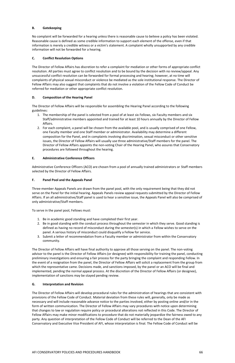### **B. Gatekeeping**

No complaint will be forwarded for a hearing unless there is reasonable cause to believe a policy has been violated. Reasonable cause is defined as some credible information to support each element of the offense, even if that information is merely a credible witness or a victim's statement. A complaint wholly unsupported by any credible information will not be forwarded for a hearing.

## **C. Conflict Resolution Options**

The Director of Fellow Affairs has discretion to refer a complaint for mediation or other forms of appropriate conflict resolution. All parties must agree to conflict resolution and to be bound by the decision with no review/appeal. Any unsuccessful conflict resolution can be forwarded for formal processing and hearing; however, at no time will complaints of physical sexual misconduct or violence be mediated as the sole institutional response. The Director of Fellow Affairs may also suggest that complaints that do not involve a violation of the Fellow Code of Conduct be referred for mediation or other appropriate conflict resolution.

### **D. Composition of the Hearing Panel**

The Director of Fellow Affairs will be responsible for assembling the Hearing Panel according to the following guidelines:

- 1. The membership of the panel is selected from a pool of at least six Fellows, six Faculty members and six Staff/administrative members appointed and trained for at least 10 hours annually by the Director of Fellow Affairs.
- 2. For each complaint, a panel will be chosen from the available pool, and is usually comprised of one Fellow, one Faculty member and one Staff member or administrator. Availability may determine a different composition for the Panel, and in complaints involving discrimination, sexual misconduct or other sensitive issues, the Director of Fellow Affairs will usually use three administrative/Staff members for the panel. The Director of Fellow Affairs appoints the non-voting Chair of the Hearing Panel, who assures that Conservatory procedures are followed throughout the hearing.

### **E. Administrative Conference Officers**

Administrative Conference Officers (ACO) are chosen from a pool of annually trained administrators or Staff members selected by the Director of Fellow Affairs.

### **F. Panel Pool and the Appeals Panel**

Three-member Appeals Panels are drawn from the panel pool, with the only requirement being that they did not serve on the Panel for the initial hearing. Appeals Panels review appeal requests submitted by the Director of Fellow Affairs. If an all administrative/Staff panel is used to hear a sensitive issue, the Appeals Panel will also be comprised of only administrative/Staff members.

To serve in the panel pool, Fellows must:

- 1. Be in academic good standing and have completed their first year.
- 2. Be in good standing with the conduct process throughout the semester in which they serve. Good standing is defined as having no record of misconduct during the semester(s) in which a Fellow wishes to serve on the panel. A serious history of misconduct could disqualify a Fellow for service.
- 3. Submit a letter of recommendation from a Faculty member or administrator from within the Conservatory community.

The Director of Fellow Affairs will have final authority to approve all those serving on the panel. The non-voting advisor to the panel is the Director of Fellow Affairs (or designee) with responsibility for training the panel, conducting preliminary investigations and ensuring a fair process for the party bringing the complaint and responding Fellow. In the event of a resignation from the panel, the Director of Fellow Affairs will solicit a replacement from the group from which the representative came. Decisions made, and sanctions imposed, by the panel or an ACO will be final and implemented, pending the normal appeal process. At the discretion of the Director of Fellow Affairs (or designee), implementation of sanctions may be stayed pending review.

#### **G. Interpretation and Revision**

The Director of Fellow Affairs will develop procedural rules for the administration of hearings that are consistent with provisions of the Fellow Code of Conduct. Material deviation from these rules will, generally, only be made as necessary and will include reasonable advance notice to the parties involved, either by posting online and/or in the form of written communication. The Director of Fellow Affairs may vary procedures with notice upon determining that changes to law or regulation require policy or procedural alterations not reflected in this Code. The Director of Fellow Affairs may make minor modifications to procedure that do not materially jeopardize the fairness owed to any party. Any question of interpretation of the Fellow Code of Conduct will be referred to the Dean of the AFI Conservatory and Executive Vice President of AFI, whose interpretation is final. The Fellow Code of Conduct will be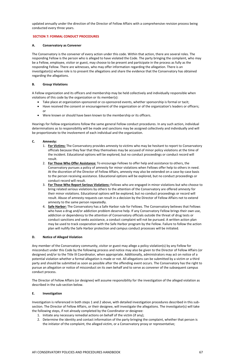updated annually under the direction of the Director of Fellow Affairs with a comprehensive revision process being conducted every three years.

### **SECTION 7: FORMAL CONDUCT PROCEDURES**

### **A. Conservatory as Convener**

The Conservatory is the convener of every action under this code. Within that action, there are several roles. The responding Fellow is the person who is alleged to have violated the Code. The party bringing the complaint, who may be a Fellow, employee, visitor or guest, may choose to be present and participate in the process as fully as the responding Fellow. There are witnesses, who may offer information regarding the allegation. There is an investigator(s) whose role is to present the allegations and share the evidence that the Conservatory has obtained regarding the allegations.

### **B. Group Violations**

A Fellow organization and its officers and membership may be held collectively and individually responsible when violations of this code by the organization or its member(s):

- Take place at organization-sponsored or co-sponsored events, whether sponsorship is formal or tacit;
- Have received the consent or encouragement of the organization or of the organization's leaders or officers; or
- Were known or should have been known to the membership or its officers.

Hearings for Fellow organizations follow the same general Fellow conduct procedures. In any such action, individual determinations as to responsibility will be made and sanctions may be assigned collectively and individually and will be proportionate to the involvement of each individual and the organization.

### **C. Amnesty:**

- 1. **For Victims:** The Conservatory provides amnesty to victims who may be hesitant to report to Conservatory officials because they fear that they themselves may be accused of minor policy violations at the time of the incident. Educational options will be explored, but no conduct proceedings or conduct record will result.
- 2. **For Those Who Offer Assistance:** To encourage Fellows to offer help and assistance to others, the Conservatory pursues a policy of amnesty for minor violations when Fellows offer help to others in need. At the discretion of the Director of Fellow Affairs, amnesty may also be extended on a case-by-case basis to the person receiving assistance. Educational options will be explored, but no conduct proceedings or conduct record will result.
- 3. **For Those Who Report Serious Violations:** Fellows who are engaged in minor violations but who choose to bring related serious violations by others to the attention of the Conservatory are offered amnesty for their minor violations. Educational options will be explored, but no conduct proceedings or record will result. Abuse of amnesty requests can result in a decision by the Director of Fellow Affairs not to extend amnesty to the same person repeatedly.
- 4. **Safe Harbor:** The Conservatory has a Safe Harbor rule for Fellows. The Conservatory believes that Fellows who have a drug and/or addiction problem deserve help. If any Conservatory Fellow brings their own use, addiction or dependency to the attention of Conservatory officials outside the threat of drug tests or conduct sanctions and seeks assistance, a conduct complaint will not be pursued. A written action plan may be used to track cooperation with the Safe Harbor program by the Fellow. Failure to follow the action plan will nullify the Safe Harbor protection and campus conduct processes will be initiated.

### **D. Notice of Alleged Violation**

Any member of the Conservatory community, visitor or guest may allege a policy violation(s) by any Fellow for misconduct under this Code by the following process and notice may also be given to the Director of Fellow Affairs (or designee) and/or to the Title IX Coordinator, when appropriate. Additionally, administrators may act on notice of a potential violation whether a formal allegation is made or not. All allegations can be submitted by a victim or a third party and should be submitted as soon as possible after the offending event occurs. The Conservatory has the right to pursue an allegation or notice of misconduct on its own behalf and to serve as convener of the subsequent campus conduct process.

The Director of Fellow Affairs (or designee) will assume responsibility for the investigation of the alleged violation as described in the sub-section below.

### **E. Investigation**

Investigation is referenced in both steps 1 and 2 above, with detailed investigation procedures described in this subsection. The Director of Fellow Affairs, or their designee, will investigate the allegations. The investigator(s) will take the following steps, if not already completed by the Coordinator or designee:

- 1. Initiate any necessary remedial actions on behalf of the victim (if any);
- 2. Determine the identity and contact information of the party bringing the complaint, whether that person is the initiator of the complaint, the alleged victim, or a Conservatory proxy or representative;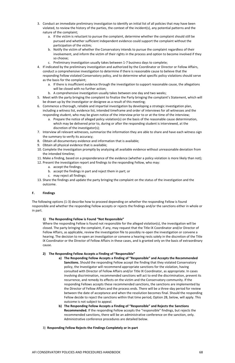- 3. Conduct an immediate preliminary investigation to identify an initial list of all policies that may have been violated, to review the history of the parties, the context of the incident(s), any potential patterns and the nature of the complaint;
	- a. If the victim is reluctant to pursue the complaint, determine whether the complaint should still be pursued and whether sufficient independent evidence could support the complaint without the participation of the victim;
	- b. Notify the victim of whether the Conservatory intends to pursue the complaint regardless of their involvement, and inform the victim of their rights in the process and option to become involved if they so choose;
	- c. Preliminary investigation usually takes between 1-7 business days to complete;
- 4. If indicated by the preliminary investigation and authorized by the Coordinator or Director or Fellow Affairs, conduct a comprehensive investigation to determine if there is reasonable cause to believe that the responding Fellow violated Conservatory policy, and to determine what specific policy violations should serve as the basis for the complaint;
	- a. If there is insufficient evidence through the investigation to support reasonable cause, the allegations will be closed with no further action;
	- b. A comprehensive investigation usually takes between one day and two weeks;
- 5. Meet with the party bringing the complaint to finalize the Party bringing the complaint's Statement, which will be drawn up by the investigator or designee as a result of this meeting;
- 6. Commence a thorough, reliable and impartial investigation by developing a strategic investigation plan, including a witness list, evidence list, intended timeframe and order of interviews for all witnesses and the responding student, who may be given notice of the interview prior to or at the time of the interview;
	- a. Prepare the notice of alleged policy violation(s) on the basis of the reasonable cause determination, which may be delivered prior to, during or after the responding student is interviewed, at the discretion of the investigator(s);
- 7. Interview all relevant witnesses, summarize the information they are able to share and have each witness sign the summary to verify its accuracy;
- 8. Obtain all documentary evidence and information that is available;
- 9. Obtain all physical evidence that is available;
- 10. Complete the investigation promptly by analyzing all available evidence without unreasonable deviation from the intended timeline;
- 11. Make a finding, based on a preponderance of the evidence (whether a policy violation is more likely than not);
- 12. Present the investigation report and findings to the responding Fellow, who may:
	- a. accept the findings;
	- b. accept the findings in part and reject them in part; or
	- c. may reject all findings;
- 13. Share the findings and update the party bringing the complaint on the status of the investigation and the outcome.

### **F. Findings**

The following options (1-3) describe how to proceed depending on whether the responding Fellow is found responsible and whether the responding Fellow accepts or rejects the findings and/or the sanctions either in whole or in part.

### **1) The Responding Fellow is Found "Not Responsible"**

Where the responding Fellow is found not responsible for the alleged violation(s), the investigation will be closed. The party bringing the complaint, if any, may request that the Title IX Coordinator and/or Director of Fellow Affairs, as applicable, review the investigation file to possibly re-open the investigation or convene a hearing. The decision to re-open an investigation or convene a hearing rests solely in the discretion of the Title IX Coordinator or the Director of Fellow Affairs in these cases, and is granted only on the basis of extraordinary cause.

### **2) The Responding Fellow Accepts a Finding of "Responsible"**

- **a) The Responding Fellow Accepts a Finding of "Responsible" and Accepts the Recommended Sanctions.** Should the responding Fellow accept the finding that they violated Conservatory policy, the Investigator will recommend appropriate sanctions for the violation, having consulted with Director of Fellow Affairs and/or Title IX Coordinator, as appropriate. In cases involving discrimination, recommended sanctions will act to end the discrimination, prevent its recurrence, and remedy its effects on the victim and the Conservatory community. If the responding Fellows accepts these recommended sanctions, the sanctions are implemented by the Director of Fellow Affairs and the process ends. There will be a three-day period for review between the date of acceptance and when the resolution becomes final. Should the responding Fellow decide to reject the sanctions within that time period, Option 2B, below, will apply. This outcome is not subject to appeal.
- **b) The Responding Fellow Accepts a Finding of "Responsible" and Rejects the Sanctions Recommended.** If the responding Fellow accepts the "responsible" findings, but rejects the recommended sanctions, there will be an administrative conference on the sanction, only. Administrative conference procedures are detailed below.
- 3) **Responding Fellow Rejects the Findings Completely or In-part**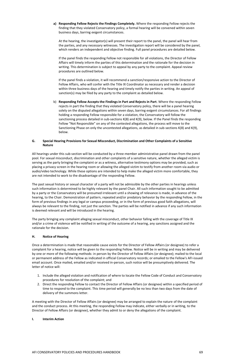**a) Responding Fellow Rejects the Findings Completely.** Where the responding Fellow rejects the finding that they violated Conservatory policy, a formal hearing will be convened within seven business days, barring exigent circumstances.

At the hearing, the investigator(s) will present their report to the panel, the panel will hear from the parties, and any necessary witnesses. The investigation report will be considered by the panel, which renders an independent and objective finding. Full panel procedures are detailed below.

If the panel finds the responding Fellow not responsible for all violations, the Director of Fellow Affairs will timely inform the parties of this determination and the rationale for the decision in writing. This determination is subject to appeal by any party to the complaint. Appeal review procedures are outlined below.

If the panel finds a violation, it will recommend a sanction/responsive action to the Director of Fellow Affairs, who will confer with the Title IX Coordinator as necessary and render a decision within three business days of the hearing and timely notify the parties in writing. An appeal of sanction(s) may be filed by any party to the complaint as detailed below.

b) **Responding Fellow Accepts the Findings in Part and Rejects in Part**. Where the responding Fellow rejects in part the finding that they violated Conservatory policy, there will be a panel hearing solely on the disputed allegations within seven days, barring exigent circumstances. For all findings holding a responding Fellow responsible for a violation, the Conservatory will follow the sanctioning process detailed in sub-sections K(8) and K(9), below. If the Panel finds the responding Fellow "Not Responsible" on any of the contested allegations, the process will move to the Sanctioning Phase on only the uncontested allegations, as detailed in sub-sections K(8) and K(9), below.

### **G. Special Hearing Provisions for Sexual Misconduct, Discrimination and Other Complaints of a Sensitive Nature**

All hearings under this sub-section will be conducted by a three-member administrative panel drawn from the panel pool. For sexual misconduct, discrimination and other complaints of a sensitive nature, whether the alleged victim is serving as the party bringing the complaint or as a witness, alternative testimony options may be provided, such as placing a privacy screen in the hearing room or allowing the alleged victim to testify from another room via audio or audio/video technology. While these options are intended to help make the alleged victim more comfortable, they are not intended to work to the disadvantage of the responding Fellow.

The past sexual history or sexual character of a party will not be admissible by the other parties in hearings unless such information is determined to be highly relevant by the panel Chair. All such information sought to be admitted by a party or the Conservatory will be presumed irrelevant until a showing of relevance is made, in advance of the hearing, to the Chair. Demonstration of pattern, repeated and/or predatory behavior by the responding Fellow, in the form of previous findings in any legal or campus proceeding, or in the form of previous good faith allegations, will always be relevant to the finding, not just the sanction. The parties will be notified in advance if any such information is deemed relevant and will be introduced in the hearing.

The party bringing any complaint alleging sexual misconduct, other behavior falling with the coverage of Title IX and/or a crime of violence will be notified in writing of the outcome of a hearing, any sanctions assigned and the rationale for the decision.

### **H. Notice of Hearing**

Once a determination is made that reasonable cause exists for the Director of Fellow Affairs (or designee) to refer a complaint for a hearing, notice will be given to the responding Fellow. Notice will be in writing and may be delivered by one or more of the following methods: in person by the Director of Fellow Affairs (or designee); mailed to the local or permanent address of the Fellow as indicated in official Conservatory records; or emailed to the Fellow's AFI-issued email account. Once mailed, emailed and/or received in-person, such notice will be presumptively delivered. The letter of notice will:

- 1. Include the alleged violation and notification of where to locate the Fellow Code of Conduct and Conservatory procedures for resolution of the complaint; and
- 2. Direct the responding Fellow to contact the Director of Fellow Affairs (or designee) within a specified period of time to respond to the complaint. This time period will generally be no less than two days from the date of delivery of the summons letter.

A meeting with the Director of Fellow Affairs (or designee) may be arranged to explain the nature of the complaint and the conduct process. At this meeting, the responding Fellow may indicate, either verbally or in writing, to the Director of Fellow Affairs (or designee), whether they admit to or deny the allegations of the complaint.

**I. Interim Action**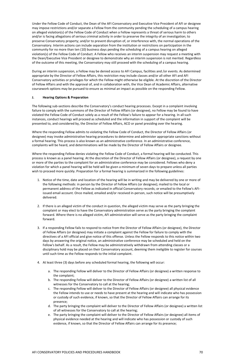Under the Fellow Code of Conduct, the Dean of the AFI Conservatory and Executive Vice President of AFI or designee may impose restrictions and/or separate a Fellow from the community pending the scheduling of a campus hearing on alleged violation(s) of the Fellow Code of Conduct when a Fellow represents a threat of serious harm to others and/or is facing allegations of serious criminal activity in order to preserve the integrity of an investigation; to preserve Conservatory property; and/or to prevent disruption of, or interference with, the normal operations of the Conservatory. Interim actions can include separation from the institution or restrictions on participation in the community for no more than ten (10) business days pending the scheduling of a campus hearing on alleged violation(s) of the Fellow Code of Conduct. A Fellow who receives an interim suspension may request a meeting with the Dean/Executive Vice President or designee to demonstrate why an interim suspension is not merited. Regardless of the outcome of this meeting, the Conservatory may still proceed with the scheduling of a campus hearing.

During an interim suspension, a Fellow may be denied access to AFI Campus, facilities and /or events. As determined appropriate by the Director of Fellow Affairs, this restriction may include classes and/or all other AFI and AFI Conservatory activities or privileges for which the Fellow might otherwise be eligible. At the discretion of the Director of Fellow Affairs and with the approval of, and in collaboration with, the Vice Dean of Academic Affairs, alternative coursework options may be pursued to ensure as minimal an impact as possible on the responding Fellow.

### **J. Hearing Options & Preparation**

The following sub-sections describe the Conservatory's conduct hearing processes. Except in a complaint involving failure to comply with the summons of the Director of Fellow Affairs (or designee), no Fellow may be found to have violated the Fellow Code of Conduct solely as a result of the Fellow's failure to appear for a hearing. In all such instances, conduct hearings will proceed as scheduled and the information in support of the complaint will be presented to, and considered by, the Director of Fellow Affairs, ACO or panel presiding over the hearing.

Where the responding Fellow admits to violating the Fellow Code of Conduct, the Director of Fellow Affairs (or designee) may invoke administrative hearing procedures to determine and administer appropriate sanctions without a formal hearing. This process is also known as an administrative conference. In an administrative conference, complaints will be heard, and determinations will be made by the Director of Fellow Affairs or designee.

Where the responding Fellow denies violating the Fellow Code of Conduct, a formal hearing will be conducted. This process is known as a panel hearing. At the discretion of the Director of Fellow Affairs (or designee), a request by one or more of the parties to the complaint for an administrative conference may be considered. Fellows who deny a violation for which a panel hearing will be held will be given a minimum of seven days to prepare unless all parties wish to proceed more quickly. Preparation for a formal hearing is summarized in the following guidelines:

- 1. Notice of the time, date and location of the hearing will be in writing and may be delivered by one or more of the following methods: in person by the Director of Fellow Affairs (or designee); mailed to the local or permanent address of the Fellow as indicated in official Conservatory records; or emailed to the Fellow's AFIissued email account. Once mailed, emailed and/or received in-person, such notice will be presumptively delivered.
- 2. If there is an alleged victim of the conduct in question, the alleged victim may serve as the party bringing the complaint or may elect to have the Conservatory administration serve as the party bringing the complaint forward. Where there is no alleged victim, AFI administration will serve as the party bringing the complaint forward.
- 3. If a responding Fellow fails to respond to notice from the Director of Fellow Affairs (or designee), the Director of Fellow Affairs (or designee) may initiate a complaint against the Fellow for failure to comply with the directives of a AFI official and give notice of this offense. Unless the Fellow responds to this notice within two days by answering the original notice, an administrative conference may be scheduled and held on the Fellow's behalf. As a result, the Fellow may be administratively withdrawn from attending classes or a disciplinary hold may be placed on their Conservatory account, deeming them ineligible to register for courses until such time as the Fellow responds to the initial complaint.
- 4. At least three (3) days before any scheduled formal hearing, the following will occur:
	- a. The responding Fellow will deliver to the Director of Fellow Affairs (or designee) a written response to the complaint;
	- b. The responding Fellow will deliver to the Director of Fellow Affairs (or designee) a written list of all witnesses for the Conservatory to call at the hearing;
	- c. The responding Fellow will deliver to the Director of Fellow Affairs (or designee) all physical evidence the Fellow intends to use or needs to have present at the hearing and will indicate who has possession or custody of such evidence, if known, so that the Director of Fellow Affairs can arrange for its presence;
	- d. The party bringing the complaint will deliver to the Director of Fellow Affairs (or designee) a written list of all witnesses for the Conservatory to call at the hearing;
	- e. The party bringing the complaint will deliver to the Director of Fellow Affairs (or designee) all items of physical evidence needed at the hearing and will indicate who has possession or custody of such evidence, if known, so that the Director of Fellow Affairs can arrange for its presence;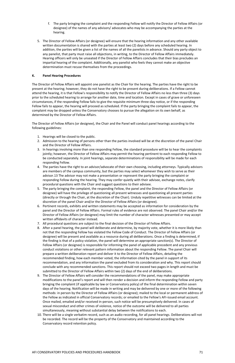- f. The party bringing the complaint and the responding Fellow will notify the Director of Fellow Affairs (or designee) of the names of any advisors/ advocates who may be accompanying the parties at the hearing.
- 5. The Director of Fellow Affairs (or designee) will ensure that the hearing information and any other available written documentation is shared with the parties at least two (2) days before any scheduled hearing. In addition, the parties will be given a list of the names of all the panelists in advance. Should any party object to any panelist, that party must raise all objections, in writing, to the Director of Fellow Affairs immediately. Hearing officers will only be unseated if the Director of Fellow Affairs concludes that their bias precludes an impartial hearing of the complaint. Additionally, any panelist who feels they cannot make an objective determination must recuse themselves from the proceedings.

## **K. Panel Hearing Procedures**

The Director of Fellow Affairs will appoint one panelist as the Chair for the hearing. The parties have the right to be present at the hearing; however, they do not have the right to be present during deliberations. If a Fellow cannot attend the hearing, it is that Fellow's responsibility to notify the Director of Fellow Affairs no less than three (3) days prior to the scheduled hearing to arrange for another date, time and location. Except in cases of grave or unforeseen circumstances, if the responding Fellow fails to give the requisite minimum three-day notice, or if the responding Fellow fails to appear, the hearing will proceed as scheduled. If the party bringing the complaint fails to appear, the complaint may be dropped unless the Conservatory chooses to pursue the allegation on its own behalf, as determined by the Director of Fellow Affairs.

The Director of Fellow Affairs (or designee), the Chair and the Panel will conduct panel hearings according to the following guidelines:

- 1. Hearings will be closed to the public.
- 2. Admission to the hearing of persons other than the parties involved will be at the discretion of the panel Chair and the Director of Fellow Affairs.
- 3. In hearings involving more than one responding Fellow, the standard procedure will be to hear the complaints jointly; however, the Director of Fellow Affairs may permit the hearing pertinent to each responding Fellow to be conducted separately. In joint hearings, separate determinations of responsibility will be made for each responding Fellow.
- 4. The parties have the right to an advisor/advocate of their own choosing, including attorneys. Typically advisors are members of the campus community, but the parties may select whomever they wish to serve as their advisor.13 The advisor may not make a presentation or represent the party bringing the complaint or responding Fellow during the hearing. They may confer quietly with their advisee, exchange notes, clarify procedural questions with the Chair and suggest questions to their advisee.
- 5. The party bringing the complaint, the responding Fellow, the panel and the Director of Fellow Affairs (or designee) will have the privilege of questioning all present witnesses and questioning all present parties (directly or through the Chair, at the discretion of the Chair). Unduly repetitive witnesses can be limited at the discretion of the panel Chair and/or the Director of Fellow Affairs (or designee).
- 6. Pertinent records, exhibits and written statements may be accepted as information for consideration by the panel and the Director of Fellow Affairs. Formal rules of evidence are not observed. The panel Chair and/or the Director of Fellow Affairs (or designee) may limit the number of character witnesses presented or may accept written affidavits of character instead.
- 7. All procedural questions are subject to the final decision of the Director of Fellow Affairs.
- 8. After a panel hearing, the panel will deliberate and determine, by majority vote, whether it is more likely than not that the responding Fellow has violated the Fellow Code of Conduct. The Director of Fellow Affairs (or designee) will be present and available as a resource during all deliberations. Once a finding is determined, if the finding is that of a policy violation, the panel will determine an appropriate sanction(s). The Director of Fellow Affairs (or designee) is responsible for informing the panel of applicable precedent and any previous conduct violations or other relevant pattern information about the responding Fellow. The panel Chair will prepare a written deliberation report and deliver it to the Director of Fellow Affairs, detailing the recommended finding, how each member voted, the information cited by the panel in support of its recommendation, and any information the panel excluded from its consideration and why. This report should
	- conclude with any recommended sanctions. This report should not exceed two pages in length and must be submitted to the Director of Fellow Affairs within two (2) days of the end of deliberations.
- 9. The Director of Fellow Affairs will consider the recommendations of the panel, may make appropriate modifications to the panel's report and will then render a decision and inform the responding Fellow and party bringing the complaint (if applicable by law or Conservatory policy) of the final determination within seven days of the hearing. Notification will be made in writing and may be delivered by one or more of the following methods: in person by the Director of Fellow Affairs (or designee); mailed to the local or permanent address of the Fellow as indicated in official Conservatory records; or emailed to the Fellow's AFI-issued email account. Once mailed, emailed and/or received in-person, such notice will be presumptively delivered. In cases of sexual misconduct and other crimes of violence, notice of the outcome will be delivered to all parties simultaneously, meaning without substantial delay between the notifications to each.
- 10. There will be a single verbatim record, such as an audio recording, for all panel hearings. Deliberations will not be recorded. The record will be the property of the Conservatory and maintained according to the Conservatory record retention policy.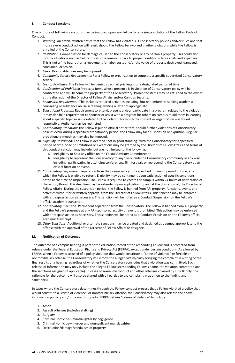## **L. Conduct Sanctions**

One or more of following sanctions may be imposed upon any Fellow for any single violation of the Fellow Code of Conduct:

- 1. *Warning*: An official written notice that the Fellow has violated AFI Conservatory policies and/or rules and that more severe conduct action will result should the Fellow be involved in other violations while the Fellow is enrolled at the Conservatory.
- 2. *Restitution*: Compensation for damage caused to the Conservatory or any person's property. This could also include situations such as failure to return a reserved space to proper condition – labor costs and expenses. This is not a fine but, rather, a repayment for labor costs and/or the value of property destroyed, damaged, consumed, or stolen.
- 3. *Fines*: Reasonable fines may be imposed.
- 4. *Community Service Requirements:* For a Fellow or organization to complete a specific supervised Conservatory service.
- 5. *Loss of Privileges:* The Fellow will be denied specified privileges for a designated period of time.
- 6. *Confiscation of Prohibited Property:* Items whose presence is in violation of Conservatory policy will be confiscated and will become the property of the Conservatory. Prohibited items may be returned to the owner at the discretion of the Director of Fellow Affairs and/or Campus Security.
- 7. *Behavioral Requirement:* This includes required activities including, but not limited to, seeking academic counseling or substance abuse screening, writing a letter of apology, etc.
- 8. *Educational Program:* Requirement to attend, present and/or participate in a program related to the violation. It may also be a requirement to sponsor or assist with a program for others on campus to aid them in learning about a specific topic or issue related to the violation for which the student or organization was found responsible. Audience may be restricted.
- 9. *Conservatory Probation:* The Fellow is put on official notice that, should further violations of Conservatory policies occur during a specified probationary period, the Fellow may face suspension or expulsion. Regular probationary meetings may also be imposed.
- 10. *Eligibility Restriction:* The Fellow is deemed "not in good standing" with the Conservatory for a specified period of time. Specific limitations or exceptions may be granted by the Director of Fellow Affairs and terms of this conduct sanction may include, but are not limited to, the following:
	- a. Ineligibility to hold any office on the Fellow Advisory Committee; or
	- b. Ineligibility to represent the Conservatory to anyone outside the Conservatory community in any way including: participating in attending conferences, film festivals or representing the Conservatory at an official function or event.
- 11. *Conservatory Suspension:* Separation from the Conservatory for a specified minimum period of time, after which the Fellow is eligible to return. Eligibility may be contingent upon satisfaction of specific conditions noted at the time of suspension. The Fellow is required to vacate the campus within 24 hours of notification of the action, though this deadline may be extended upon application to, and at the discretion of, the Director of Fellow Affairs. During the suspension period, the Fellow is banned from AFI property, functions, events and activities without prior written approval from the Director of Fellow Affairs. This sanction may be enforced with a trespass action as necessary. This sanction will be noted as a Conduct Suspension on the Fellow's official academic transcript.
- 12. *Conservatory Expulsion:* Permanent separation from the Conservatory. The Fellow is banned from AFI property and the Fellow's presence at any AFI-sponsored activity or event is prohibited. This action may be enforced with a trespass action as necessary. This sanction will be noted as a Conduct Expulsion on the Fellow's official academic transcript.
- 13. *Other Sanctions:* Additional or alternate sanctions may be created and designed as deemed appropriate to the offense with the approval of the Director of Fellow Affairs or designee.

# **M. Notification of Outcomes**

The outcome of a campus hearing is part of the education record of the responding Fellow and is protected from release under the Federal Education Rights and Privacy Act (FERPA), except under certain conditions. As allowed by FERPA, when a Fellow is accused of a policy violation that would constitute a "crime of violence" or forcible or nonforcible sex offense, the Conservatory will inform the alleged victim/party bringing the complaint in writing of the final results of a hearing regardless of whether the Conservatory concludes that a violation was committed. Such release of information may only include the alleged Fellow's/responding Fellow's name, the violation committed and the sanctions assigned (if applicable). In cases of sexual misconduct and other offenses covered by Title IX only, the rationale for the outcome will also be shared with all parties to the complaint in addition to the finding and sanction(s).

In cases where the Conservatory determines through the Fellow conduct process that a Fellow violated a policy that would constitute a "crime of violence" or nonforcible sex offense, the Conservatory may also release the above information publicly and/or to any third party. FERPA defines "crimes of violence" to include:

- 1. Arson
- 2. Assault offenses (includes stalking)
- 3. Burglary
- 4. Criminal Homicide—manslaughter by negligence
- 5. Criminal Homicide—murder and nonnegligent manslaughter
- 6. Destruction/damage/vandalism of property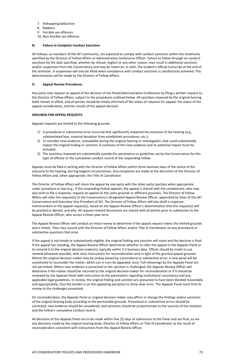- 7. Kidnapping/abduction
- 8. Robbery
- 9. Forcible sex offences
- 10. Non-forcible sex offences

## **N. Failure to Complete Conduct Sanctions**

All Fellows, as members of the AFI community, are expected to comply with conduct sanctions within the timeframe specified by the Director of Fellow Affairs or Administrative Conference Officer. Failure to follow through on conduct sanctions by the date specified, whether by refusal, neglect or any other reason, may result in additional sanctions and/or suspension from the Conservatory and may be noted on, or with, the student's official transcript at the end of the semester. A suspension will only be lifted when compliance with conduct sanctions is satisfactorily achieved. This determination will be made by the Director of Fellow Affairs.

## **O. Appeal Review Procedures**

Any party may request an appeal of the decision of the Panel/Administrative Conference by filing a written request to the Director of Fellow Affairs, subject to the procedures outlined below. All sanctions imposed by the original hearing body remain in effect, and all parties should be timely informed of the status of requests for appeal, the status of the appeal consideration, and the results of the appeal decision.

## **GROUNDS FOR APPEAL REQUESTS**

Appeals requests are limited to the following grounds:

- 1) A procedural or substantive error occurred that significantly impacted the outcome of the hearing (e.g., substantiated bias, material deviation from established procedures, etc.);
- 2) To consider new evidence, unavailable during the original hearing or investigation, that could substantially impact the original finding or sanction. A summary of this new evidence and its potential impact must be included;
- 3) The sanctions imposed are substantially outside the parameters or guidelines set by the Conservatory for this type of offense or the cumulative conduct record of the responding Fellow.

Appeals must be filed in writing with the Director of Fellow Affairs within three business days of the notice of the outcome to the hearing, barring exigent circumstances. Any exceptions are made at the discretion of the Director of Fellow Affairs and, when appropriate, the Title IX Coordinator.

The Director of Fellow Affairs will share the appeal by one party with the other party (parties) when appropriate under procedure or law (e.g., if the responding Fellow appeals, the appeal is shared with the complainant, who may also wish to file a response, request an appeal on the same grounds or different grounds). The Director of Fellow Affairs will refer the request(s) to the Conservatory's designated Appeal Review Officer, appointed by Dean of the AFI Conservatory and Executive Vice President of AFI. The Director of Fellow Affairs will also draft a response memorandum to the appeal request(s), based on the Appeal Review Officer's determination that the request(s) will be granted or denied, and why. All request-related documents are shared with all parties prior to submission to the Appeal Review Officer, who serves a three-year term.

The Appeal Review Officer will conduct an initial review to determine if the appeal request meets the limited grounds and is timely. They may consult with the Director of Fellow Affairs and/or Title IX Coordinator on any procedural or substantive questions that arise.

If the appeal is not timely or substantively eligible, the original finding and sanction will stand and the decision is final. If the appeal has standing, the Appeal Review Officer determines whether to refer the appeal to the Appeals Panel or to remand it to the original decision-maker(s), typically within 3-5 business days. Efforts should be made to use remand whenever possible, with clear instructions for reconsideration only in light of the granted appeal grounds. Where the original decision-maker may be unduly biased by a procedural or substantive error, a new panel will be constituted to reconsider the matter, which can in turn be appealed, once. Full rehearings by the Appeals Panel are not permitted. Where new evidence is presented or the sanction is challenged, the Appeals Review Officer will determine if the matter should be returned to the original decision-maker for reconsideration or if it should be reviewed by the Appeals Panel with instruction on the parameters regarding institutional consistency and any applicable legal guidelines. In review, the original finding and sanction are presumed to have been decided reasonably and appropriately, thus the burden is on the appealing party(ies) to show clear error. The Appeals Panel must limit its review to the challenges presented.

On reconsideration, the Appeals Panel or original decision-maker may affirm or change the findings and/or sanctions of the original hearing body according to the permissible grounds. Procedural or substantive errors should be corrected, new evidence should be considered, and sanctions should be proportionate to the severity of the violation and the Fellow's cumulative conduct record.

All decisions of the Appeals Panel are to be made within five (5) days of submission to the Panel and are final, as are any decisions made by the original hearing body, Director of Fellow Affairs or Title IX Coordinator as the result of reconsideration consistent with instructions from the Appeal Review Officer.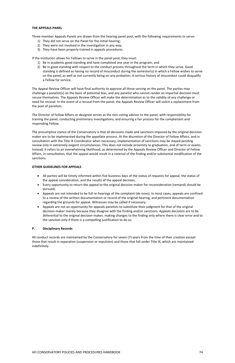## **THE APPEALS PANEL**

Three-member Appeals Panels are drawn from the hearing panel pool, with the following requirements to serve:

- 1) They did not serve on the Panel for the initial hearing;
- 2) They were not involved in the investigation in any way;
- 3) They have been properly trained in appeals procedures.

If the institution allows for Fellows to serve in the panel pool, they must:

- 1) Be in academic good standing and have completed one year in the program; and
- 2) Be in good standing with respect to the conduct process throughout the term in which they serve. Good standing is defined as having no record of misconduct during the semester(s) in which a Fellow wishes to serve on the panel, as well as not currently being on any probation. A serious history of misconduct could disqualify a Fellow for service.

The Appeal Review Officer will have final authority to approve all those serving on the panel. The parties may challenge a panelist(s) on the basis of potential bias, and any panelist who cannot render an impartial decision must recuse themselves. The Appeals Review Officer will make the determination as to the validity of any challenge or need for recusal. In the event of a recusal from the panel, the Appeals Review Officer will solicit a replacement from the pool of panelists.

The Director of Fellow Affairs or designee serves as the non-voting advisor to the panel, with responsibility for training the panel, conducting preliminary investigations, and ensuring a fair process for the complainant and responding Fellow.

The presumptive stance of the Conservatory is that all decisions made and sanctions imposed by the original decisionmaker are to be implemented during the appellate process. At the discretion of the Director of Fellow Affairs, and in consultation with the Title IX Coordinator when necessary, implementation of sanctions may be stayed pending review only in extremely exigent circumstances. This does not include proximity to graduation, end of term or exams. Instead, it refers to an overwhelming likelihood, as determined by the Appeals Review Officer and Director of Fellow Affairs, in consultation, that the appeal would result in a reversal of the finding and/or substantial modification of the sanctions.

# **OTHER GUIDELINES FOR APPEALS**

- All parties will be timely informed within five business days of the status of requests for appeal, the status of the appeal consideration, and the results of the appeal decision;
- Every opportunity to return the appeal to the original decision-maker for reconsideration (remand) should be pursued;
- Appeals are not intended to be full re-hearings of the complaint (de novo). In most cases, appeals are confined to a review of the written documentation or record of the original hearing, and pertinent documentation regarding the grounds for appeal. Witnesses may be called if necessary;
- Appeals are not an opportunity for appeals panelists to substitute their judgment for that of the original decision-maker merely because they disagree with the finding and/or sanctions. Appeals decisions are to be deferential to the original decision-maker, making changes to the finding only where there is clear error and to the sanction only if there is a compelling justification to do so.

## **P. Disciplinary Records**

All conduct records are maintained by the Conservatory for seven (7) years from the time of their creation except those that result in separation (suspension or expulsion) and those that fall under Title IX, which are maintained indefinitely.

#### AFI CONSERVATORY POLICIES AND PROCEDURES HANDBOOK 74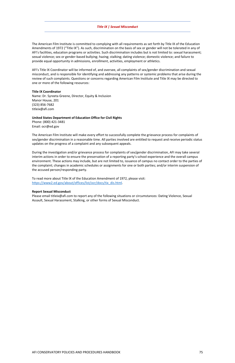## *Title IX | Sexual Misconduct*

The American Film Institute is committed to complying with all requirements as set forth by Title IX of the Education Amendments of 1972 ("Title IX"). As such, discrimination on the basis of sex or gender will not be tolerated in any of AFI's facilities, education programs or activities. Such discrimination includes but is not limited to: sexual harassment; sexual violence; sex or gender-based bullying; hazing; stalking; dating violence; domestic violence; and failure to provide equal opportunity in admissions, enrollment, activities, employment or athletics.

AFI's Title IX Coordinator will be informed of, and oversee, all complaints of sex/gender discrimination and sexual misconduct, and is responsible for identifying and addressing any patterns or systemic problems that arise during the review of such complaints. Questions or concerns regarding American Film Institute and Title IX may be directed to one or more of the following resources:

To read more about Title IX of the Education Amendment of 1972, please visit: [https://www2.ed.gov/about/offices/list/ocr/docs/tix\\_dis.html.](https://www2.ed.gov/about/offices/list/ocr/docs/tix_dis.html)

### **Title IX Coordinator**

Name: Dr. Syreeta Greene, Director, Equity & Inclusion Manor House, 201 (323) 856-7682 titleix@afi.com

### **United States Department of Education Office for Civil Rights**

Phone: (800) 421-3481 Email: ocr@ed.gov

The American Film Institute will make every effort to successfully complete the grievance process for complaints of sex/gender discrimination in a reasonable time. All parties involved are entitled to request and receive periodic status updates on the progress of a complaint and any subsequent appeals.

During the investigation and/or grievance process for complaints of sex/gender discrimination, AFI may take several interim actions in order to ensure the preservation of a reporting party's school experience and the overall campus environment. These actions may include, but are not limited to, issuance of campus no contact order to the parties of the complaint; changes in academic schedules or assignments for one or both parties; and/or interim suspension of the accused person/responding party.

### **Report Sexual Misconduct**

Please email titleix@afi.com to report any of the following situations or circumstances: Dating Violence, Sexual Assault, Sexual Harassment, Stalking, or other forms of Sexual Misconduct.

#### AFI CONSERVATORY POLICIES AND PROCEDURES HANDBOOK 75